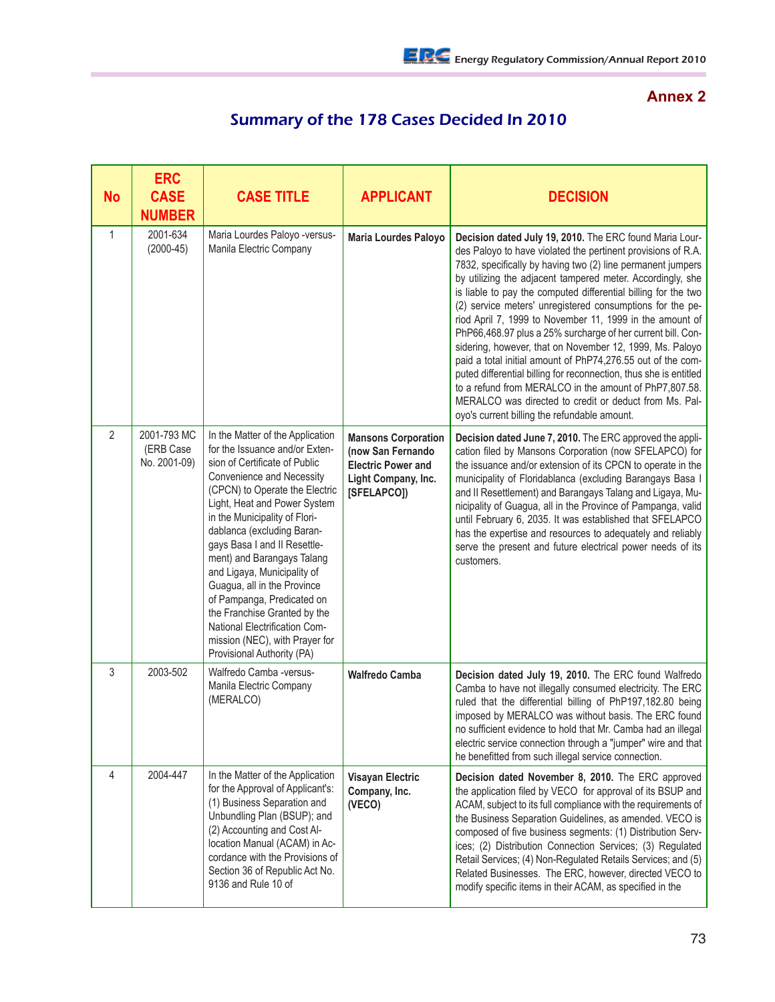## **Annex 2**

## Summary of the 178 Cases Decided In 2010

| <b>No</b>      | <b>ERC</b><br><b>CASE</b><br><b>NUMBER</b> | <b>CASE TITLE</b>                                                                                                                                                                                                                                                                                                                                                                                                                                                                                                                                            | <b>APPLICANT</b>                                                                                                   | <b>DECISION</b>                                                                                                                                                                                                                                                                                                                                                                                                                                                                                                                                                                                                                                                                                                                                                                                                                                                                    |
|----------------|--------------------------------------------|--------------------------------------------------------------------------------------------------------------------------------------------------------------------------------------------------------------------------------------------------------------------------------------------------------------------------------------------------------------------------------------------------------------------------------------------------------------------------------------------------------------------------------------------------------------|--------------------------------------------------------------------------------------------------------------------|------------------------------------------------------------------------------------------------------------------------------------------------------------------------------------------------------------------------------------------------------------------------------------------------------------------------------------------------------------------------------------------------------------------------------------------------------------------------------------------------------------------------------------------------------------------------------------------------------------------------------------------------------------------------------------------------------------------------------------------------------------------------------------------------------------------------------------------------------------------------------------|
| $\mathbf{1}$   | 2001-634<br>$(2000-45)$                    | Maria Lourdes Paloyo -versus-<br>Manila Electric Company                                                                                                                                                                                                                                                                                                                                                                                                                                                                                                     | Maria Lourdes Paloyo                                                                                               | Decision dated July 19, 2010. The ERC found Maria Lour-<br>des Paloyo to have violated the pertinent provisions of R.A.<br>7832, specifically by having two (2) line permanent jumpers<br>by utilizing the adjacent tampered meter. Accordingly, she<br>is liable to pay the computed differential billing for the two<br>(2) service meters' unregistered consumptions for the pe-<br>riod April 7, 1999 to November 11, 1999 in the amount of<br>PhP66,468.97 plus a 25% surcharge of her current bill. Con-<br>sidering, however, that on November 12, 1999, Ms. Paloyo<br>paid a total initial amount of PhP74,276.55 out of the com-<br>puted differential billing for reconnection, thus she is entitled<br>to a refund from MERALCO in the amount of PhP7,807.58.<br>MERALCO was directed to credit or deduct from Ms. Pal-<br>oyo's current billing the refundable amount. |
| $\overline{2}$ | 2001-793 MC<br>(ERB Case<br>No. 2001-09)   | In the Matter of the Application<br>for the Issuance and/or Exten-<br>sion of Certificate of Public<br>Convenience and Necessity<br>(CPCN) to Operate the Electric<br>Light, Heat and Power System<br>in the Municipality of Flori-<br>dablanca (excluding Baran-<br>gays Basa I and II Resettle-<br>ment) and Barangays Talang<br>and Ligaya, Municipality of<br>Guagua, all in the Province<br>of Pampanga, Predicated on<br>the Franchise Granted by the<br>National Electrification Com-<br>mission (NEC), with Prayer for<br>Provisional Authority (PA) | <b>Mansons Corporation</b><br>(now San Fernando<br><b>Electric Power and</b><br>Light Company, Inc.<br>[SFELAPCO]) | Decision dated June 7, 2010. The ERC approved the appli-<br>cation filed by Mansons Corporation (now SFELAPCO) for<br>the issuance and/or extension of its CPCN to operate in the<br>municipality of Floridablanca (excluding Barangays Basa I<br>and II Resettlement) and Barangays Talang and Ligaya, Mu-<br>nicipality of Guagua, all in the Province of Pampanga, valid<br>until February 6, 2035. It was established that SFELAPCO<br>has the expertise and resources to adequately and reliably<br>serve the present and future electrical power needs of its<br>customers.                                                                                                                                                                                                                                                                                                  |
| 3              | 2003-502                                   | Walfredo Camba -versus-<br>Manila Electric Company<br>(MERALCO)                                                                                                                                                                                                                                                                                                                                                                                                                                                                                              | <b>Walfredo Camba</b>                                                                                              | Decision dated July 19, 2010. The ERC found Walfredo<br>Camba to have not illegally consumed electricity. The ERC<br>ruled that the differential billing of PhP197,182.80 being<br>imposed by MERALCO was without basis. The ERC found<br>no sufficient evidence to hold that Mr. Camba had an illegal<br>electric service connection through a "jumper" wire and that<br>he benefitted from such illegal service connection.                                                                                                                                                                                                                                                                                                                                                                                                                                                      |
| 4              | 2004-447                                   | In the Matter of the Application<br>for the Approval of Applicant's:<br>(1) Business Separation and<br>Unbundling Plan (BSUP); and<br>(2) Accounting and Cost Al-<br>location Manual (ACAM) in Ac-<br>cordance with the Provisions of<br>Section 36 of Republic Act No.<br>9136 and Rule 10 of                                                                                                                                                                                                                                                               | <b>Visayan Electric</b><br>Company, Inc.<br>(VECO)                                                                 | Decision dated November 8, 2010. The ERC approved<br>the application filed by VECO for approval of its BSUP and<br>ACAM, subject to its full compliance with the requirements of<br>the Business Separation Guidelines, as amended. VECO is<br>composed of five business segments: (1) Distribution Serv-<br>ices; (2) Distribution Connection Services; (3) Regulated<br>Retail Services; (4) Non-Regulated Retails Services; and (5)<br>Related Businesses. The ERC, however, directed VECO to<br>modify specific items in their ACAM, as specified in the                                                                                                                                                                                                                                                                                                                       |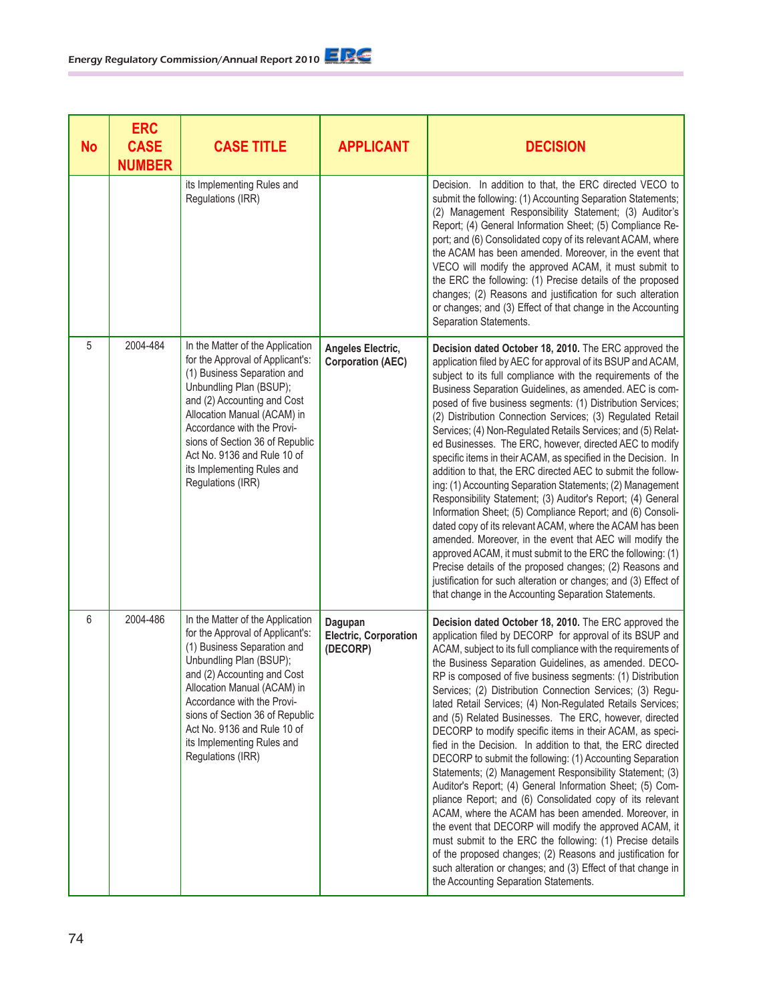| <b>No</b> | <b>ERC</b><br><b>CASE</b><br><b>NUMBER</b> | <b>CASE TITLE</b>                                                                                                                                                                                                                                                                                                                               | <b>APPLICANT</b>                                    | <b>DECISION</b>                                                                                                                                                                                                                                                                                                                                                                                                                                                                                                                                                                                                                                                                                                                                                                                                                                                                                                                                                                                                                                                                                                                                                                                                                    |
|-----------|--------------------------------------------|-------------------------------------------------------------------------------------------------------------------------------------------------------------------------------------------------------------------------------------------------------------------------------------------------------------------------------------------------|-----------------------------------------------------|------------------------------------------------------------------------------------------------------------------------------------------------------------------------------------------------------------------------------------------------------------------------------------------------------------------------------------------------------------------------------------------------------------------------------------------------------------------------------------------------------------------------------------------------------------------------------------------------------------------------------------------------------------------------------------------------------------------------------------------------------------------------------------------------------------------------------------------------------------------------------------------------------------------------------------------------------------------------------------------------------------------------------------------------------------------------------------------------------------------------------------------------------------------------------------------------------------------------------------|
|           |                                            | its Implementing Rules and<br>Regulations (IRR)                                                                                                                                                                                                                                                                                                 |                                                     | Decision. In addition to that, the ERC directed VECO to<br>submit the following: (1) Accounting Separation Statements;<br>(2) Management Responsibility Statement; (3) Auditor's<br>Report; (4) General Information Sheet; (5) Compliance Re-<br>port; and (6) Consolidated copy of its relevant ACAM, where<br>the ACAM has been amended. Moreover, in the event that<br>VECO will modify the approved ACAM, it must submit to<br>the ERC the following: (1) Precise details of the proposed<br>changes; (2) Reasons and justification for such alteration<br>or changes; and (3) Effect of that change in the Accounting<br>Separation Statements.                                                                                                                                                                                                                                                                                                                                                                                                                                                                                                                                                                               |
| 5         | 2004-484                                   | In the Matter of the Application<br>for the Approval of Applicant's:<br>(1) Business Separation and<br>Unbundling Plan (BSUP);<br>and (2) Accounting and Cost<br>Allocation Manual (ACAM) in<br>Accordance with the Provi-<br>sions of Section 36 of Republic<br>Act No. 9136 and Rule 10 of<br>its Implementing Rules and<br>Regulations (IRR) | Angeles Electric,<br><b>Corporation (AEC)</b>       | Decision dated October 18, 2010. The ERC approved the<br>application filed by AEC for approval of its BSUP and ACAM,<br>subject to its full compliance with the requirements of the<br>Business Separation Guidelines, as amended. AEC is com-<br>posed of five business segments: (1) Distribution Services;<br>(2) Distribution Connection Services; (3) Regulated Retail<br>Services; (4) Non-Regulated Retails Services; and (5) Relat-<br>ed Businesses. The ERC, however, directed AEC to modify<br>specific items in their ACAM, as specified in the Decision. In<br>addition to that, the ERC directed AEC to submit the follow-<br>ing: (1) Accounting Separation Statements; (2) Management<br>Responsibility Statement; (3) Auditor's Report; (4) General<br>Information Sheet; (5) Compliance Report; and (6) Consoli-<br>dated copy of its relevant ACAM, where the ACAM has been<br>amended. Moreover, in the event that AEC will modify the<br>approved ACAM, it must submit to the ERC the following: (1)<br>Precise details of the proposed changes; (2) Reasons and<br>justification for such alteration or changes; and (3) Effect of<br>that change in the Accounting Separation Statements.                   |
| 6         | 2004-486                                   | In the Matter of the Application<br>for the Approval of Applicant's:<br>(1) Business Separation and<br>Unbundling Plan (BSUP);<br>and (2) Accounting and Cost<br>Allocation Manual (ACAM) in<br>Accordance with the Provi-<br>sions of Section 36 of Republic<br>Act No. 9136 and Rule 10 of<br>its Implementing Rules and<br>Regulations (IRR) | Dagupan<br><b>Electric, Corporation</b><br>(DECORP) | Decision dated October 18, 2010. The ERC approved the<br>application filed by DECORP for approval of its BSUP and<br>ACAM, subject to its full compliance with the requirements of<br>the Business Separation Guidelines, as amended. DECO-<br>RP is composed of five business segments: (1) Distribution<br>Services; (2) Distribution Connection Services; (3) Regu-<br>lated Retail Services; (4) Non-Regulated Retails Services;<br>and (5) Related Businesses. The ERC, however, directed<br>DECORP to modify specific items in their ACAM, as speci-<br>fied in the Decision. In addition to that, the ERC directed<br>DECORP to submit the following: (1) Accounting Separation<br>Statements; (2) Management Responsibility Statement; (3)<br>Auditor's Report; (4) General Information Sheet; (5) Com-<br>pliance Report; and (6) Consolidated copy of its relevant<br>ACAM, where the ACAM has been amended. Moreover, in<br>the event that DECORP will modify the approved ACAM, it<br>must submit to the ERC the following: (1) Precise details<br>of the proposed changes; (2) Reasons and justification for<br>such alteration or changes; and (3) Effect of that change in<br>the Accounting Separation Statements. |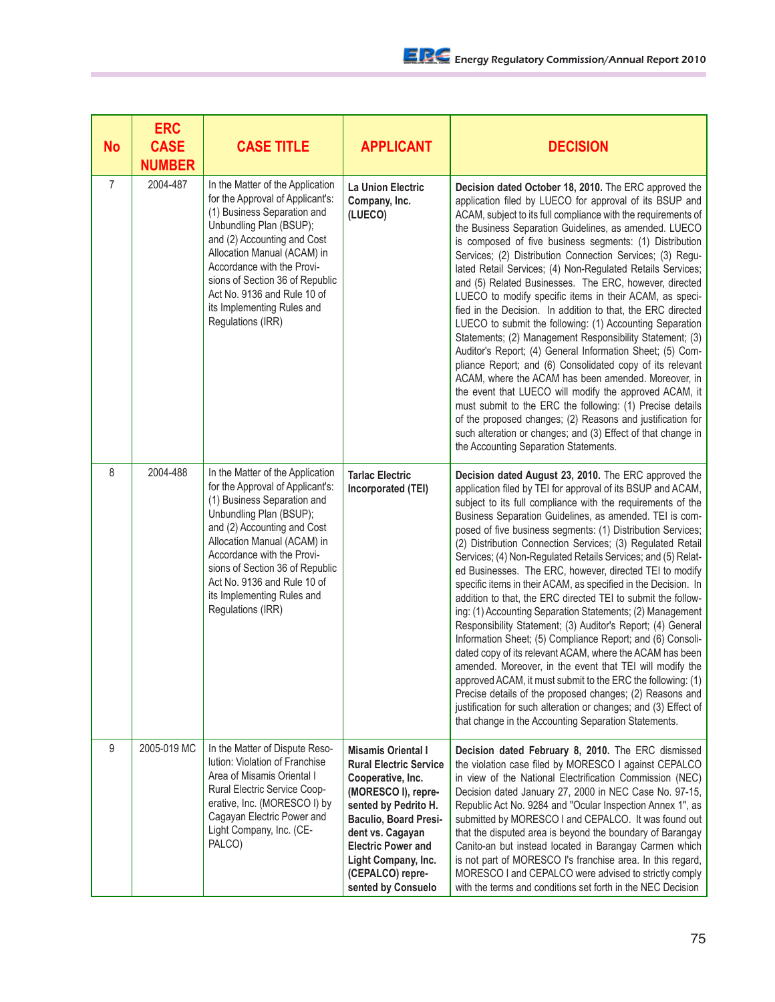| No             | <b>ERC</b><br><b>CASE</b><br><b>NUMBER</b> | <b>CASE TITLE</b>                                                                                                                                                                                                                                                                                                                               | <b>APPLICANT</b>                                                                                                                                                                                                                                                                 | <b>DECISION</b>                                                                                                                                                                                                                                                                                                                                                                                                                                                                                                                                                                                                                                                                                                                                                                                                                                                                                                                                                                                                                                                                                                                                                                                                             |
|----------------|--------------------------------------------|-------------------------------------------------------------------------------------------------------------------------------------------------------------------------------------------------------------------------------------------------------------------------------------------------------------------------------------------------|----------------------------------------------------------------------------------------------------------------------------------------------------------------------------------------------------------------------------------------------------------------------------------|-----------------------------------------------------------------------------------------------------------------------------------------------------------------------------------------------------------------------------------------------------------------------------------------------------------------------------------------------------------------------------------------------------------------------------------------------------------------------------------------------------------------------------------------------------------------------------------------------------------------------------------------------------------------------------------------------------------------------------------------------------------------------------------------------------------------------------------------------------------------------------------------------------------------------------------------------------------------------------------------------------------------------------------------------------------------------------------------------------------------------------------------------------------------------------------------------------------------------------|
| $\overline{7}$ | 2004-487                                   | In the Matter of the Application<br>for the Approval of Applicant's:<br>(1) Business Separation and<br>Unbundling Plan (BSUP);<br>and (2) Accounting and Cost<br>Allocation Manual (ACAM) in<br>Accordance with the Provi-<br>sions of Section 36 of Republic<br>Act No. 9136 and Rule 10 of<br>its Implementing Rules and<br>Regulations (IRR) | <b>La Union Electric</b><br>Company, Inc.<br>(LUECO)                                                                                                                                                                                                                             | Decision dated October 18, 2010. The ERC approved the<br>application filed by LUECO for approval of its BSUP and<br>ACAM, subject to its full compliance with the requirements of<br>the Business Separation Guidelines, as amended. LUECO<br>is composed of five business segments: (1) Distribution<br>Services; (2) Distribution Connection Services; (3) Regu-<br>lated Retail Services; (4) Non-Regulated Retails Services;<br>and (5) Related Businesses. The ERC, however, directed<br>LUECO to modify specific items in their ACAM, as speci-<br>fied in the Decision. In addition to that, the ERC directed<br>LUECO to submit the following: (1) Accounting Separation<br>Statements; (2) Management Responsibility Statement; (3)<br>Auditor's Report; (4) General Information Sheet; (5) Com-<br>pliance Report; and (6) Consolidated copy of its relevant<br>ACAM, where the ACAM has been amended. Moreover, in<br>the event that LUECO will modify the approved ACAM, it<br>must submit to the ERC the following: (1) Precise details<br>of the proposed changes; (2) Reasons and justification for<br>such alteration or changes; and (3) Effect of that change in<br>the Accounting Separation Statements. |
| 8              | 2004-488                                   | In the Matter of the Application<br>for the Approval of Applicant's:<br>(1) Business Separation and<br>Unbundling Plan (BSUP);<br>and (2) Accounting and Cost<br>Allocation Manual (ACAM) in<br>Accordance with the Provi-<br>sions of Section 36 of Republic<br>Act No. 9136 and Rule 10 of<br>its Implementing Rules and<br>Regulations (IRR) | <b>Tarlac Electric</b><br>Incorporated (TEI)                                                                                                                                                                                                                                     | Decision dated August 23, 2010. The ERC approved the<br>application filed by TEI for approval of its BSUP and ACAM,<br>subject to its full compliance with the requirements of the<br>Business Separation Guidelines, as amended. TEI is com-<br>posed of five business segments: (1) Distribution Services;<br>(2) Distribution Connection Services; (3) Regulated Retail<br>Services; (4) Non-Regulated Retails Services; and (5) Relat-<br>ed Businesses. The ERC, however, directed TEI to modify<br>specific items in their ACAM, as specified in the Decision. In<br>addition to that, the ERC directed TEI to submit the follow-<br>ing: (1) Accounting Separation Statements; (2) Management<br>Responsibility Statement; (3) Auditor's Report; (4) General<br>Information Sheet; (5) Compliance Report; and (6) Consoli-<br>dated copy of its relevant ACAM, where the ACAM has been<br>amended. Moreover, in the event that TEI will modify the<br>approved ACAM, it must submit to the ERC the following: (1)<br>Precise details of the proposed changes; (2) Reasons and<br>justification for such alteration or changes; and (3) Effect of<br>that change in the Accounting Separation Statements.             |
| 9              | 2005-019 MC                                | In the Matter of Dispute Reso-<br>lution: Violation of Franchise<br>Area of Misamis Oriental I<br>Rural Electric Service Coop-<br>erative, Inc. (MORESCO I) by<br>Cagayan Electric Power and<br>Light Company, Inc. (CE-<br>PALCO)                                                                                                              | <b>Misamis Oriental I</b><br><b>Rural Electric Service</b><br>Cooperative, Inc.<br>(MORESCO I), repre-<br>sented by Pedrito H.<br><b>Baculio, Board Presi-</b><br>dent vs. Cagayan<br><b>Electric Power and</b><br>Light Company, Inc.<br>(CEPALCO) repre-<br>sented by Consuelo | Decision dated February 8, 2010. The ERC dismissed<br>the violation case filed by MORESCO I against CEPALCO<br>in view of the National Electrification Commission (NEC)<br>Decision dated January 27, 2000 in NEC Case No. 97-15,<br>Republic Act No. 9284 and "Ocular Inspection Annex 1", as<br>submitted by MORESCO I and CEPALCO. It was found out<br>that the disputed area is beyond the boundary of Barangay<br>Canito-an but instead located in Barangay Carmen which<br>is not part of MORESCO I's franchise area. In this regard,<br>MORESCO I and CEPALCO were advised to strictly comply<br>with the terms and conditions set forth in the NEC Decision                                                                                                                                                                                                                                                                                                                                                                                                                                                                                                                                                         |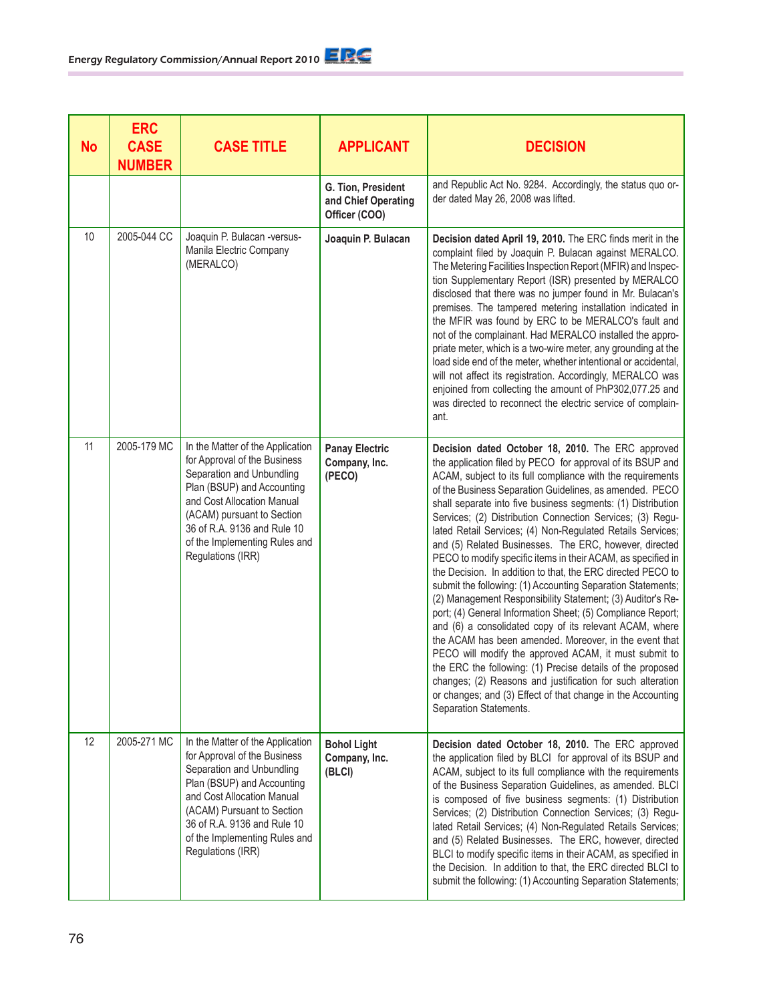| <b>No</b> | <b>ERC</b><br><b>CASE</b><br><b>NUMBER</b> | <b>CASE TITLE</b>                                                                                                                                                                                                                                                            | <b>APPLICANT</b>                                           | <b>DECISION</b>                                                                                                                                                                                                                                                                                                                                                                                                                                                                                                                                                                                                                                                                                                                                                                                                                                                                                                                                                                                                                                                                                                                                                                                                             |
|-----------|--------------------------------------------|------------------------------------------------------------------------------------------------------------------------------------------------------------------------------------------------------------------------------------------------------------------------------|------------------------------------------------------------|-----------------------------------------------------------------------------------------------------------------------------------------------------------------------------------------------------------------------------------------------------------------------------------------------------------------------------------------------------------------------------------------------------------------------------------------------------------------------------------------------------------------------------------------------------------------------------------------------------------------------------------------------------------------------------------------------------------------------------------------------------------------------------------------------------------------------------------------------------------------------------------------------------------------------------------------------------------------------------------------------------------------------------------------------------------------------------------------------------------------------------------------------------------------------------------------------------------------------------|
|           |                                            |                                                                                                                                                                                                                                                                              | G. Tion, President<br>and Chief Operating<br>Officer (COO) | and Republic Act No. 9284. Accordingly, the status quo or-<br>der dated May 26, 2008 was lifted.                                                                                                                                                                                                                                                                                                                                                                                                                                                                                                                                                                                                                                                                                                                                                                                                                                                                                                                                                                                                                                                                                                                            |
| 10        | 2005-044 CC                                | Joaquin P. Bulacan -versus-<br>Manila Electric Company<br>(MERALCO)                                                                                                                                                                                                          | Joaquin P. Bulacan                                         | Decision dated April 19, 2010. The ERC finds merit in the<br>complaint filed by Joaquin P. Bulacan against MERALCO.<br>The Metering Facilities Inspection Report (MFIR) and Inspec-<br>tion Supplementary Report (ISR) presented by MERALCO<br>disclosed that there was no jumper found in Mr. Bulacan's<br>premises. The tampered metering installation indicated in<br>the MFIR was found by ERC to be MERALCO's fault and<br>not of the complainant. Had MERALCO installed the appro-<br>priate meter, which is a two-wire meter, any grounding at the<br>load side end of the meter, whether intentional or accidental,<br>will not affect its registration. Accordingly, MERALCO was<br>enjoined from collecting the amount of PhP302,077.25 and<br>was directed to reconnect the electric service of complain-<br>ant.                                                                                                                                                                                                                                                                                                                                                                                                |
| 11        | 2005-179 MC                                | In the Matter of the Application<br>for Approval of the Business<br>Separation and Unbundling<br>Plan (BSUP) and Accounting<br>and Cost Allocation Manual<br>(ACAM) pursuant to Section<br>36 of R.A. 9136 and Rule 10<br>of the Implementing Rules and<br>Regulations (IRR) | <b>Panay Electric</b><br>Company, Inc.<br>(PECO)           | Decision dated October 18, 2010. The ERC approved<br>the application filed by PECO for approval of its BSUP and<br>ACAM, subject to its full compliance with the requirements<br>of the Business Separation Guidelines, as amended. PECO<br>shall separate into five business segments: (1) Distribution<br>Services; (2) Distribution Connection Services; (3) Regu-<br>lated Retail Services; (4) Non-Regulated Retails Services;<br>and (5) Related Businesses. The ERC, however, directed<br>PECO to modify specific items in their ACAM, as specified in<br>the Decision. In addition to that, the ERC directed PECO to<br>submit the following: (1) Accounting Separation Statements;<br>(2) Management Responsibility Statement; (3) Auditor's Re-<br>port; (4) General Information Sheet; (5) Compliance Report;<br>and (6) a consolidated copy of its relevant ACAM, where<br>the ACAM has been amended. Moreover, in the event that<br>PECO will modify the approved ACAM, it must submit to<br>the ERC the following: (1) Precise details of the proposed<br>changes; (2) Reasons and justification for such alteration<br>or changes; and (3) Effect of that change in the Accounting<br>Separation Statements. |
| 12        | 2005-271 MC                                | In the Matter of the Application<br>for Approval of the Business<br>Separation and Unbundling<br>Plan (BSUP) and Accounting<br>and Cost Allocation Manual<br>(ACAM) Pursuant to Section<br>36 of R.A. 9136 and Rule 10<br>of the Implementing Rules and<br>Regulations (IRR) | <b>Bohol Light</b><br>Company, Inc.<br>(BLCI)              | Decision dated October 18, 2010. The ERC approved<br>the application filed by BLCI for approval of its BSUP and<br>ACAM, subject to its full compliance with the requirements<br>of the Business Separation Guidelines, as amended. BLCI<br>is composed of five business segments: (1) Distribution<br>Services; (2) Distribution Connection Services; (3) Regu-<br>lated Retail Services; (4) Non-Regulated Retails Services;<br>and (5) Related Businesses. The ERC, however, directed<br>BLCI to modify specific items in their ACAM, as specified in<br>the Decision. In addition to that, the ERC directed BLCI to<br>submit the following: (1) Accounting Separation Statements;                                                                                                                                                                                                                                                                                                                                                                                                                                                                                                                                      |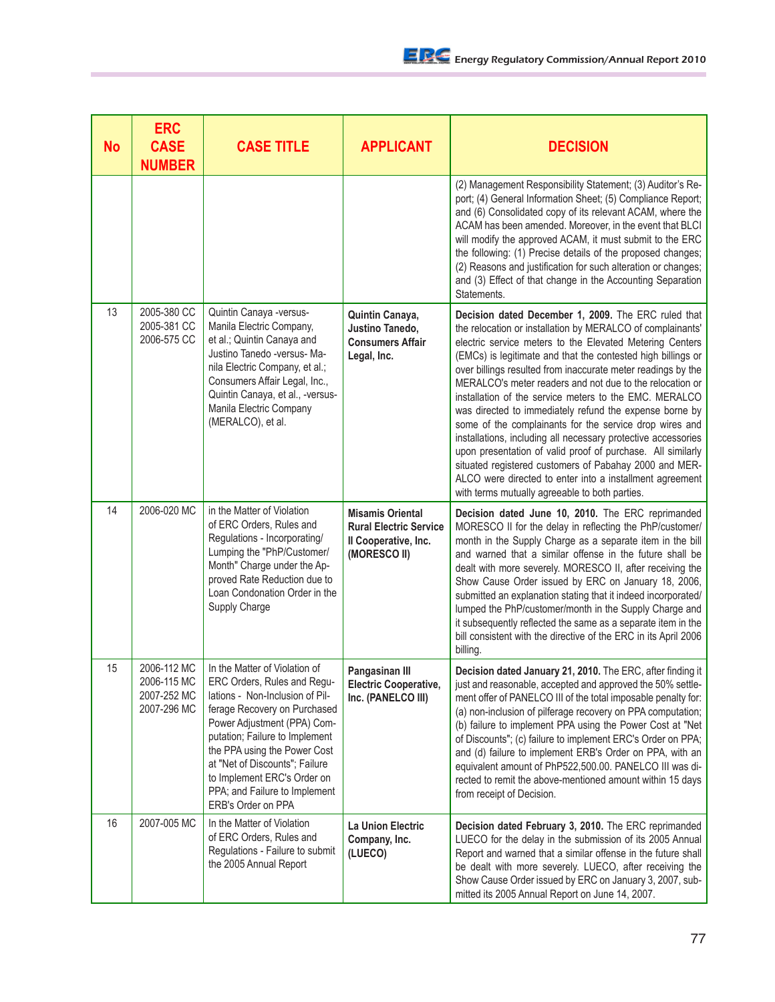| <b>No</b> | <b>ERC</b><br><b>CASE</b><br><b>NUMBER</b>               | <b>CASE TITLE</b>                                                                                                                                                                                                                                                                                                                                        | <b>APPLICANT</b>                                                                                 | <b>DECISION</b>                                                                                                                                                                                                                                                                                                                                                                                                                                                                                                                                                                                                                                                                                                                                                                                                                                                   |
|-----------|----------------------------------------------------------|----------------------------------------------------------------------------------------------------------------------------------------------------------------------------------------------------------------------------------------------------------------------------------------------------------------------------------------------------------|--------------------------------------------------------------------------------------------------|-------------------------------------------------------------------------------------------------------------------------------------------------------------------------------------------------------------------------------------------------------------------------------------------------------------------------------------------------------------------------------------------------------------------------------------------------------------------------------------------------------------------------------------------------------------------------------------------------------------------------------------------------------------------------------------------------------------------------------------------------------------------------------------------------------------------------------------------------------------------|
|           |                                                          |                                                                                                                                                                                                                                                                                                                                                          |                                                                                                  | (2) Management Responsibility Statement; (3) Auditor's Re-<br>port; (4) General Information Sheet; (5) Compliance Report;<br>and (6) Consolidated copy of its relevant ACAM, where the<br>ACAM has been amended. Moreover, in the event that BLCI<br>will modify the approved ACAM, it must submit to the ERC<br>the following: (1) Precise details of the proposed changes;<br>(2) Reasons and justification for such alteration or changes;<br>and (3) Effect of that change in the Accounting Separation<br>Statements.                                                                                                                                                                                                                                                                                                                                        |
| 13        | 2005-380 CC<br>2005-381 CC<br>2006-575 CC                | Quintin Canaya -versus-<br>Manila Electric Company,<br>et al.; Quintin Canaya and<br>Justino Tanedo -versus- Ma-<br>nila Electric Company, et al.;<br>Consumers Affair Legal, Inc.,<br>Quintin Canaya, et al., -versus-<br>Manila Electric Company<br>(MERALCO), et al.                                                                                  | Quintin Canaya,<br>Justino Tanedo,<br><b>Consumers Affair</b><br>Legal, Inc.                     | Decision dated December 1, 2009. The ERC ruled that<br>the relocation or installation by MERALCO of complainants'<br>electric service meters to the Elevated Metering Centers<br>(EMCs) is legitimate and that the contested high billings or<br>over billings resulted from inaccurate meter readings by the<br>MERALCO's meter readers and not due to the relocation or<br>installation of the service meters to the EMC. MERALCO<br>was directed to immediately refund the expense borne by<br>some of the complainants for the service drop wires and<br>installations, including all necessary protective accessories<br>upon presentation of valid proof of purchase. All similarly<br>situated registered customers of Pabahay 2000 and MER-<br>ALCO were directed to enter into a installment agreement<br>with terms mutually agreeable to both parties. |
| 14        | 2006-020 MC                                              | in the Matter of Violation<br>of ERC Orders, Rules and<br>Regulations - Incorporating/<br>Lumping the "PhP/Customer/<br>Month" Charge under the Ap-<br>proved Rate Reduction due to<br>Loan Condonation Order in the<br>Supply Charge                                                                                                                    | <b>Misamis Oriental</b><br><b>Rural Electric Service</b><br>Il Cooperative, Inc.<br>(MORESCO II) | Decision dated June 10, 2010. The ERC reprimanded<br>MORESCO II for the delay in reflecting the PhP/customer/<br>month in the Supply Charge as a separate item in the bill<br>and warned that a similar offense in the future shall be<br>dealt with more severely. MORESCO II, after receiving the<br>Show Cause Order issued by ERC on January 18, 2006,<br>submitted an explanation stating that it indeed incorporated/<br>lumped the PhP/customer/month in the Supply Charge and<br>it subsequently reflected the same as a separate item in the<br>bill consistent with the directive of the ERC in its April 2006<br>billing.                                                                                                                                                                                                                              |
| 15        | 2006-112 MC<br>2006-115 MC<br>2007-252 MC<br>2007-296 MC | In the Matter of Violation of<br>ERC Orders, Rules and Regu-<br>lations - Non-Inclusion of Pil-<br>ferage Recovery on Purchased<br>Power Adjustment (PPA) Com-<br>putation; Failure to Implement<br>the PPA using the Power Cost<br>at "Net of Discounts"; Failure<br>to Implement ERC's Order on<br>PPA; and Failure to Implement<br>ERB's Order on PPA | Pangasinan III<br><b>Electric Cooperative,</b><br>Inc. (PANELCO III)                             | Decision dated January 21, 2010. The ERC, after finding it<br>just and reasonable, accepted and approved the 50% settle-<br>ment offer of PANELCO III of the total imposable penalty for:<br>(a) non-inclusion of pilferage recovery on PPA computation;<br>(b) failure to implement PPA using the Power Cost at "Net<br>of Discounts"; (c) failure to implement ERC's Order on PPA;<br>and (d) failure to implement ERB's Order on PPA, with an<br>equivalent amount of PhP522,500.00. PANELCO III was di-<br>rected to remit the above-mentioned amount within 15 days<br>from receipt of Decision.                                                                                                                                                                                                                                                             |
| 16        | 2007-005 MC                                              | In the Matter of Violation<br>of ERC Orders, Rules and<br>Regulations - Failure to submit<br>the 2005 Annual Report                                                                                                                                                                                                                                      | La Union Electric<br>Company, Inc.<br>(LUECO)                                                    | Decision dated February 3, 2010. The ERC reprimanded<br>LUECO for the delay in the submission of its 2005 Annual<br>Report and warned that a similar offense in the future shall<br>be dealt with more severely. LUECO, after receiving the<br>Show Cause Order issued by ERC on January 3, 2007, sub-<br>mitted its 2005 Annual Report on June 14, 2007.                                                                                                                                                                                                                                                                                                                                                                                                                                                                                                         |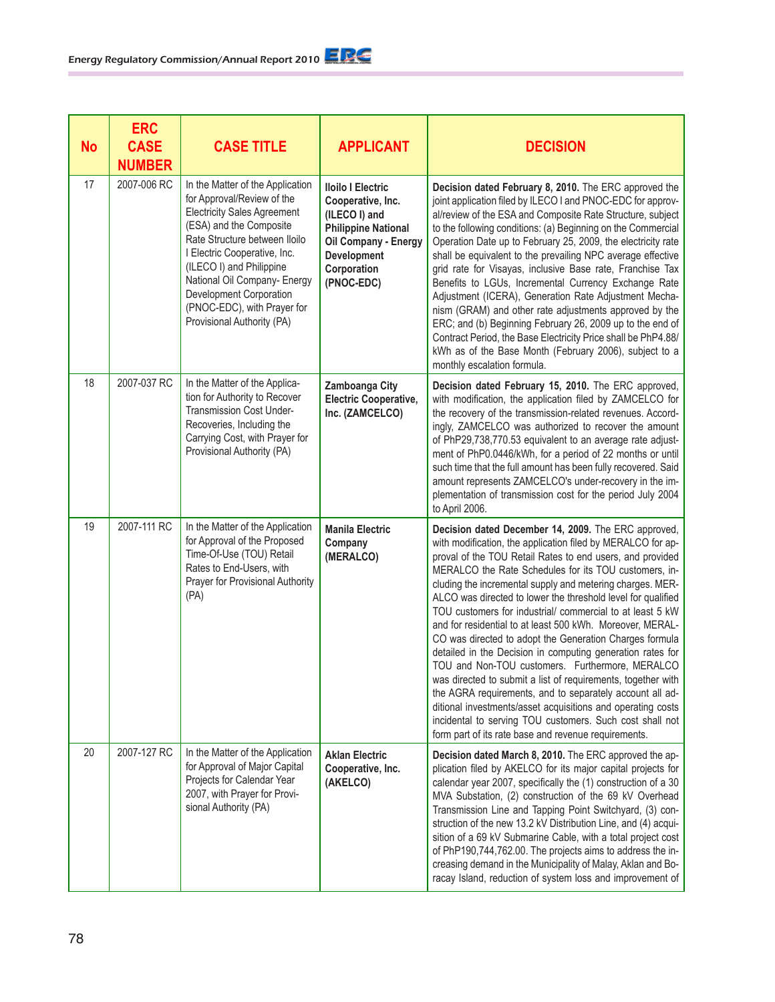| <b>No</b> | <b>ERC</b><br><b>CASE</b><br><b>NUMBER</b> | <b>CASE TITLE</b>                                                                                                                                                                                                                                                                                                                                    | <b>APPLICANT</b>                                                                                                                                                 | <b>DECISION</b>                                                                                                                                                                                                                                                                                                                                                                                                                                                                                                                                                                                                                                                                                                                                                                                                                                                                                                                                                                            |
|-----------|--------------------------------------------|------------------------------------------------------------------------------------------------------------------------------------------------------------------------------------------------------------------------------------------------------------------------------------------------------------------------------------------------------|------------------------------------------------------------------------------------------------------------------------------------------------------------------|--------------------------------------------------------------------------------------------------------------------------------------------------------------------------------------------------------------------------------------------------------------------------------------------------------------------------------------------------------------------------------------------------------------------------------------------------------------------------------------------------------------------------------------------------------------------------------------------------------------------------------------------------------------------------------------------------------------------------------------------------------------------------------------------------------------------------------------------------------------------------------------------------------------------------------------------------------------------------------------------|
| 17        | 2007-006 RC                                | In the Matter of the Application<br>for Approval/Review of the<br><b>Electricity Sales Agreement</b><br>(ESA) and the Composite<br>Rate Structure between Iloilo<br>I Electric Cooperative, Inc.<br>(ILECO I) and Philippine<br>National Oil Company- Energy<br>Development Corporation<br>(PNOC-EDC), with Prayer for<br>Provisional Authority (PA) | <b>Iloilo I Electric</b><br>Cooperative, Inc.<br>(ILECO I) and<br><b>Philippine National</b><br>Oil Company - Energy<br>Development<br>Corporation<br>(PNOC-EDC) | Decision dated February 8, 2010. The ERC approved the<br>joint application filed by ILECO I and PNOC-EDC for approv-<br>al/review of the ESA and Composite Rate Structure, subject<br>to the following conditions: (a) Beginning on the Commercial<br>Operation Date up to February 25, 2009, the electricity rate<br>shall be equivalent to the prevailing NPC average effective<br>grid rate for Visayas, inclusive Base rate, Franchise Tax<br>Benefits to LGUs, Incremental Currency Exchange Rate<br>Adjustment (ICERA), Generation Rate Adjustment Mecha-<br>nism (GRAM) and other rate adjustments approved by the<br>ERC; and (b) Beginning February 26, 2009 up to the end of<br>Contract Period, the Base Electricity Price shall be PhP4.88/<br>kWh as of the Base Month (February 2006), subject to a<br>monthly escalation formula.                                                                                                                                           |
| 18        | 2007-037 RC                                | In the Matter of the Applica-<br>tion for Authority to Recover<br>Transmission Cost Under-<br>Recoveries, Including the<br>Carrying Cost, with Prayer for<br>Provisional Authority (PA)                                                                                                                                                              | Zamboanga City<br><b>Electric Cooperative,</b><br>Inc. (ZAMCELCO)                                                                                                | Decision dated February 15, 2010. The ERC approved,<br>with modification, the application filed by ZAMCELCO for<br>the recovery of the transmission-related revenues. Accord-<br>ingly, ZAMCELCO was authorized to recover the amount<br>of PhP29,738,770.53 equivalent to an average rate adjust-<br>ment of PhP0.0446/kWh, for a period of 22 months or until<br>such time that the full amount has been fully recovered. Said<br>amount represents ZAMCELCO's under-recovery in the im-<br>plementation of transmission cost for the period July 2004<br>to April 2006.                                                                                                                                                                                                                                                                                                                                                                                                                 |
| 19        | 2007-111 RC                                | In the Matter of the Application<br>for Approval of the Proposed<br>Time-Of-Use (TOU) Retail<br>Rates to End-Users, with<br>Prayer for Provisional Authority<br>(PA)                                                                                                                                                                                 | <b>Manila Electric</b><br>Company<br>(MERALCO)                                                                                                                   | Decision dated December 14, 2009. The ERC approved,<br>with modification, the application filed by MERALCO for ap-<br>proval of the TOU Retail Rates to end users, and provided<br>MERALCO the Rate Schedules for its TOU customers, in-<br>cluding the incremental supply and metering charges. MER-<br>ALCO was directed to lower the threshold level for qualified<br>TOU customers for industrial/ commercial to at least 5 kW<br>and for residential to at least 500 kWh. Moreover, MERAL-<br>CO was directed to adopt the Generation Charges formula<br>detailed in the Decision in computing generation rates for<br>TOU and Non-TOU customers. Furthermore, MERALCO<br>was directed to submit a list of requirements, together with<br>the AGRA requirements, and to separately account all ad-<br>ditional investments/asset acquisitions and operating costs<br>incidental to serving TOU customers. Such cost shall not<br>form part of its rate base and revenue requirements. |
| 20        | 2007-127 RC                                | In the Matter of the Application<br>for Approval of Major Capital<br>Projects for Calendar Year<br>2007, with Prayer for Provi-<br>sional Authority (PA)                                                                                                                                                                                             | <b>Aklan Electric</b><br>Cooperative, Inc.<br>(AKELCO)                                                                                                           | Decision dated March 8, 2010. The ERC approved the ap-<br>plication filed by AKELCO for its major capital projects for<br>calendar year 2007, specifically the (1) construction of a 30<br>MVA Substation, (2) construction of the 69 kV Overhead<br>Transmission Line and Tapping Point Switchyard, (3) con-<br>struction of the new 13.2 kV Distribution Line, and (4) acqui-<br>sition of a 69 kV Submarine Cable, with a total project cost<br>of PhP190,744,762.00. The projects aims to address the in-<br>creasing demand in the Municipality of Malay, Aklan and Bo-<br>racay Island, reduction of system loss and improvement of                                                                                                                                                                                                                                                                                                                                                  |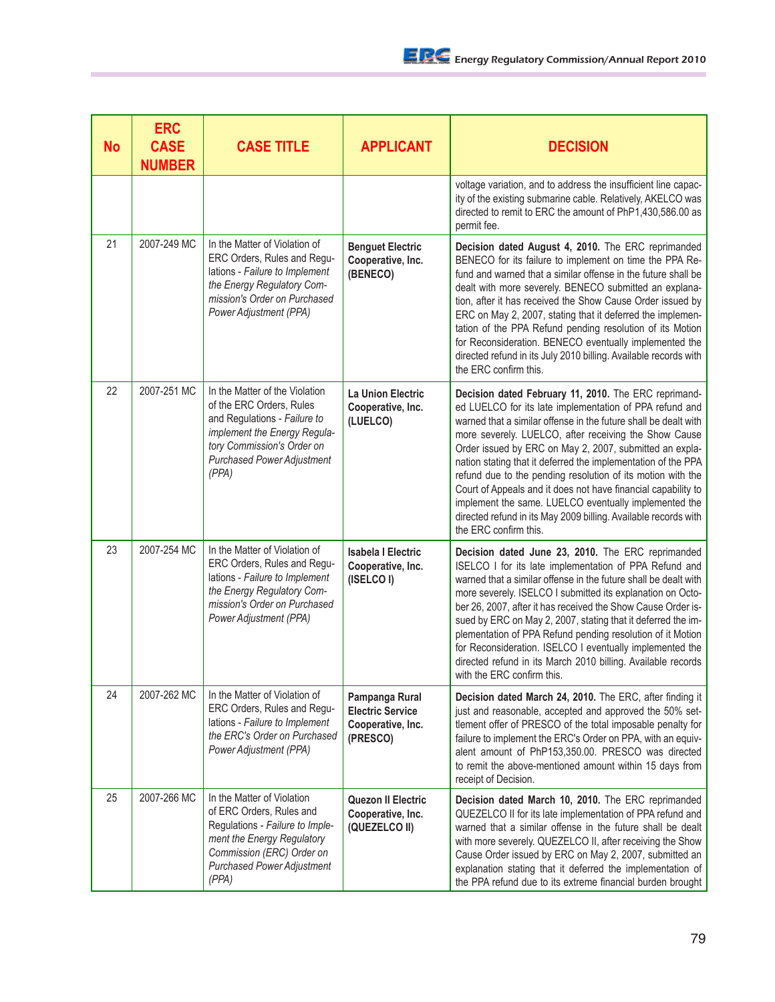| <b>No</b> | <b>ERC</b><br><b>CASE</b><br><b>NUMBER</b> | <b>CASE TITLE</b>                                                                                                                                                                                      | <b>APPLICANT</b>                                                           | <b>DECISION</b>                                                                                                                                                                                                                                                                                                                                                                                                                                                                                                                                                                                                                                              |
|-----------|--------------------------------------------|--------------------------------------------------------------------------------------------------------------------------------------------------------------------------------------------------------|----------------------------------------------------------------------------|--------------------------------------------------------------------------------------------------------------------------------------------------------------------------------------------------------------------------------------------------------------------------------------------------------------------------------------------------------------------------------------------------------------------------------------------------------------------------------------------------------------------------------------------------------------------------------------------------------------------------------------------------------------|
|           |                                            |                                                                                                                                                                                                        |                                                                            | voltage variation, and to address the insufficient line capac-<br>ity of the existing submarine cable. Relatively, AKELCO was<br>directed to remit to ERC the amount of PhP1,430,586.00 as<br>permit fee.                                                                                                                                                                                                                                                                                                                                                                                                                                                    |
| 21        | 2007-249 MC                                | In the Matter of Violation of<br>ERC Orders, Rules and Regu-<br>lations - Failure to Implement<br>the Energy Regulatory Com-<br>mission's Order on Purchased<br>Power Adjustment (PPA)                 | <b>Benguet Electric</b><br>Cooperative, Inc.<br>(BENECO)                   | Decision dated August 4, 2010. The ERC reprimanded<br>BENECO for its failure to implement on time the PPA Re-<br>fund and warned that a similar offense in the future shall be<br>dealt with more severely. BENECO submitted an explana-<br>tion, after it has received the Show Cause Order issued by<br>ERC on May 2, 2007, stating that it deferred the implemen-<br>tation of the PPA Refund pending resolution of its Motion<br>for Reconsideration. BENECO eventually implemented the<br>directed refund in its July 2010 billing. Available records with<br>the ERC confirm this.                                                                     |
| 22        | 2007-251 MC                                | In the Matter of the Violation<br>of the ERC Orders, Rules<br>and Regulations - Failure to<br>implement the Energy Regula-<br>tory Commission's Order on<br><b>Purchased Power Adjustment</b><br>(PPA) | <b>La Union Electric</b><br>Cooperative, Inc.<br>(LUELCO)                  | Decision dated February 11, 2010. The ERC reprimand-<br>ed LUELCO for its late implementation of PPA refund and<br>warned that a similar offense in the future shall be dealt with<br>more severely. LUELCO, after receiving the Show Cause<br>Order issued by ERC on May 2, 2007, submitted an expla-<br>nation stating that it deferred the implementation of the PPA<br>refund due to the pending resolution of its motion with the<br>Court of Appeals and it does not have financial capability to<br>implement the same. LUELCO eventually implemented the<br>directed refund in its May 2009 billing. Available records with<br>the ERC confirm this. |
| 23        | 2007-254 MC                                | In the Matter of Violation of<br>ERC Orders, Rules and Regu-<br>lations - Failure to Implement<br>the Energy Regulatory Com-<br>mission's Order on Purchased<br>Power Adjustment (PPA)                 | <b>Isabela I Electric</b><br>Cooperative, Inc.<br>(ISELCO I)               | Decision dated June 23, 2010. The ERC reprimanded<br>ISELCO I for its late implementation of PPA Refund and<br>warned that a similar offense in the future shall be dealt with<br>more severely. ISELCO I submitted its explanation on Octo-<br>ber 26, 2007, after it has received the Show Cause Order is-<br>sued by ERC on May 2, 2007, stating that it deferred the im-<br>plementation of PPA Refund pending resolution of it Motion<br>for Reconsideration. ISELCO I eventually implemented the<br>directed refund in its March 2010 billing. Available records<br>with the ERC confirm this.                                                         |
| 24        | 2007-262 MC                                | In the Matter of Violation of<br>ERC Orders, Rules and Regu-<br>lations - Failure to Implement<br>the ERC's Order on Purchased<br>Power Adjustment (PPA)                                               | Pampanga Rural<br><b>Electric Service</b><br>Cooperative, Inc.<br>(PRESCO) | Decision dated March 24, 2010. The ERC, after finding it<br>just and reasonable, accepted and approved the 50% set-<br>tlement offer of PRESCO of the total imposable penalty for<br>failure to implement the ERC's Order on PPA, with an equiv-<br>alent amount of PhP153,350.00. PRESCO was directed<br>to remit the above-mentioned amount within 15 days from<br>receipt of Decision.                                                                                                                                                                                                                                                                    |
| 25        | 2007-266 MC                                | In the Matter of Violation<br>of ERC Orders, Rules and<br>Regulations - Failure to Imple-<br>ment the Energy Regulatory<br>Commission (ERC) Order on<br><b>Purchased Power Adjustment</b><br>(PPA)     | Quezon II Electric<br>Cooperative, Inc.<br>(QUEZELCO II)                   | Decision dated March 10, 2010. The ERC reprimanded<br>QUEZELCO II for its late implementation of PPA refund and<br>warned that a similar offense in the future shall be dealt<br>with more severely. QUEZELCO II, after receiving the Show<br>Cause Order issued by ERC on May 2, 2007, submitted an<br>explanation stating that it deferred the implementation of<br>the PPA refund due to its extreme financial burden brought                                                                                                                                                                                                                             |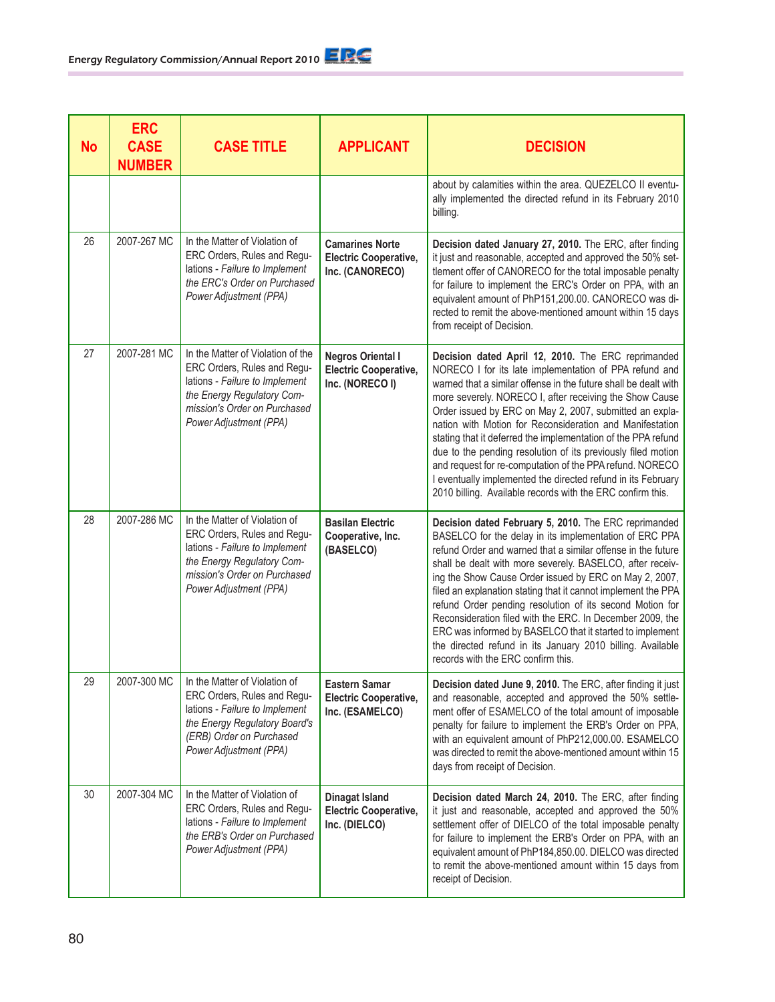| <b>No</b> | <b>ERC</b><br><b>CASE</b><br><b>NUMBER</b> | <b>CASE TITLE</b>                                                                                                                                                                          | <b>APPLICANT</b>                                                            | <b>DECISION</b>                                                                                                                                                                                                                                                                                                                                                                                                                                                                                                                                                                                                                                                                              |
|-----------|--------------------------------------------|--------------------------------------------------------------------------------------------------------------------------------------------------------------------------------------------|-----------------------------------------------------------------------------|----------------------------------------------------------------------------------------------------------------------------------------------------------------------------------------------------------------------------------------------------------------------------------------------------------------------------------------------------------------------------------------------------------------------------------------------------------------------------------------------------------------------------------------------------------------------------------------------------------------------------------------------------------------------------------------------|
|           |                                            |                                                                                                                                                                                            |                                                                             | about by calamities within the area. QUEZELCO II eventu-<br>ally implemented the directed refund in its February 2010<br>billing.                                                                                                                                                                                                                                                                                                                                                                                                                                                                                                                                                            |
| 26        | 2007-267 MC                                | In the Matter of Violation of<br>ERC Orders, Rules and Regu-<br>lations - Failure to Implement<br>the ERC's Order on Purchased<br>Power Adjustment (PPA)                                   | <b>Camarines Norte</b><br><b>Electric Cooperative,</b><br>Inc. (CANORECO)   | Decision dated January 27, 2010. The ERC, after finding<br>it just and reasonable, accepted and approved the 50% set-<br>tlement offer of CANORECO for the total imposable penalty<br>for failure to implement the ERC's Order on PPA, with an<br>equivalent amount of PhP151,200.00. CANORECO was di-<br>rected to remit the above-mentioned amount within 15 days<br>from receipt of Decision.                                                                                                                                                                                                                                                                                             |
| 27        | 2007-281 MC                                | In the Matter of Violation of the<br>ERC Orders, Rules and Regu-<br>lations - Failure to Implement<br>the Energy Regulatory Com-<br>mission's Order on Purchased<br>Power Adjustment (PPA) | <b>Negros Oriental I</b><br><b>Electric Cooperative,</b><br>Inc. (NORECO I) | Decision dated April 12, 2010. The ERC reprimanded<br>NORECO I for its late implementation of PPA refund and<br>warned that a similar offense in the future shall be dealt with<br>more severely. NORECO I, after receiving the Show Cause<br>Order issued by ERC on May 2, 2007, submitted an expla-<br>nation with Motion for Reconsideration and Manifestation<br>stating that it deferred the implementation of the PPA refund<br>due to the pending resolution of its previously filed motion<br>and request for re-computation of the PPA refund. NORECO<br>I eventually implemented the directed refund in its February<br>2010 billing. Available records with the ERC confirm this. |
| 28        | 2007-286 MC                                | In the Matter of Violation of<br>ERC Orders, Rules and Regu-<br>lations - Failure to Implement<br>the Energy Regulatory Com-<br>mission's Order on Purchased<br>Power Adjustment (PPA)     | <b>Basilan Electric</b><br>Cooperative, Inc.<br>(BASELCO)                   | Decision dated February 5, 2010. The ERC reprimanded<br>BASELCO for the delay in its implementation of ERC PPA<br>refund Order and warned that a similar offense in the future<br>shall be dealt with more severely. BASELCO, after receiv-<br>ing the Show Cause Order issued by ERC on May 2, 2007,<br>filed an explanation stating that it cannot implement the PPA<br>refund Order pending resolution of its second Motion for<br>Reconsideration filed with the ERC. In December 2009, the<br>ERC was informed by BASELCO that it started to implement<br>the directed refund in its January 2010 billing. Available<br>records with the ERC confirm this.                              |
| 29        | 2007-300 MC                                | In the Matter of Violation of<br>ERC Orders, Rules and Regu-<br>lations - Failure to Implement<br>the Energy Regulatory Board's<br>(ERB) Order on Purchased<br>Power Adjustment (PPA)      | <b>Eastern Samar</b><br><b>Electric Cooperative,</b><br>Inc. (ESAMELCO)     | Decision dated June 9, 2010. The ERC, after finding it just<br>and reasonable, accepted and approved the 50% settle-<br>ment offer of ESAMELCO of the total amount of imposable<br>penalty for failure to implement the ERB's Order on PPA,<br>with an equivalent amount of PhP212,000.00. ESAMELCO<br>was directed to remit the above-mentioned amount within 15<br>days from receipt of Decision.                                                                                                                                                                                                                                                                                          |
| 30        | 2007-304 MC                                | In the Matter of Violation of<br>ERC Orders, Rules and Regu-<br>lations - Failure to Implement<br>the ERB's Order on Purchased<br>Power Adjustment (PPA)                                   | Dinagat Island<br><b>Electric Cooperative,</b><br>Inc. (DIELCO)             | Decision dated March 24, 2010. The ERC, after finding<br>it just and reasonable, accepted and approved the 50%<br>settlement offer of DIELCO of the total imposable penalty<br>for failure to implement the ERB's Order on PPA, with an<br>equivalent amount of PhP184,850.00. DIELCO was directed<br>to remit the above-mentioned amount within 15 days from<br>receipt of Decision.                                                                                                                                                                                                                                                                                                        |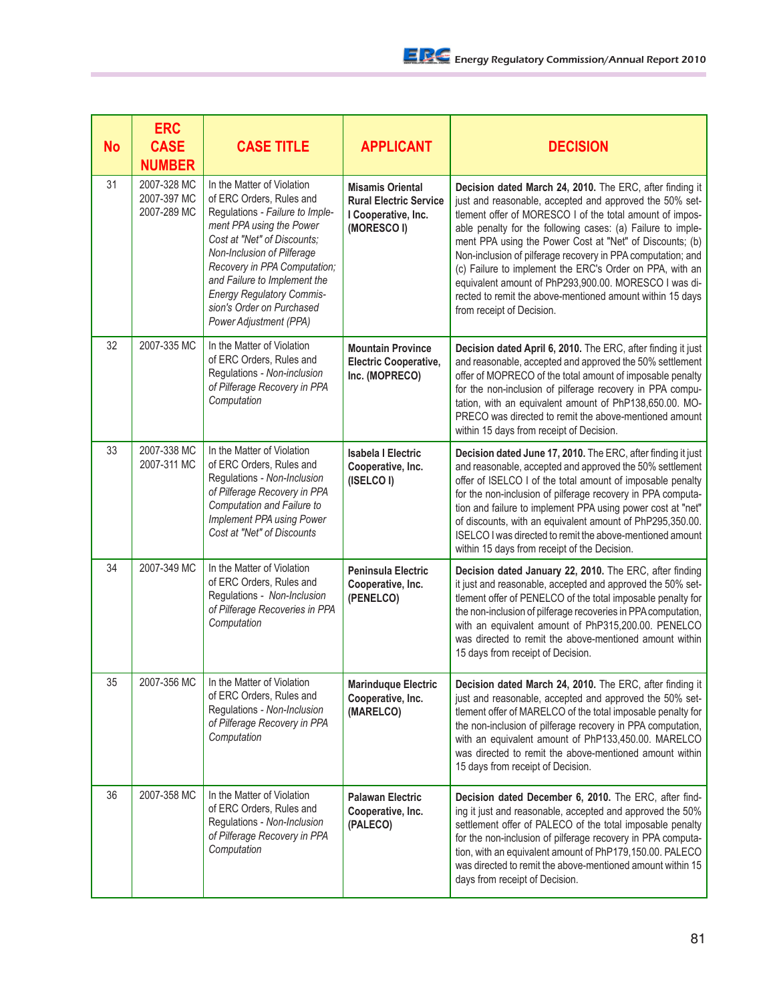| <b>No</b> | <b>ERC</b><br><b>CASE</b><br><b>NUMBER</b> | <b>CASE TITLE</b>                                                                                                                                                                                                                                                                                                                             | <b>APPLICANT</b>                                                                               | <b>DECISION</b>                                                                                                                                                                                                                                                                                                                                                                                                                                                                                                                                                                          |
|-----------|--------------------------------------------|-----------------------------------------------------------------------------------------------------------------------------------------------------------------------------------------------------------------------------------------------------------------------------------------------------------------------------------------------|------------------------------------------------------------------------------------------------|------------------------------------------------------------------------------------------------------------------------------------------------------------------------------------------------------------------------------------------------------------------------------------------------------------------------------------------------------------------------------------------------------------------------------------------------------------------------------------------------------------------------------------------------------------------------------------------|
| 31        | 2007-328 MC<br>2007-397 MC<br>2007-289 MC  | In the Matter of Violation<br>of ERC Orders, Rules and<br>Regulations - Failure to Imple-<br>ment PPA using the Power<br>Cost at "Net" of Discounts;<br>Non-Inclusion of Pilferage<br>Recovery in PPA Computation;<br>and Failure to Implement the<br><b>Energy Regulatory Commis-</b><br>sion's Order on Purchased<br>Power Adjustment (PPA) | <b>Misamis Oriental</b><br><b>Rural Electric Service</b><br>I Cooperative, Inc.<br>(MORESCO I) | Decision dated March 24, 2010. The ERC, after finding it<br>just and reasonable, accepted and approved the 50% set-<br>tlement offer of MORESCO I of the total amount of impos-<br>able penalty for the following cases: (a) Failure to imple-<br>ment PPA using the Power Cost at "Net" of Discounts; (b)<br>Non-inclusion of pilferage recovery in PPA computation; and<br>(c) Failure to implement the ERC's Order on PPA, with an<br>equivalent amount of PhP293,900.00. MORESCO I was di-<br>rected to remit the above-mentioned amount within 15 days<br>from receipt of Decision. |
| 32        | 2007-335 MC                                | In the Matter of Violation<br>of ERC Orders, Rules and<br>Regulations - Non-inclusion<br>of Pilferage Recovery in PPA<br>Computation                                                                                                                                                                                                          | <b>Mountain Province</b><br><b>Electric Cooperative,</b><br>Inc. (MOPRECO)                     | Decision dated April 6, 2010. The ERC, after finding it just<br>and reasonable, accepted and approved the 50% settlement<br>offer of MOPRECO of the total amount of imposable penalty<br>for the non-inclusion of pilferage recovery in PPA compu-<br>tation, with an equivalent amount of PhP138,650.00. MO-<br>PRECO was directed to remit the above-mentioned amount<br>within 15 days from receipt of Decision.                                                                                                                                                                      |
| 33        | 2007-338 MC<br>2007-311 MC                 | In the Matter of Violation<br>of ERC Orders, Rules and<br>Regulations - Non-Inclusion<br>of Pilferage Recovery in PPA<br>Computation and Failure to<br>Implement PPA using Power<br>Cost at "Net" of Discounts                                                                                                                                | <b>Isabela I Electric</b><br>Cooperative, Inc.<br>(ISELCO I)                                   | Decision dated June 17, 2010. The ERC, after finding it just<br>and reasonable, accepted and approved the 50% settlement<br>offer of ISELCO I of the total amount of imposable penalty<br>for the non-inclusion of pilferage recovery in PPA computa-<br>tion and failure to implement PPA using power cost at "net"<br>of discounts, with an equivalent amount of PhP295,350.00.<br>ISELCO I was directed to remit the above-mentioned amount<br>within 15 days from receipt of the Decision.                                                                                           |
| 34        | 2007-349 MC                                | In the Matter of Violation<br>of ERC Orders, Rules and<br>Regulations - Non-Inclusion<br>of Pilferage Recoveries in PPA<br>Computation                                                                                                                                                                                                        | <b>Peninsula Electric</b><br>Cooperative, Inc.<br>(PENELCO)                                    | Decision dated January 22, 2010. The ERC, after finding<br>it just and reasonable, accepted and approved the 50% set-<br>tlement offer of PENELCO of the total imposable penalty for<br>the non-inclusion of pilferage recoveries in PPA computation,<br>with an equivalent amount of PhP315,200.00. PENELCO<br>was directed to remit the above-mentioned amount within<br>15 days from receipt of Decision.                                                                                                                                                                             |
| 35        | 2007-356 MC                                | In the Matter of Violation<br>of ERC Orders, Rules and<br>Regulations - Non-Inclusion<br>of Pilferage Recovery in PPA<br>Computation                                                                                                                                                                                                          | <b>Marinduque Electric</b><br>Cooperative, Inc.<br>(MARELCO)                                   | Decision dated March 24, 2010. The ERC, after finding it<br>just and reasonable, accepted and approved the 50% set-<br>tlement offer of MARELCO of the total imposable penalty for<br>the non-inclusion of pilferage recovery in PPA computation,<br>with an equivalent amount of PhP133,450.00. MARELCO<br>was directed to remit the above-mentioned amount within<br>15 days from receipt of Decision.                                                                                                                                                                                 |
| 36        | 2007-358 MC                                | In the Matter of Violation<br>of ERC Orders, Rules and<br>Regulations - Non-Inclusion<br>of Pilferage Recovery in PPA<br>Computation                                                                                                                                                                                                          | <b>Palawan Electric</b><br>Cooperative, Inc.<br>(PALECO)                                       | Decision dated December 6, 2010. The ERC, after find-<br>ing it just and reasonable, accepted and approved the 50%<br>settlement offer of PALECO of the total imposable penalty<br>for the non-inclusion of pilferage recovery in PPA computa-<br>tion, with an equivalent amount of PhP179,150.00. PALECO<br>was directed to remit the above-mentioned amount within 15<br>days from receipt of Decision.                                                                                                                                                                               |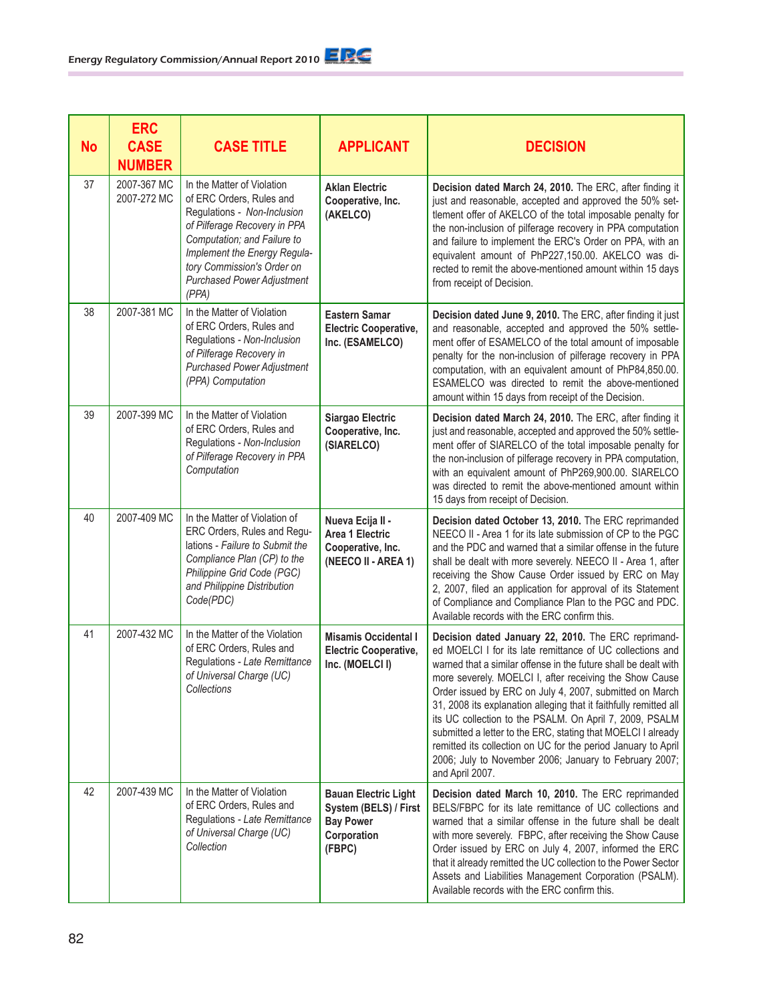| <b>No</b> | <b>ERC</b><br><b>CASE</b><br><b>NUMBER</b> | <b>CASE TITLE</b>                                                                                                                                                                                                                                                | <b>APPLICANT</b>                                                                                  | <b>DECISION</b>                                                                                                                                                                                                                                                                                                                                                                                                                                                                                                                                                                                                                                         |
|-----------|--------------------------------------------|------------------------------------------------------------------------------------------------------------------------------------------------------------------------------------------------------------------------------------------------------------------|---------------------------------------------------------------------------------------------------|---------------------------------------------------------------------------------------------------------------------------------------------------------------------------------------------------------------------------------------------------------------------------------------------------------------------------------------------------------------------------------------------------------------------------------------------------------------------------------------------------------------------------------------------------------------------------------------------------------------------------------------------------------|
| 37        | 2007-367 MC<br>2007-272 MC                 | In the Matter of Violation<br>of ERC Orders, Rules and<br>Regulations - Non-Inclusion<br>of Pilferage Recovery in PPA<br>Computation; and Failure to<br>Implement the Energy Regula-<br>tory Commission's Order on<br><b>Purchased Power Adjustment</b><br>(PPA) | <b>Aklan Electric</b><br>Cooperative, Inc.<br>(AKELCO)                                            | Decision dated March 24, 2010. The ERC, after finding it<br>just and reasonable, accepted and approved the 50% set-<br>tlement offer of AKELCO of the total imposable penalty for<br>the non-inclusion of pilferage recovery in PPA computation<br>and failure to implement the ERC's Order on PPA, with an<br>equivalent amount of PhP227,150.00. AKELCO was di-<br>rected to remit the above-mentioned amount within 15 days<br>from receipt of Decision.                                                                                                                                                                                             |
| 38        | 2007-381 MC                                | In the Matter of Violation<br>of ERC Orders, Rules and<br>Regulations - Non-Inclusion<br>of Pilferage Recovery in<br><b>Purchased Power Adjustment</b><br>(PPA) Computation                                                                                      | <b>Eastern Samar</b><br><b>Electric Cooperative,</b><br>Inc. (ESAMELCO)                           | Decision dated June 9, 2010. The ERC, after finding it just<br>and reasonable, accepted and approved the 50% settle-<br>ment offer of ESAMELCO of the total amount of imposable<br>penalty for the non-inclusion of pilferage recovery in PPA<br>computation, with an equivalent amount of PhP84,850.00.<br>ESAMELCO was directed to remit the above-mentioned<br>amount within 15 days from receipt of the Decision.                                                                                                                                                                                                                                   |
| 39        | 2007-399 MC                                | In the Matter of Violation<br>of ERC Orders, Rules and<br>Regulations - Non-Inclusion<br>of Pilferage Recovery in PPA<br>Computation                                                                                                                             | Siargao Electric<br>Cooperative, Inc.<br>(SIARELCO)                                               | Decision dated March 24, 2010. The ERC, after finding it<br>just and reasonable, accepted and approved the 50% settle-<br>ment offer of SIARELCO of the total imposable penalty for<br>the non-inclusion of pilferage recovery in PPA computation,<br>with an equivalent amount of PhP269,900.00. SIARELCO<br>was directed to remit the above-mentioned amount within<br>15 days from receipt of Decision.                                                                                                                                                                                                                                              |
| 40        | 2007-409 MC                                | In the Matter of Violation of<br>ERC Orders, Rules and Regu-<br>lations - Failure to Submit the<br>Compliance Plan (CP) to the<br>Philippine Grid Code (PGC)<br>and Philippine Distribution<br>Code(PDC)                                                         | Nueva Ecija II -<br>Area 1 Electric<br>Cooperative, Inc.<br>(NEECO II - AREA 1)                   | Decision dated October 13, 2010. The ERC reprimanded<br>NEECO II - Area 1 for its late submission of CP to the PGC<br>and the PDC and warned that a similar offense in the future<br>shall be dealt with more severely. NEECO II - Area 1, after<br>receiving the Show Cause Order issued by ERC on May<br>2, 2007, filed an application for approval of its Statement<br>of Compliance and Compliance Plan to the PGC and PDC.<br>Available records with the ERC confirm this.                                                                                                                                                                         |
| 41        | 2007-432 MC                                | In the Matter of the Violation<br>of ERC Orders, Rules and<br>Regulations - Late Remittance<br>of Universal Charge (UC)<br>Collections                                                                                                                           | <b>Misamis Occidental I</b><br><b>Electric Cooperative,</b><br>Inc. (MOELCI I)                    | Decision dated January 22, 2010. The ERC reprimand-<br>ed MOELCI I for its late remittance of UC collections and<br>warned that a similar offense in the future shall be dealt with<br>more severely. MOELCI I, after receiving the Show Cause<br>Order issued by ERC on July 4, 2007, submitted on March<br>31, 2008 its explanation alleging that it faithfully remitted all<br>its UC collection to the PSALM. On April 7, 2009, PSALM<br>submitted a letter to the ERC, stating that MOELCI I already<br>remitted its collection on UC for the period January to April<br>2006; July to November 2006; January to February 2007;<br>and April 2007. |
| 42        | 2007-439 MC                                | In the Matter of Violation<br>of ERC Orders, Rules and<br>Regulations - Late Remittance<br>of Universal Charge (UC)<br>Collection                                                                                                                                | <b>Bauan Electric Light</b><br>System (BELS) / First<br><b>Bay Power</b><br>Corporation<br>(FBPC) | Decision dated March 10, 2010. The ERC reprimanded<br>BELS/FBPC for its late remittance of UC collections and<br>warned that a similar offense in the future shall be dealt<br>with more severely. FBPC, after receiving the Show Cause<br>Order issued by ERC on July 4, 2007, informed the ERC<br>that it already remitted the UC collection to the Power Sector<br>Assets and Liabilities Management Corporation (PSALM).<br>Available records with the ERC confirm this.                                                                                                                                                                            |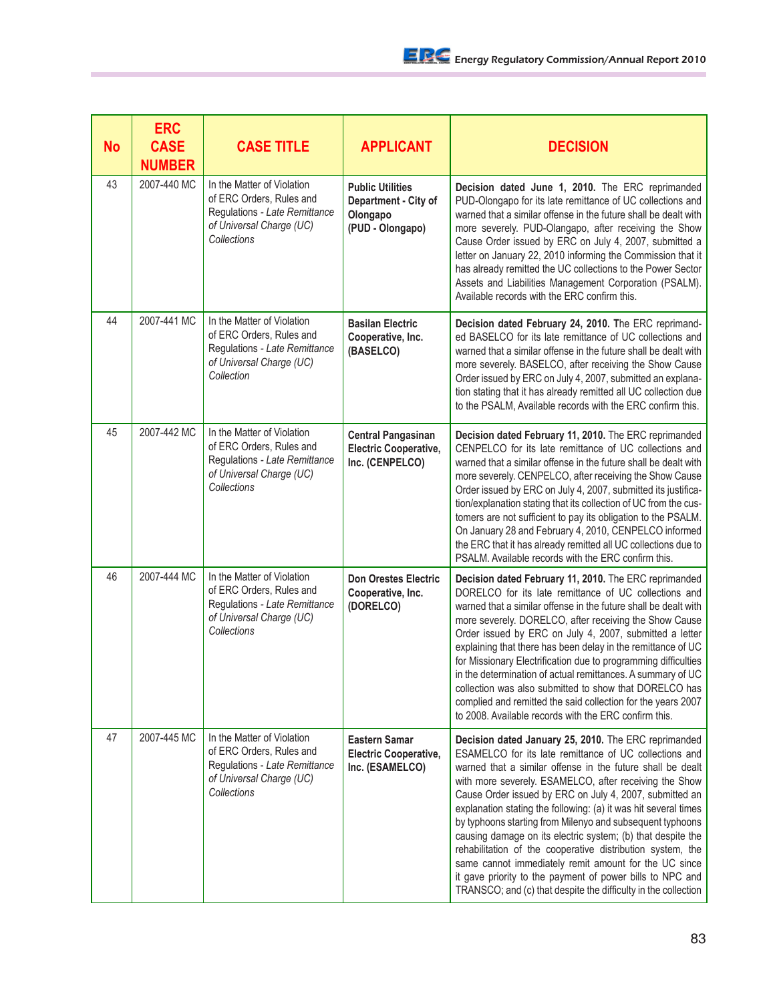| <b>No</b> | <b>ERC</b><br><b>CASE</b><br><b>NUMBER</b> | <b>CASE TITLE</b>                                                                                                                  | <b>APPLICANT</b>                                                                | <b>DECISION</b>                                                                                                                                                                                                                                                                                                                                                                                                                                                                                                                                                                                                                                                                                                                                        |
|-----------|--------------------------------------------|------------------------------------------------------------------------------------------------------------------------------------|---------------------------------------------------------------------------------|--------------------------------------------------------------------------------------------------------------------------------------------------------------------------------------------------------------------------------------------------------------------------------------------------------------------------------------------------------------------------------------------------------------------------------------------------------------------------------------------------------------------------------------------------------------------------------------------------------------------------------------------------------------------------------------------------------------------------------------------------------|
| 43        | 2007-440 MC                                | In the Matter of Violation<br>of ERC Orders, Rules and<br>Regulations - Late Remittance<br>of Universal Charge (UC)<br>Collections | <b>Public Utilities</b><br>Department - City of<br>Olongapo<br>(PUD - Olongapo) | Decision dated June 1, 2010. The ERC reprimanded<br>PUD-Olongapo for its late remittance of UC collections and<br>warned that a similar offense in the future shall be dealt with<br>more severely. PUD-Olangapo, after receiving the Show<br>Cause Order issued by ERC on July 4, 2007, submitted a<br>letter on January 22, 2010 informing the Commission that it<br>has already remitted the UC collections to the Power Sector<br>Assets and Liabilities Management Corporation (PSALM).<br>Available records with the ERC confirm this.                                                                                                                                                                                                           |
| 44        | 2007-441 MC                                | In the Matter of Violation<br>of ERC Orders, Rules and<br>Regulations - Late Remittance<br>of Universal Charge (UC)<br>Collection  | <b>Basilan Electric</b><br>Cooperative, Inc.<br>(BASELCO)                       | Decision dated February 24, 2010. The ERC reprimand-<br>ed BASELCO for its late remittance of UC collections and<br>warned that a similar offense in the future shall be dealt with<br>more severely. BASELCO, after receiving the Show Cause<br>Order issued by ERC on July 4, 2007, submitted an explana-<br>tion stating that it has already remitted all UC collection due<br>to the PSALM, Available records with the ERC confirm this.                                                                                                                                                                                                                                                                                                           |
| 45        | 2007-442 MC                                | In the Matter of Violation<br>of ERC Orders, Rules and<br>Regulations - Late Remittance<br>of Universal Charge (UC)<br>Collections | <b>Central Pangasinan</b><br><b>Electric Cooperative,</b><br>Inc. (CENPELCO)    | Decision dated February 11, 2010. The ERC reprimanded<br>CENPELCO for its late remittance of UC collections and<br>warned that a similar offense in the future shall be dealt with<br>more severely. CENPELCO, after receiving the Show Cause<br>Order issued by ERC on July 4, 2007, submitted its justifica-<br>tion/explanation stating that its collection of UC from the cus-<br>tomers are not sufficient to pay its obligation to the PSALM.<br>On January 28 and February 4, 2010, CENPELCO informed<br>the ERC that it has already remitted all UC collections due to<br>PSALM. Available records with the ERC confirm this.                                                                                                                  |
| 46        | 2007-444 MC                                | In the Matter of Violation<br>of ERC Orders, Rules and<br>Regulations - Late Remittance<br>of Universal Charge (UC)<br>Collections | <b>Don Orestes Electric</b><br>Cooperative, Inc.<br>(DORELCO)                   | Decision dated February 11, 2010. The ERC reprimanded<br>DORELCO for its late remittance of UC collections and<br>warned that a similar offense in the future shall be dealt with<br>more severely. DORELCO, after receiving the Show Cause<br>Order issued by ERC on July 4, 2007, submitted a letter<br>explaining that there has been delay in the remittance of UC<br>for Missionary Electrification due to programming difficulties<br>in the determination of actual remittances. A summary of UC<br>collection was also submitted to show that DORELCO has<br>complied and remitted the said collection for the years 2007<br>to 2008. Available records with the ERC confirm this.                                                             |
| 47        | 2007-445 MC                                | In the Matter of Violation<br>of ERC Orders, Rules and<br>Regulations - Late Remittance<br>of Universal Charge (UC)<br>Collections | <b>Eastern Samar</b><br><b>Electric Cooperative,</b><br>Inc. (ESAMELCO)         | Decision dated January 25, 2010. The ERC reprimanded<br>ESAMELCO for its late remittance of UC collections and<br>warned that a similar offense in the future shall be dealt<br>with more severely. ESAMELCO, after receiving the Show<br>Cause Order issued by ERC on July 4, 2007, submitted an<br>explanation stating the following: (a) it was hit several times<br>by typhoons starting from Milenyo and subsequent typhoons<br>causing damage on its electric system; (b) that despite the<br>rehabilitation of the cooperative distribution system, the<br>same cannot immediately remit amount for the UC since<br>it gave priority to the payment of power bills to NPC and<br>TRANSCO; and (c) that despite the difficulty in the collection |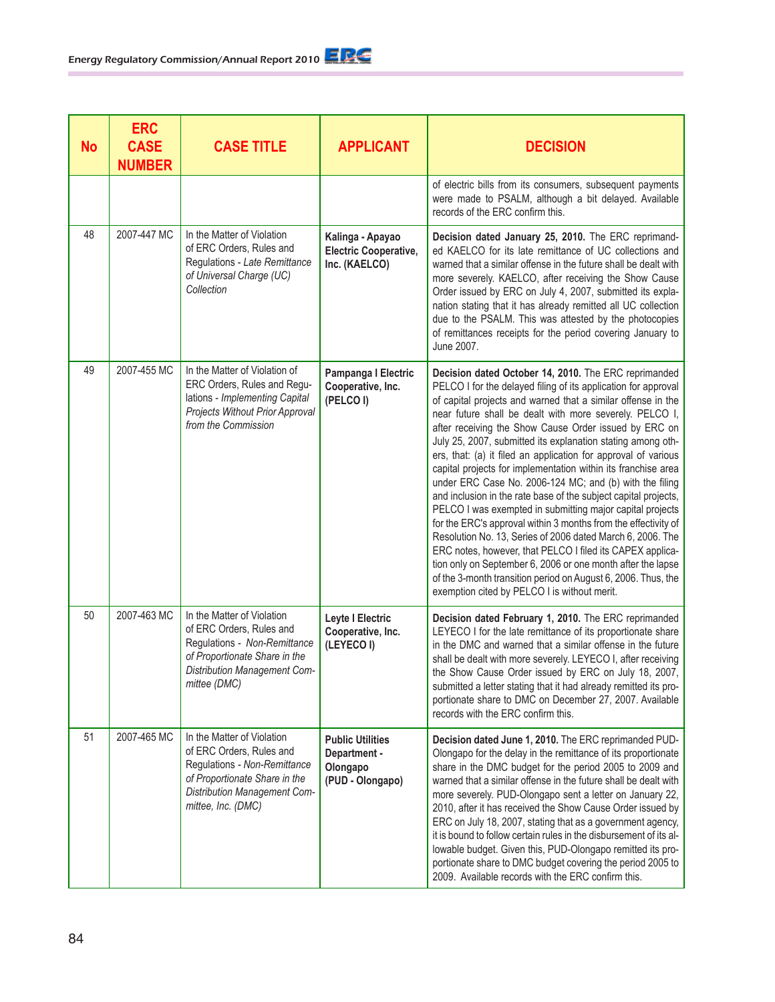| <b>No</b> | <b>ERC</b><br><b>CASE</b><br><b>NUMBER</b> | <b>CASE TITLE</b>                                                                                                                                                             | <b>APPLICANT</b>                                                        | <b>DECISION</b>                                                                                                                                                                                                                                                                                                                                                                                                                                                                                                                                                                                                                                                                                                                                                                                                                                                                                                                                                                                                                                                                      |
|-----------|--------------------------------------------|-------------------------------------------------------------------------------------------------------------------------------------------------------------------------------|-------------------------------------------------------------------------|--------------------------------------------------------------------------------------------------------------------------------------------------------------------------------------------------------------------------------------------------------------------------------------------------------------------------------------------------------------------------------------------------------------------------------------------------------------------------------------------------------------------------------------------------------------------------------------------------------------------------------------------------------------------------------------------------------------------------------------------------------------------------------------------------------------------------------------------------------------------------------------------------------------------------------------------------------------------------------------------------------------------------------------------------------------------------------------|
|           |                                            |                                                                                                                                                                               |                                                                         | of electric bills from its consumers, subsequent payments<br>were made to PSALM, although a bit delayed. Available<br>records of the ERC confirm this.                                                                                                                                                                                                                                                                                                                                                                                                                                                                                                                                                                                                                                                                                                                                                                                                                                                                                                                               |
| 48        | 2007-447 MC                                | In the Matter of Violation<br>of ERC Orders, Rules and<br>Regulations - Late Remittance<br>of Universal Charge (UC)<br>Collection                                             | Kalinga - Apayao<br><b>Electric Cooperative,</b><br>Inc. (KAELCO)       | Decision dated January 25, 2010. The ERC reprimand-<br>ed KAELCO for its late remittance of UC collections and<br>warned that a similar offense in the future shall be dealt with<br>more severely. KAELCO, after receiving the Show Cause<br>Order issued by ERC on July 4, 2007, submitted its expla-<br>nation stating that it has already remitted all UC collection<br>due to the PSALM. This was attested by the photocopies<br>of remittances receipts for the period covering January to<br>June 2007.                                                                                                                                                                                                                                                                                                                                                                                                                                                                                                                                                                       |
| 49        | 2007-455 MC                                | In the Matter of Violation of<br>ERC Orders, Rules and Regu-<br>lations - Implementing Capital<br>Projects Without Prior Approval<br>from the Commission                      | Pampanga I Electric<br>Cooperative, Inc.<br>(PELCOI)                    | Decision dated October 14, 2010. The ERC reprimanded<br>PELCO I for the delayed filing of its application for approval<br>of capital projects and warned that a similar offense in the<br>near future shall be dealt with more severely. PELCO I,<br>after receiving the Show Cause Order issued by ERC on<br>July 25, 2007, submitted its explanation stating among oth-<br>ers, that: (a) it filed an application for approval of various<br>capital projects for implementation within its franchise area<br>under ERC Case No. 2006-124 MC; and (b) with the filing<br>and inclusion in the rate base of the subject capital projects,<br>PELCO I was exempted in submitting major capital projects<br>for the ERC's approval within 3 months from the effectivity of<br>Resolution No. 13, Series of 2006 dated March 6, 2006. The<br>ERC notes, however, that PELCO I filed its CAPEX applica-<br>tion only on September 6, 2006 or one month after the lapse<br>of the 3-month transition period on August 6, 2006. Thus, the<br>exemption cited by PELCO I is without merit. |
| 50        | 2007-463 MC                                | In the Matter of Violation<br>of ERC Orders, Rules and<br>Regulations - Non-Remittance<br>of Proportionate Share in the<br>Distribution Management Com-<br>mittee (DMC)       | <b>Leyte I Electric</b><br>Cooperative, Inc.<br>(LEYECO I)              | Decision dated February 1, 2010. The ERC reprimanded<br>LEYECO I for the late remittance of its proportionate share<br>in the DMC and warned that a similar offense in the future<br>shall be dealt with more severely. LEYECO I, after receiving<br>the Show Cause Order issued by ERC on July 18, 2007,<br>submitted a letter stating that it had already remitted its pro-<br>portionate share to DMC on December 27, 2007. Available<br>records with the ERC confirm this.                                                                                                                                                                                                                                                                                                                                                                                                                                                                                                                                                                                                       |
| 51        | 2007-465 MC                                | In the Matter of Violation<br>of ERC Orders, Rules and<br>Regulations - Non-Remittance<br>of Proportionate Share in the<br>Distribution Management Com-<br>mittee, Inc. (DMC) | <b>Public Utilities</b><br>Department -<br>Olongapo<br>(PUD - Olongapo) | Decision dated June 1, 2010. The ERC reprimanded PUD-<br>Olongapo for the delay in the remittance of its proportionate<br>share in the DMC budget for the period 2005 to 2009 and<br>warned that a similar offense in the future shall be dealt with<br>more severely. PUD-Olongapo sent a letter on January 22,<br>2010, after it has received the Show Cause Order issued by<br>ERC on July 18, 2007, stating that as a government agency,<br>it is bound to follow certain rules in the disbursement of its al-<br>lowable budget. Given this, PUD-Olongapo remitted its pro-<br>portionate share to DMC budget covering the period 2005 to<br>2009. Available records with the ERC confirm this.                                                                                                                                                                                                                                                                                                                                                                                 |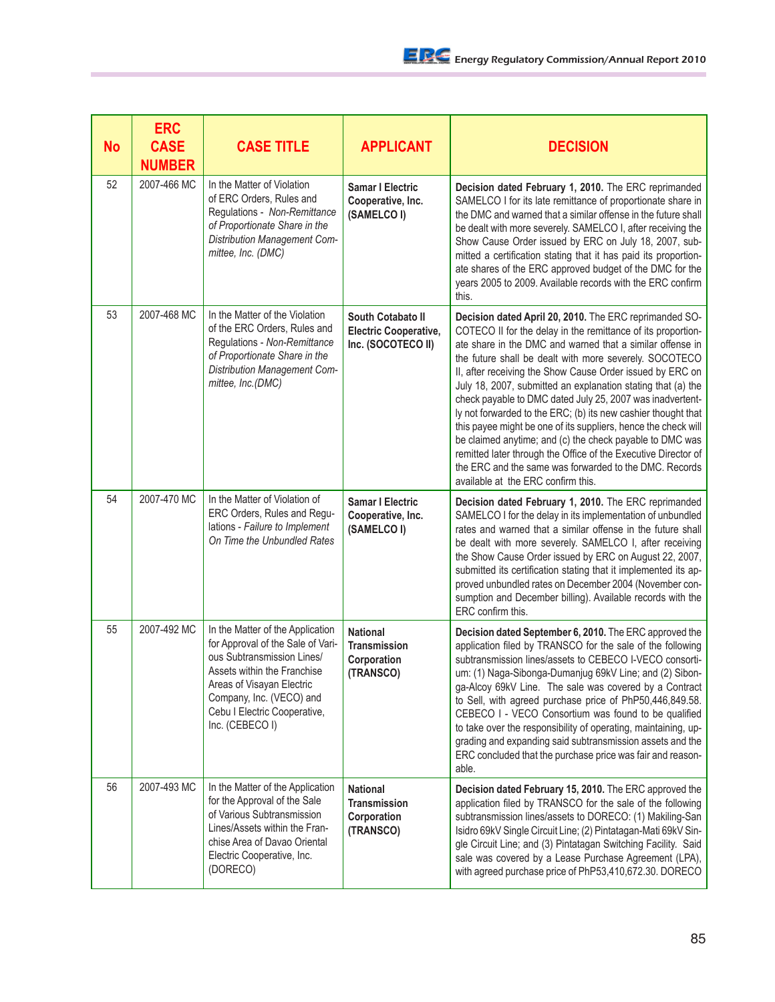| <b>No</b> | <b>ERC</b><br><b>CASE</b><br><b>NUMBER</b> | <b>CASE TITLE</b>                                                                                                                                                                                                                              | <b>APPLICANT</b>                                                        | <b>DECISION</b>                                                                                                                                                                                                                                                                                                                                                                                                                                                                                                                                                                                                                                                                                                                                                                                          |
|-----------|--------------------------------------------|------------------------------------------------------------------------------------------------------------------------------------------------------------------------------------------------------------------------------------------------|-------------------------------------------------------------------------|----------------------------------------------------------------------------------------------------------------------------------------------------------------------------------------------------------------------------------------------------------------------------------------------------------------------------------------------------------------------------------------------------------------------------------------------------------------------------------------------------------------------------------------------------------------------------------------------------------------------------------------------------------------------------------------------------------------------------------------------------------------------------------------------------------|
| 52        | 2007-466 MC                                | In the Matter of Violation<br>of ERC Orders, Rules and<br>Regulations - Non-Remittance<br>of Proportionate Share in the<br><b>Distribution Management Com-</b><br>mittee, Inc. (DMC)                                                           | <b>Samar I Electric</b><br>Cooperative, Inc.<br>(SAMELCO I)             | Decision dated February 1, 2010. The ERC reprimanded<br>SAMELCO I for its late remittance of proportionate share in<br>the DMC and warned that a similar offense in the future shall<br>be dealt with more severely. SAMELCO I, after receiving the<br>Show Cause Order issued by ERC on July 18, 2007, sub-<br>mitted a certification stating that it has paid its proportion-<br>ate shares of the ERC approved budget of the DMC for the<br>years 2005 to 2009. Available records with the ERC confirm<br>this.                                                                                                                                                                                                                                                                                       |
| 53        | 2007-468 MC                                | In the Matter of the Violation<br>of the ERC Orders, Rules and<br>Regulations - Non-Remittance<br>of Proportionate Share in the<br><b>Distribution Management Com-</b><br>mittee, Inc.(DMC)                                                    | South Cotabato II<br><b>Electric Cooperative,</b><br>Inc. (SOCOTECO II) | Decision dated April 20, 2010. The ERC reprimanded SO-<br>COTECO II for the delay in the remittance of its proportion-<br>ate share in the DMC and warned that a similar offense in<br>the future shall be dealt with more severely. SOCOTECO<br>II, after receiving the Show Cause Order issued by ERC on<br>July 18, 2007, submitted an explanation stating that (a) the<br>check payable to DMC dated July 25, 2007 was inadvertent-<br>ly not forwarded to the ERC; (b) its new cashier thought that<br>this payee might be one of its suppliers, hence the check will<br>be claimed anytime; and (c) the check payable to DMC was<br>remitted later through the Office of the Executive Director of<br>the ERC and the same was forwarded to the DMC. Records<br>available at the ERC confirm this. |
| 54        | 2007-470 MC                                | In the Matter of Violation of<br>ERC Orders, Rules and Regu-<br>lations - Failure to Implement<br>On Time the Unbundled Rates                                                                                                                  | <b>Samar I Electric</b><br>Cooperative, Inc.<br>(SAMELCO I)             | Decision dated February 1, 2010. The ERC reprimanded<br>SAMELCO I for the delay in its implementation of unbundled<br>rates and warned that a similar offense in the future shall<br>be dealt with more severely. SAMELCO I, after receiving<br>the Show Cause Order issued by ERC on August 22, 2007,<br>submitted its certification stating that it implemented its ap-<br>proved unbundled rates on December 2004 (November con-<br>sumption and December billing). Available records with the<br>ERC confirm this.                                                                                                                                                                                                                                                                                   |
| 55        | 2007-492 MC                                | In the Matter of the Application<br>for Approval of the Sale of Vari-<br>ous Subtransmission Lines/<br>Assets within the Franchise<br>Areas of Visayan Electric<br>Company, Inc. (VECO) and<br>Cebu I Electric Cooperative,<br>Inc. (CEBECO I) | <b>National</b><br><b>Transmission</b><br>Corporation<br>(TRANSCO)      | Decision dated September 6, 2010. The ERC approved the<br>application filed by TRANSCO for the sale of the following<br>subtransmission lines/assets to CEBECO I-VECO consorti-<br>um: (1) Naga-Sibonga-Dumanjug 69kV Line; and (2) Sibon-<br>ga-Alcoy 69kV Line. The sale was covered by a Contract<br>to Sell, with agreed purchase price of PhP50,446,849.58.<br>CEBECO I - VECO Consortium was found to be qualified<br>to take over the responsibility of operating, maintaining, up-<br>grading and expanding said subtransmission assets and the<br>ERC concluded that the purchase price was fair and reason-<br>able.                                                                                                                                                                           |
| 56        | 2007-493 MC                                | In the Matter of the Application<br>for the Approval of the Sale<br>of Various Subtransmission<br>Lines/Assets within the Fran-<br>chise Area of Davao Oriental<br>Electric Cooperative, Inc.<br>(DORECO)                                      | <b>National</b><br><b>Transmission</b><br>Corporation<br>(TRANSCO)      | Decision dated February 15, 2010. The ERC approved the<br>application filed by TRANSCO for the sale of the following<br>subtransmission lines/assets to DORECO: (1) Makiling-San<br>Isidro 69kV Single Circuit Line; (2) Pintatagan-Mati 69kV Sin-<br>gle Circuit Line; and (3) Pintatagan Switching Facility. Said<br>sale was covered by a Lease Purchase Agreement (LPA),<br>with agreed purchase price of PhP53,410,672.30. DORECO                                                                                                                                                                                                                                                                                                                                                                   |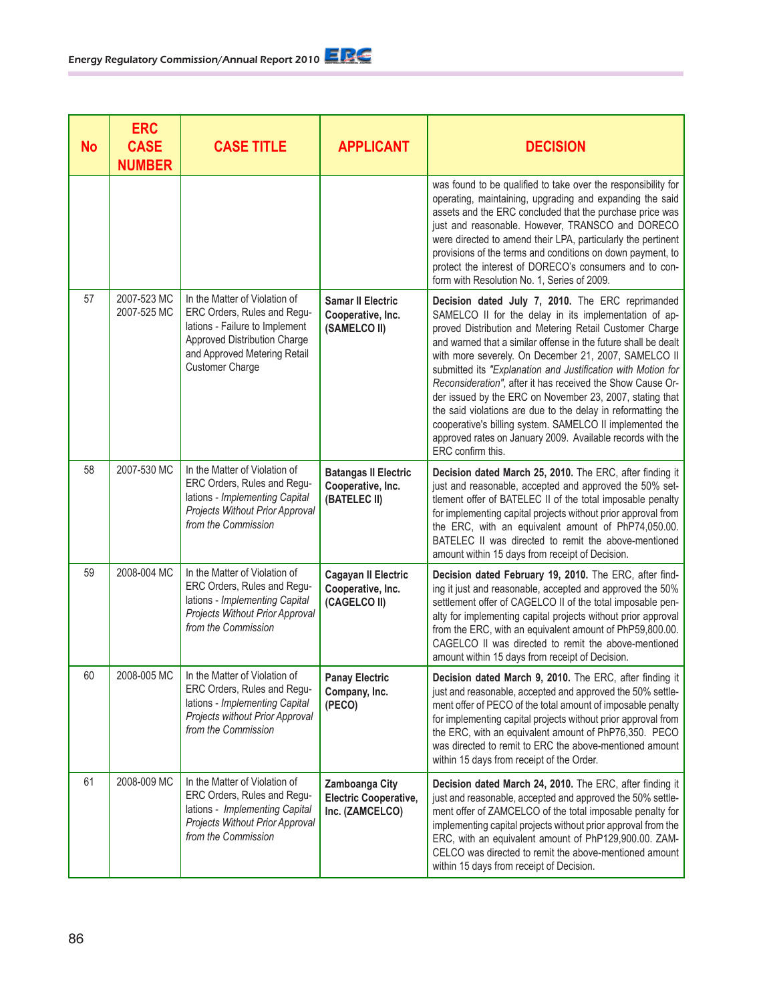| <b>No</b> | <b>ERC</b><br><b>CASE</b><br><b>NUMBER</b> | <b>CASE TITLE</b>                                                                                                                                                                 | <b>APPLICANT</b>                                                  | <b>DECISION</b>                                                                                                                                                                                                                                                                                                                                                                                                                                                                                                                                                                                                                                                                                         |
|-----------|--------------------------------------------|-----------------------------------------------------------------------------------------------------------------------------------------------------------------------------------|-------------------------------------------------------------------|---------------------------------------------------------------------------------------------------------------------------------------------------------------------------------------------------------------------------------------------------------------------------------------------------------------------------------------------------------------------------------------------------------------------------------------------------------------------------------------------------------------------------------------------------------------------------------------------------------------------------------------------------------------------------------------------------------|
|           |                                            |                                                                                                                                                                                   |                                                                   | was found to be qualified to take over the responsibility for<br>operating, maintaining, upgrading and expanding the said<br>assets and the ERC concluded that the purchase price was<br>just and reasonable. However, TRANSCO and DORECO<br>were directed to amend their LPA, particularly the pertinent<br>provisions of the terms and conditions on down payment, to<br>protect the interest of DORECO's consumers and to con-<br>form with Resolution No. 1, Series of 2009.                                                                                                                                                                                                                        |
| 57        | 2007-523 MC<br>2007-525 MC                 | In the Matter of Violation of<br>ERC Orders, Rules and Regu-<br>lations - Failure to Implement<br>Approved Distribution Charge<br>and Approved Metering Retail<br>Customer Charge | <b>Samar II Electric</b><br>Cooperative, Inc.<br>(SAMELCO II)     | Decision dated July 7, 2010. The ERC reprimanded<br>SAMELCO II for the delay in its implementation of ap-<br>proved Distribution and Metering Retail Customer Charge<br>and warned that a similar offense in the future shall be dealt<br>with more severely. On December 21, 2007, SAMELCO II<br>submitted its "Explanation and Justification with Motion for<br>Reconsideration", after it has received the Show Cause Or-<br>der issued by the ERC on November 23, 2007, stating that<br>the said violations are due to the delay in reformatting the<br>cooperative's billing system. SAMELCO II implemented the<br>approved rates on January 2009. Available records with the<br>ERC confirm this. |
| 58        | 2007-530 MC                                | In the Matter of Violation of<br>ERC Orders, Rules and Regu-<br>lations - Implementing Capital<br>Projects Without Prior Approval<br>from the Commission                          | <b>Batangas II Electric</b><br>Cooperative, Inc.<br>(BATELEC II)  | Decision dated March 25, 2010. The ERC, after finding it<br>just and reasonable, accepted and approved the 50% set-<br>tlement offer of BATELEC II of the total imposable penalty<br>for implementing capital projects without prior approval from<br>the ERC, with an equivalent amount of PhP74,050.00.<br>BATELEC II was directed to remit the above-mentioned<br>amount within 15 days from receipt of Decision.                                                                                                                                                                                                                                                                                    |
| 59        | 2008-004 MC                                | In the Matter of Violation of<br>ERC Orders, Rules and Regu-<br>lations - Implementing Capital<br>Projects Without Prior Approval<br>from the Commission                          | <b>Cagayan II Electric</b><br>Cooperative, Inc.<br>(CAGELCO II)   | Decision dated February 19, 2010. The ERC, after find-<br>ing it just and reasonable, accepted and approved the 50%<br>settlement offer of CAGELCO II of the total imposable pen-<br>alty for implementing capital projects without prior approval<br>from the ERC, with an equivalent amount of PhP59,800.00.<br>CAGELCO II was directed to remit the above-mentioned<br>amount within 15 days from receipt of Decision.                                                                                                                                                                                                                                                                               |
| 60        | 2008-005 MC                                | In the Matter of Violation of<br>ERC Orders, Rules and Regu-<br>lations - Implementing Capital<br>Projects without Prior Approval<br>from the Commission                          | <b>Panay Electric</b><br>Company, Inc.<br>(PECO)                  | Decision dated March 9, 2010. The ERC, after finding it<br>just and reasonable, accepted and approved the 50% settle-<br>ment offer of PECO of the total amount of imposable penalty<br>for implementing capital projects without prior approval from<br>the ERC, with an equivalent amount of PhP76,350. PECO<br>was directed to remit to ERC the above-mentioned amount<br>within 15 days from receipt of the Order.                                                                                                                                                                                                                                                                                  |
| 61        | 2008-009 MC                                | In the Matter of Violation of<br>ERC Orders, Rules and Regu-<br>lations - Implementing Capital<br>Projects Without Prior Approval<br>from the Commission                          | Zamboanga City<br><b>Electric Cooperative,</b><br>Inc. (ZAMCELCO) | Decision dated March 24, 2010. The ERC, after finding it<br>just and reasonable, accepted and approved the 50% settle-<br>ment offer of ZAMCELCO of the total imposable penalty for<br>implementing capital projects without prior approval from the<br>ERC, with an equivalent amount of PhP129,900.00. ZAM-<br>CELCO was directed to remit the above-mentioned amount<br>within 15 days from receipt of Decision.                                                                                                                                                                                                                                                                                     |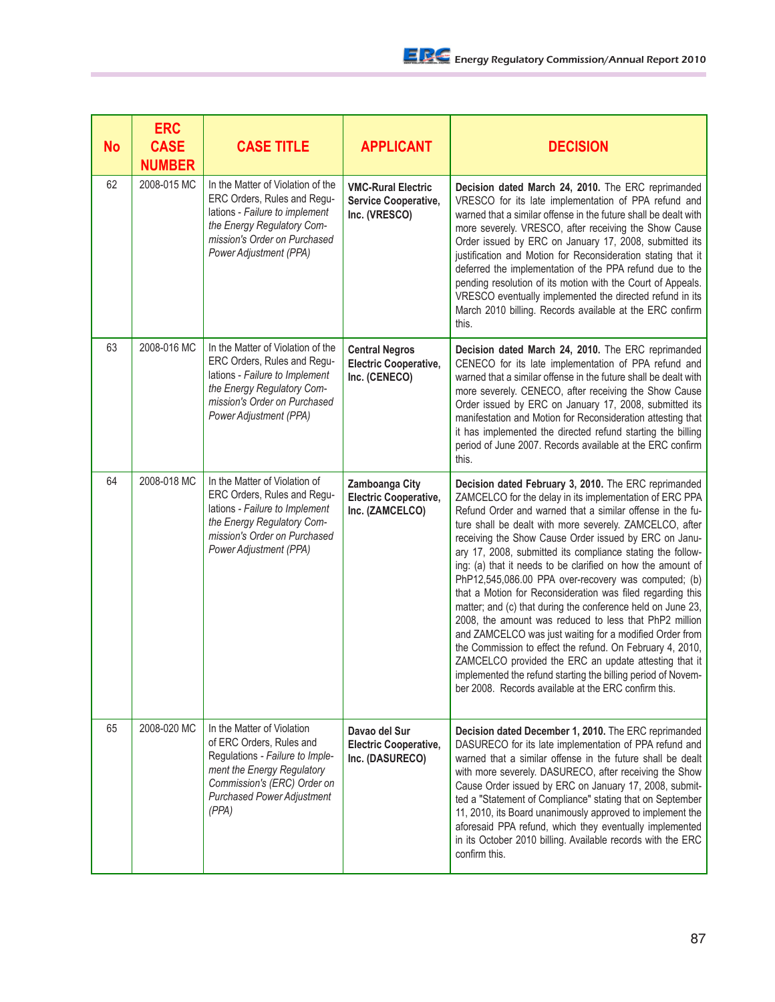| <b>No</b> | <b>ERC</b><br><b>CASE</b><br><b>NUMBER</b> | <b>CASE TITLE</b>                                                                                                                                                                                    | <b>APPLICANT</b>                                                       | <b>DECISION</b>                                                                                                                                                                                                                                                                                                                                                                                                                                                                                                                                                                                                                                                                                                                                                                                                                                                                                                                                                                       |
|-----------|--------------------------------------------|------------------------------------------------------------------------------------------------------------------------------------------------------------------------------------------------------|------------------------------------------------------------------------|---------------------------------------------------------------------------------------------------------------------------------------------------------------------------------------------------------------------------------------------------------------------------------------------------------------------------------------------------------------------------------------------------------------------------------------------------------------------------------------------------------------------------------------------------------------------------------------------------------------------------------------------------------------------------------------------------------------------------------------------------------------------------------------------------------------------------------------------------------------------------------------------------------------------------------------------------------------------------------------|
| 62        | 2008-015 MC                                | In the Matter of Violation of the<br>ERC Orders, Rules and Regu-<br>lations - Failure to implement<br>the Energy Regulatory Com-<br>mission's Order on Purchased<br>Power Adjustment (PPA)           | <b>VMC-Rural Electric</b><br>Service Cooperative,<br>Inc. (VRESCO)     | Decision dated March 24, 2010. The ERC reprimanded<br>VRESCO for its late implementation of PPA refund and<br>warned that a similar offense in the future shall be dealt with<br>more severely. VRESCO, after receiving the Show Cause<br>Order issued by ERC on January 17, 2008, submitted its<br>justification and Motion for Reconsideration stating that it<br>deferred the implementation of the PPA refund due to the<br>pending resolution of its motion with the Court of Appeals.<br>VRESCO eventually implemented the directed refund in its<br>March 2010 billing. Records available at the ERC confirm<br>this.                                                                                                                                                                                                                                                                                                                                                          |
| 63        | 2008-016 MC                                | In the Matter of Violation of the<br>ERC Orders, Rules and Regu-<br>lations - Failure to Implement<br>the Energy Regulatory Com-<br>mission's Order on Purchased<br>Power Adjustment (PPA)           | <b>Central Negros</b><br><b>Electric Cooperative,</b><br>Inc. (CENECO) | Decision dated March 24, 2010. The ERC reprimanded<br>CENECO for its late implementation of PPA refund and<br>warned that a similar offense in the future shall be dealt with<br>more severely. CENECO, after receiving the Show Cause<br>Order issued by ERC on January 17, 2008, submitted its<br>manifestation and Motion for Reconsideration attesting that<br>it has implemented the directed refund starting the billing<br>period of June 2007. Records available at the ERC confirm<br>this.                                                                                                                                                                                                                                                                                                                                                                                                                                                                                  |
| 64        | 2008-018 MC                                | In the Matter of Violation of<br>ERC Orders, Rules and Regu-<br>lations - Failure to Implement<br>the Energy Regulatory Com-<br>mission's Order on Purchased<br>Power Adjustment (PPA)               | Zamboanga City<br><b>Electric Cooperative,</b><br>Inc. (ZAMCELCO)      | Decision dated February 3, 2010. The ERC reprimanded<br>ZAMCELCO for the delay in its implementation of ERC PPA<br>Refund Order and warned that a similar offense in the fu-<br>ture shall be dealt with more severely. ZAMCELCO, after<br>receiving the Show Cause Order issued by ERC on Janu-<br>ary 17, 2008, submitted its compliance stating the follow-<br>ing: (a) that it needs to be clarified on how the amount of<br>PhP12,545,086.00 PPA over-recovery was computed; (b)<br>that a Motion for Reconsideration was filed regarding this<br>matter; and (c) that during the conference held on June 23,<br>2008, the amount was reduced to less that PhP2 million<br>and ZAMCELCO was just waiting for a modified Order from<br>the Commission to effect the refund. On February 4, 2010,<br>ZAMCELCO provided the ERC an update attesting that it<br>implemented the refund starting the billing period of Novem-<br>ber 2008. Records available at the ERC confirm this. |
| 65        | 2008-020 MC                                | In the Matter of Violation<br>of ERC Orders, Rules and<br>Regulations - Failure to Imple-<br>ment the Energy Regulatory<br>Commission's (ERC) Order on<br><b>Purchased Power Adjustment</b><br>(PPA) | Davao del Sur<br><b>Electric Cooperative,</b><br>Inc. (DASURECO)       | Decision dated December 1, 2010. The ERC reprimanded<br>DASURECO for its late implementation of PPA refund and<br>warned that a similar offense in the future shall be dealt<br>with more severely. DASURECO, after receiving the Show<br>Cause Order issued by ERC on January 17, 2008, submit-<br>ted a "Statement of Compliance" stating that on September<br>11, 2010, its Board unanimously approved to implement the<br>aforesaid PPA refund, which they eventually implemented<br>in its October 2010 billing. Available records with the ERC<br>confirm this.                                                                                                                                                                                                                                                                                                                                                                                                                 |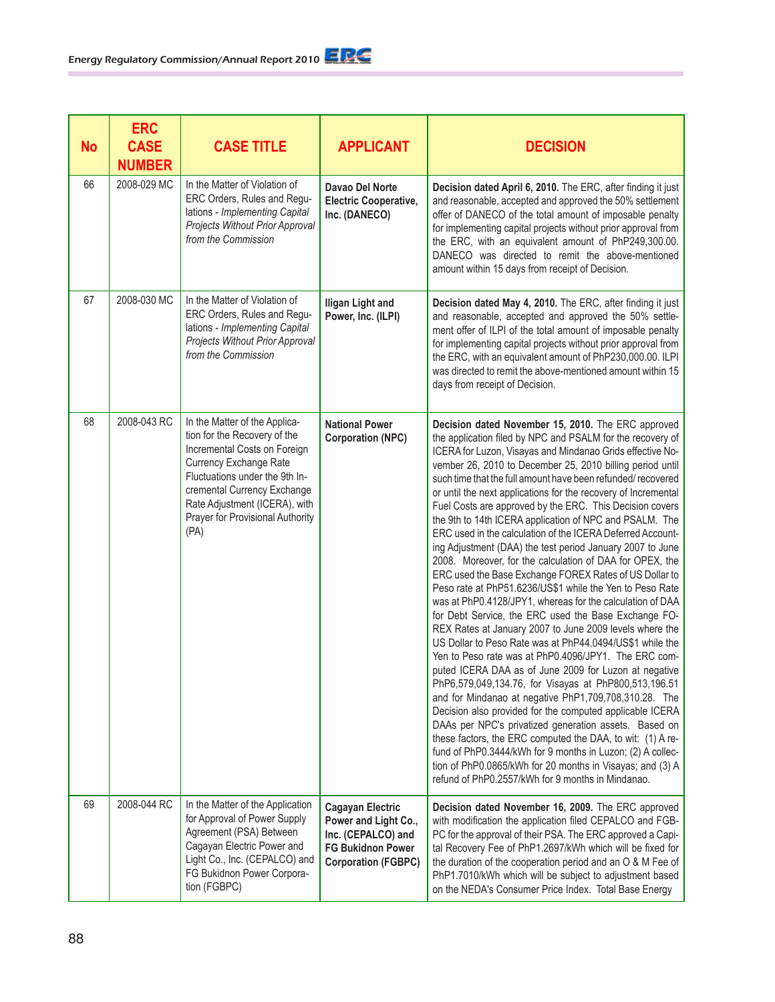| <b>No</b> | <b>ERC</b><br><b>CASE</b><br><b>NUMBER</b> | <b>CASE TITLE</b>                                                                                                                                                                                                                                                     | <b>APPLICANT</b>                                                                                                                | <b>DECISION</b>                                                                                                                                                                                                                                                                                                                                                                                                                                                                                                                                                                                                                                                                                                                                                                                                                                                                                                                                                                                                                                                                                                                                                                                                                                                                                                                                                                                                                                                                                                                                                                                                                                                    |
|-----------|--------------------------------------------|-----------------------------------------------------------------------------------------------------------------------------------------------------------------------------------------------------------------------------------------------------------------------|---------------------------------------------------------------------------------------------------------------------------------|--------------------------------------------------------------------------------------------------------------------------------------------------------------------------------------------------------------------------------------------------------------------------------------------------------------------------------------------------------------------------------------------------------------------------------------------------------------------------------------------------------------------------------------------------------------------------------------------------------------------------------------------------------------------------------------------------------------------------------------------------------------------------------------------------------------------------------------------------------------------------------------------------------------------------------------------------------------------------------------------------------------------------------------------------------------------------------------------------------------------------------------------------------------------------------------------------------------------------------------------------------------------------------------------------------------------------------------------------------------------------------------------------------------------------------------------------------------------------------------------------------------------------------------------------------------------------------------------------------------------------------------------------------------------|
| 66        | 2008-029 MC                                | In the Matter of Violation of<br>ERC Orders, Rules and Regu-<br>lations - Implementing Capital<br>Projects Without Prior Approval<br>from the Commission                                                                                                              | Davao Del Norte<br><b>Electric Cooperative,</b><br>Inc. (DANECO)                                                                | Decision dated April 6, 2010. The ERC, after finding it just<br>and reasonable, accepted and approved the 50% settlement<br>offer of DANECO of the total amount of imposable penalty<br>for implementing capital projects without prior approval from<br>the ERC, with an equivalent amount of PhP249,300.00.<br>DANECO was directed to remit the above-mentioned<br>amount within 15 days from receipt of Decision.                                                                                                                                                                                                                                                                                                                                                                                                                                                                                                                                                                                                                                                                                                                                                                                                                                                                                                                                                                                                                                                                                                                                                                                                                                               |
| 67        | 2008-030 MC                                | In the Matter of Violation of<br>ERC Orders, Rules and Regu-<br>lations - Implementing Capital<br>Projects Without Prior Approval<br>from the Commission                                                                                                              | <b>Iligan Light and</b><br>Power, Inc. (ILPI)                                                                                   | Decision dated May 4, 2010. The ERC, after finding it just<br>and reasonable, accepted and approved the 50% settle-<br>ment offer of ILPI of the total amount of imposable penalty<br>for implementing capital projects without prior approval from<br>the ERC, with an equivalent amount of PhP230,000.00. ILPI<br>was directed to remit the above-mentioned amount within 15<br>days from receipt of Decision.                                                                                                                                                                                                                                                                                                                                                                                                                                                                                                                                                                                                                                                                                                                                                                                                                                                                                                                                                                                                                                                                                                                                                                                                                                                   |
| 68        | 2008-043 RC                                | In the Matter of the Applica-<br>tion for the Recovery of the<br>Incremental Costs on Foreign<br>Currency Exchange Rate<br>Fluctuations under the 9th In-<br>cremental Currency Exchange<br>Rate Adjustment (ICERA), with<br>Prayer for Provisional Authority<br>(PA) | <b>National Power</b><br><b>Corporation (NPC)</b>                                                                               | Decision dated November 15, 2010. The ERC approved<br>the application filed by NPC and PSALM for the recovery of<br>ICERA for Luzon, Visayas and Mindanao Grids effective No-<br>vember 26, 2010 to December 25, 2010 billing period until<br>such time that the full amount have been refunded/ recovered<br>or until the next applications for the recovery of Incremental<br>Fuel Costs are approved by the ERC. This Decision covers<br>the 9th to 14th ICERA application of NPC and PSALM. The<br>ERC used in the calculation of the ICERA Deferred Account-<br>ing Adjustment (DAA) the test period January 2007 to June<br>2008. Moreover, for the calculation of DAA for OPEX, the<br>ERC used the Base Exchange FOREX Rates of US Dollar to<br>Peso rate at PhP51.6236/US\$1 while the Yen to Peso Rate<br>was at PhP0.4128/JPY1, whereas for the calculation of DAA<br>for Debt Service, the ERC used the Base Exchange FO-<br>REX Rates at January 2007 to June 2009 levels where the<br>US Dollar to Peso Rate was at PhP44.0494/US\$1 while the<br>Yen to Peso rate was at PhP0.4096/JPY1. The ERC com-<br>puted ICERA DAA as of June 2009 for Luzon at negative<br>PhP6,579,049,134.76, for Visayas at PhP800,513,196.51<br>and for Mindanao at negative PhP1,709,708,310.28. The<br>Decision also provided for the computed applicable ICERA<br>DAAs per NPC's privatized generation assets. Based on<br>these factors, the ERC computed the DAA, to wit: (1) A re-<br>fund of PhP0.3444/kWh for 9 months in Luzon; (2) A collec-<br>tion of PhP0.0865/kWh for 20 months in Visayas; and (3) A<br>refund of PhP0.2557/kWh for 9 months in Mindanao. |
| 69        | 2008-044 RC                                | In the Matter of the Application<br>for Approval of Power Supply<br>Agreement (PSA) Between<br>Cagayan Electric Power and<br>Light Co., Inc. (CEPALCO) and<br>FG Bukidnon Power Corpora-<br>tion (FGBPC)                                                              | <b>Cagayan Electric</b><br>Power and Light Co.,<br>Inc. (CEPALCO) and<br><b>FG Bukidnon Power</b><br><b>Corporation (FGBPC)</b> | Decision dated November 16, 2009. The ERC approved<br>with modification the application filed CEPALCO and FGB-<br>PC for the approval of their PSA. The ERC approved a Capi-<br>tal Recovery Fee of PhP1.2697/kWh which will be fixed for<br>the duration of the cooperation period and an O & M Fee of<br>PhP1.7010/kWh which will be subject to adjustment based<br>on the NEDA's Consumer Price Index. Total Base Energy                                                                                                                                                                                                                                                                                                                                                                                                                                                                                                                                                                                                                                                                                                                                                                                                                                                                                                                                                                                                                                                                                                                                                                                                                                        |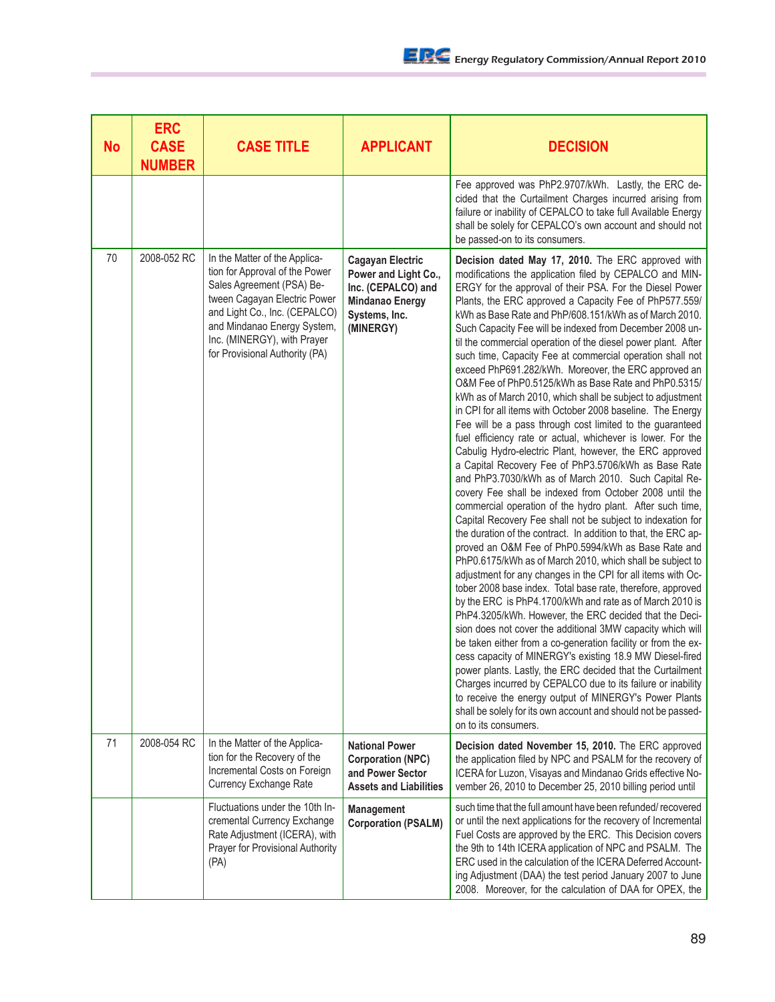| <b>No</b> | <b>ERC</b><br><b>CASE</b><br><b>NUMBER</b> | <b>CASE TITLE</b>                                                                                                                                                                                                                                             | <b>APPLICANT</b>                                                                                                              | <b>DECISION</b>                                                                                                                                                                                                                                                                                                                                                                                                                                                                                                                                                                                                                                                                                                                                                                                                                                                                                                                                                                                                                                                                                                                                                                                                                                                                                                                                                                                                                                                                                                                                                                                                                                                                                                                                                                                                                                                                                                                                                                                                                                                                                                                                          |
|-----------|--------------------------------------------|---------------------------------------------------------------------------------------------------------------------------------------------------------------------------------------------------------------------------------------------------------------|-------------------------------------------------------------------------------------------------------------------------------|----------------------------------------------------------------------------------------------------------------------------------------------------------------------------------------------------------------------------------------------------------------------------------------------------------------------------------------------------------------------------------------------------------------------------------------------------------------------------------------------------------------------------------------------------------------------------------------------------------------------------------------------------------------------------------------------------------------------------------------------------------------------------------------------------------------------------------------------------------------------------------------------------------------------------------------------------------------------------------------------------------------------------------------------------------------------------------------------------------------------------------------------------------------------------------------------------------------------------------------------------------------------------------------------------------------------------------------------------------------------------------------------------------------------------------------------------------------------------------------------------------------------------------------------------------------------------------------------------------------------------------------------------------------------------------------------------------------------------------------------------------------------------------------------------------------------------------------------------------------------------------------------------------------------------------------------------------------------------------------------------------------------------------------------------------------------------------------------------------------------------------------------------------|
|           |                                            |                                                                                                                                                                                                                                                               |                                                                                                                               | Fee approved was PhP2.9707/kWh. Lastly, the ERC de-<br>cided that the Curtailment Charges incurred arising from<br>failure or inability of CEPALCO to take full Available Energy<br>shall be solely for CEPALCO's own account and should not<br>be passed-on to its consumers.                                                                                                                                                                                                                                                                                                                                                                                                                                                                                                                                                                                                                                                                                                                                                                                                                                                                                                                                                                                                                                                                                                                                                                                                                                                                                                                                                                                                                                                                                                                                                                                                                                                                                                                                                                                                                                                                           |
| 70        | 2008-052 RC                                | In the Matter of the Applica-<br>tion for Approval of the Power<br>Sales Agreement (PSA) Be-<br>tween Cagayan Electric Power<br>and Light Co., Inc. (CEPALCO)<br>and Mindanao Energy System,<br>Inc. (MINERGY), with Prayer<br>for Provisional Authority (PA) | <b>Cagayan Electric</b><br>Power and Light Co.,<br>Inc. (CEPALCO) and<br><b>Mindanao Energy</b><br>Systems, Inc.<br>(MINERGY) | Decision dated May 17, 2010. The ERC approved with<br>modifications the application filed by CEPALCO and MIN-<br>ERGY for the approval of their PSA. For the Diesel Power<br>Plants, the ERC approved a Capacity Fee of PhP577.559/<br>kWh as Base Rate and PhP/608.151/kWh as of March 2010.<br>Such Capacity Fee will be indexed from December 2008 un-<br>til the commercial operation of the diesel power plant. After<br>such time, Capacity Fee at commercial operation shall not<br>exceed PhP691.282/kWh. Moreover, the ERC approved an<br>O&M Fee of PhP0.5125/kWh as Base Rate and PhP0.5315/<br>kWh as of March 2010, which shall be subject to adjustment<br>in CPI for all items with October 2008 baseline. The Energy<br>Fee will be a pass through cost limited to the guaranteed<br>fuel efficiency rate or actual, whichever is lower. For the<br>Cabulig Hydro-electric Plant, however, the ERC approved<br>a Capital Recovery Fee of PhP3.5706/kWh as Base Rate<br>and PhP3.7030/kWh as of March 2010. Such Capital Re-<br>covery Fee shall be indexed from October 2008 until the<br>commercial operation of the hydro plant. After such time,<br>Capital Recovery Fee shall not be subject to indexation for<br>the duration of the contract. In addition to that, the ERC ap-<br>proved an O&M Fee of PhP0.5994/kWh as Base Rate and<br>PhP0.6175/kWh as of March 2010, which shall be subject to<br>adjustment for any changes in the CPI for all items with Oc-<br>tober 2008 base index. Total base rate, therefore, approved<br>by the ERC is PhP4.1700/kWh and rate as of March 2010 is<br>PhP4.3205/kWh. However, the ERC decided that the Deci-<br>sion does not cover the additional 3MW capacity which will<br>be taken either from a co-generation facility or from the ex-<br>cess capacity of MINERGY's existing 18.9 MW Diesel-fired<br>power plants. Lastly, the ERC decided that the Curtailment<br>Charges incurred by CEPALCO due to its failure or inability<br>to receive the energy output of MINERGY's Power Plants<br>shall be solely for its own account and should not be passed-<br>on to its consumers. |
| 71        | 2008-054 RC                                | In the Matter of the Applica-<br>tion for the Recovery of the<br>Incremental Costs on Foreign<br><b>Currency Exchange Rate</b>                                                                                                                                | <b>National Power</b><br><b>Corporation (NPC)</b><br>and Power Sector<br><b>Assets and Liabilities</b>                        | Decision dated November 15, 2010. The ERC approved<br>the application filed by NPC and PSALM for the recovery of<br>ICERA for Luzon, Visayas and Mindanao Grids effective No-<br>vember 26, 2010 to December 25, 2010 billing period until                                                                                                                                                                                                                                                                                                                                                                                                                                                                                                                                                                                                                                                                                                                                                                                                                                                                                                                                                                                                                                                                                                                                                                                                                                                                                                                                                                                                                                                                                                                                                                                                                                                                                                                                                                                                                                                                                                               |
|           |                                            | Fluctuations under the 10th In-<br>cremental Currency Exchange<br>Rate Adjustment (ICERA), with<br>Prayer for Provisional Authority<br>(PA)                                                                                                                   | Management<br><b>Corporation (PSALM)</b>                                                                                      | such time that the full amount have been refunded/recovered<br>or until the next applications for the recovery of Incremental<br>Fuel Costs are approved by the ERC. This Decision covers<br>the 9th to 14th ICERA application of NPC and PSALM. The<br>ERC used in the calculation of the ICERA Deferred Account-<br>ing Adjustment (DAA) the test period January 2007 to June<br>2008. Moreover, for the calculation of DAA for OPEX, the                                                                                                                                                                                                                                                                                                                                                                                                                                                                                                                                                                                                                                                                                                                                                                                                                                                                                                                                                                                                                                                                                                                                                                                                                                                                                                                                                                                                                                                                                                                                                                                                                                                                                                              |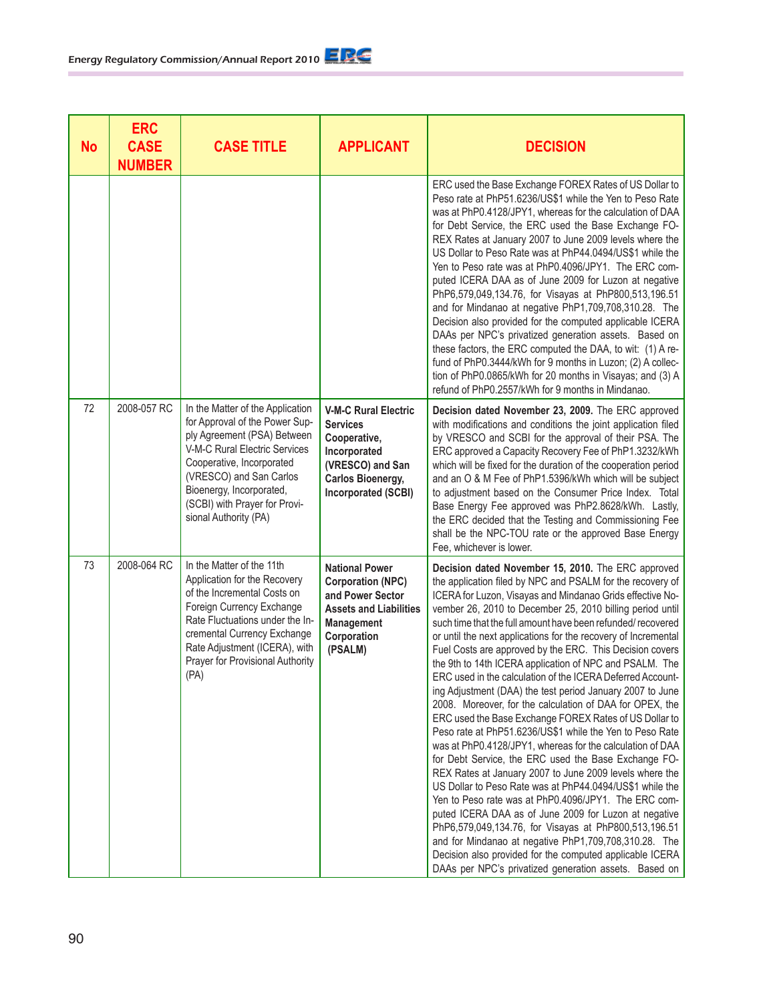| <b>No</b> | <b>ERC</b><br><b>CASE</b><br><b>NUMBER</b> | <b>CASE TITLE</b>                                                                                                                                                                                                                                                                | <b>APPLICANT</b>                                                                                                                                             | <b>DECISION</b>                                                                                                                                                                                                                                                                                                                                                                                                                                                                                                                                                                                                                                                                                                                                                                                                                                                                                                                                                                                                                                                                                                                                                                                                                                                                                                                                                                                                     |
|-----------|--------------------------------------------|----------------------------------------------------------------------------------------------------------------------------------------------------------------------------------------------------------------------------------------------------------------------------------|--------------------------------------------------------------------------------------------------------------------------------------------------------------|---------------------------------------------------------------------------------------------------------------------------------------------------------------------------------------------------------------------------------------------------------------------------------------------------------------------------------------------------------------------------------------------------------------------------------------------------------------------------------------------------------------------------------------------------------------------------------------------------------------------------------------------------------------------------------------------------------------------------------------------------------------------------------------------------------------------------------------------------------------------------------------------------------------------------------------------------------------------------------------------------------------------------------------------------------------------------------------------------------------------------------------------------------------------------------------------------------------------------------------------------------------------------------------------------------------------------------------------------------------------------------------------------------------------|
|           |                                            |                                                                                                                                                                                                                                                                                  |                                                                                                                                                              | ERC used the Base Exchange FOREX Rates of US Dollar to<br>Peso rate at PhP51.6236/US\$1 while the Yen to Peso Rate<br>was at PhP0.4128/JPY1, whereas for the calculation of DAA<br>for Debt Service, the ERC used the Base Exchange FO-<br>REX Rates at January 2007 to June 2009 levels where the<br>US Dollar to Peso Rate was at PhP44.0494/US\$1 while the<br>Yen to Peso rate was at PhP0.4096/JPY1. The ERC com-<br>puted ICERA DAA as of June 2009 for Luzon at negative<br>PhP6,579,049,134.76, for Visayas at PhP800,513,196.51<br>and for Mindanao at negative PhP1,709,708,310.28. The<br>Decision also provided for the computed applicable ICERA<br>DAAs per NPC's privatized generation assets. Based on<br>these factors, the ERC computed the DAA, to wit: (1) A re-<br>fund of PhP0.3444/kWh for 9 months in Luzon; (2) A collec-<br>tion of PhP0.0865/kWh for 20 months in Visayas; and (3) A<br>refund of PhP0.2557/kWh for 9 months in Mindanao.                                                                                                                                                                                                                                                                                                                                                                                                                                                |
| 72        | 2008-057 RC                                | In the Matter of the Application<br>for Approval of the Power Sup-<br>ply Agreement (PSA) Between<br>V-M-C Rural Electric Services<br>Cooperative, Incorporated<br>(VRESCO) and San Carlos<br>Bioenergy, Incorporated,<br>(SCBI) with Prayer for Provi-<br>sional Authority (PA) | <b>V-M-C Rural Electric</b><br><b>Services</b><br>Cooperative,<br>Incorporated<br>(VRESCO) and San<br><b>Carlos Bioenergy,</b><br><b>Incorporated (SCBI)</b> | Decision dated November 23, 2009. The ERC approved<br>with modifications and conditions the joint application filed<br>by VRESCO and SCBI for the approval of their PSA. The<br>ERC approved a Capacity Recovery Fee of PhP1.3232/kWh<br>which will be fixed for the duration of the cooperation period<br>and an O & M Fee of PhP1.5396/kWh which will be subject<br>to adjustment based on the Consumer Price Index. Total<br>Base Energy Fee approved was PhP2.8628/kWh. Lastly,<br>the ERC decided that the Testing and Commissioning Fee<br>shall be the NPC-TOU rate or the approved Base Energy<br>Fee, whichever is lower.                                                                                                                                                                                                                                                                                                                                                                                                                                                                                                                                                                                                                                                                                                                                                                                  |
| 73        | 2008-064 RC                                | In the Matter of the 11th<br>Application for the Recovery<br>of the Incremental Costs on<br>Foreign Currency Exchange<br>Rate Fluctuations under the In-<br>cremental Currency Exchange<br>Rate Adjustment (ICERA), with<br>Prayer for Provisional Authority<br>(PA)             | <b>National Power</b><br><b>Corporation (NPC)</b><br>and Power Sector<br><b>Assets and Liabilities</b><br><b>Management</b><br>Corporation<br>(PSALM)        | Decision dated November 15, 2010. The ERC approved<br>the application filed by NPC and PSALM for the recovery of<br>ICERA for Luzon, Visayas and Mindanao Grids effective No-<br>vember 26, 2010 to December 25, 2010 billing period until<br>such time that the full amount have been refunded/recovered<br>or until the next applications for the recovery of Incremental<br>Fuel Costs are approved by the ERC. This Decision covers<br>the 9th to 14th ICERA application of NPC and PSALM. The<br>ERC used in the calculation of the ICERA Deferred Account-<br>ing Adjustment (DAA) the test period January 2007 to June<br>2008. Moreover, for the calculation of DAA for OPEX, the<br>ERC used the Base Exchange FOREX Rates of US Dollar to<br>Peso rate at PhP51.6236/US\$1 while the Yen to Peso Rate<br>was at PhP0.4128/JPY1, whereas for the calculation of DAA<br>for Debt Service, the ERC used the Base Exchange FO-<br>REX Rates at January 2007 to June 2009 levels where the<br>US Dollar to Peso Rate was at PhP44.0494/US\$1 while the<br>Yen to Peso rate was at PhP0.4096/JPY1. The ERC com-<br>puted ICERA DAA as of June 2009 for Luzon at negative<br>PhP6,579,049,134.76, for Visayas at PhP800,513,196.51<br>and for Mindanao at negative PhP1,709,708,310.28. The<br>Decision also provided for the computed applicable ICERA<br>DAAs per NPC's privatized generation assets. Based on |

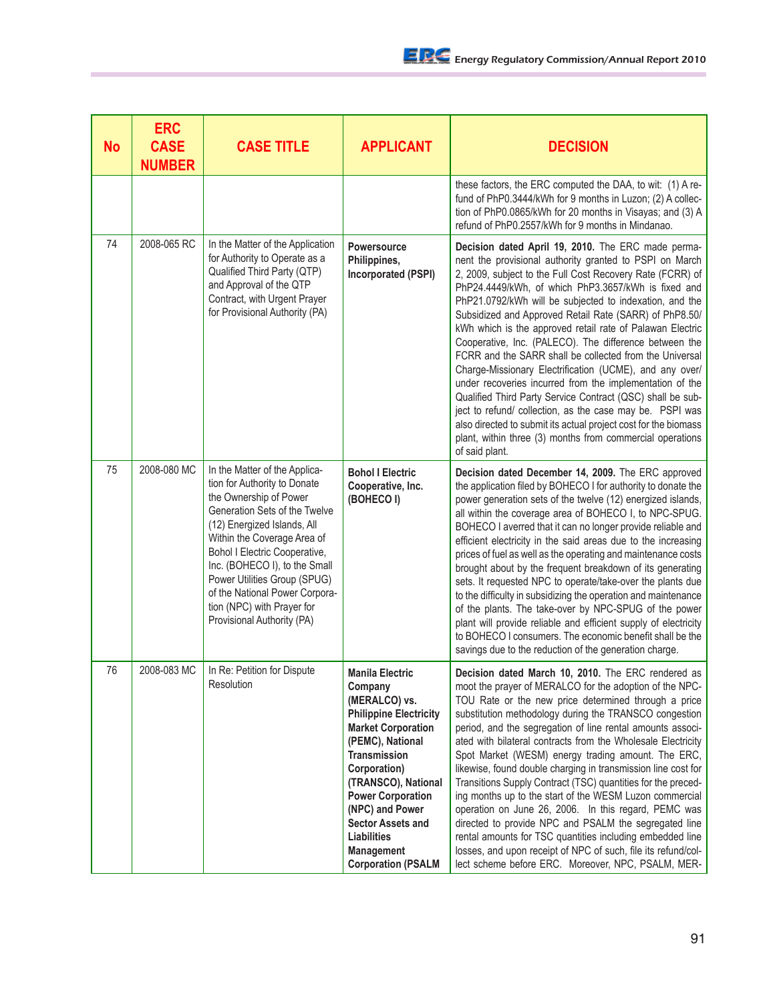| <b>No</b> | <b>ERC</b><br><b>CASE</b><br><b>NUMBER</b> | <b>CASE TITLE</b>                                                                                                                                                                                                                                                                                                                                                                             | <b>APPLICANT</b>                                                                                                                                                                                                                                                                                                                        | <b>DECISION</b>                                                                                                                                                                                                                                                                                                                                                                                                                                                                                                                                                                                                                                                                                                                                                                                                                                                                                                                             |
|-----------|--------------------------------------------|-----------------------------------------------------------------------------------------------------------------------------------------------------------------------------------------------------------------------------------------------------------------------------------------------------------------------------------------------------------------------------------------------|-----------------------------------------------------------------------------------------------------------------------------------------------------------------------------------------------------------------------------------------------------------------------------------------------------------------------------------------|---------------------------------------------------------------------------------------------------------------------------------------------------------------------------------------------------------------------------------------------------------------------------------------------------------------------------------------------------------------------------------------------------------------------------------------------------------------------------------------------------------------------------------------------------------------------------------------------------------------------------------------------------------------------------------------------------------------------------------------------------------------------------------------------------------------------------------------------------------------------------------------------------------------------------------------------|
|           |                                            |                                                                                                                                                                                                                                                                                                                                                                                               |                                                                                                                                                                                                                                                                                                                                         | these factors, the ERC computed the DAA, to wit: (1) A re-<br>fund of PhP0.3444/kWh for 9 months in Luzon; (2) A collec-<br>tion of PhP0.0865/kWh for 20 months in Visayas; and (3) A<br>refund of PhP0.2557/kWh for 9 months in Mindanao.                                                                                                                                                                                                                                                                                                                                                                                                                                                                                                                                                                                                                                                                                                  |
| 74        | 2008-065 RC                                | In the Matter of the Application<br>for Authority to Operate as a<br>Qualified Third Party (QTP)<br>and Approval of the QTP<br>Contract, with Urgent Prayer<br>for Provisional Authority (PA)                                                                                                                                                                                                 | Powersource<br>Philippines,<br>Incorporated (PSPI)                                                                                                                                                                                                                                                                                      | Decision dated April 19, 2010. The ERC made perma-<br>nent the provisional authority granted to PSPI on March<br>2, 2009, subject to the Full Cost Recovery Rate (FCRR) of<br>PhP24.4449/kWh, of which PhP3.3657/kWh is fixed and<br>PhP21.0792/kWh will be subjected to indexation, and the<br>Subsidized and Approved Retail Rate (SARR) of PhP8.50/<br>kWh which is the approved retail rate of Palawan Electric<br>Cooperative, Inc. (PALECO). The difference between the<br>FCRR and the SARR shall be collected from the Universal<br>Charge-Missionary Electrification (UCME), and any over/<br>under recoveries incurred from the implementation of the<br>Qualified Third Party Service Contract (QSC) shall be sub-<br>ject to refund/ collection, as the case may be. PSPI was<br>also directed to submit its actual project cost for the biomass<br>plant, within three (3) months from commercial operations<br>of said plant. |
| 75        | 2008-080 MC                                | In the Matter of the Applica-<br>tion for Authority to Donate<br>the Ownership of Power<br>Generation Sets of the Twelve<br>(12) Energized Islands, All<br>Within the Coverage Area of<br><b>Bohol I Electric Cooperative,</b><br>Inc. (BOHECO I), to the Small<br>Power Utilities Group (SPUG)<br>of the National Power Corpora-<br>tion (NPC) with Prayer for<br>Provisional Authority (PA) | <b>Bohol I Electric</b><br>Cooperative, Inc.<br>(BOHECO I)                                                                                                                                                                                                                                                                              | Decision dated December 14, 2009. The ERC approved<br>the application filed by BOHECO I for authority to donate the<br>power generation sets of the twelve (12) energized islands,<br>all within the coverage area of BOHECO I, to NPC-SPUG.<br>BOHECO I averred that it can no longer provide reliable and<br>efficient electricity in the said areas due to the increasing<br>prices of fuel as well as the operating and maintenance costs<br>brought about by the frequent breakdown of its generating<br>sets. It requested NPC to operate/take-over the plants due<br>to the difficulty in subsidizing the operation and maintenance<br>of the plants. The take-over by NPC-SPUG of the power<br>plant will provide reliable and efficient supply of electricity<br>to BOHECO I consumers. The economic benefit shall be the<br>savings due to the reduction of the generation charge.                                                |
| 76        | 2008-083 MC                                | In Re: Petition for Dispute<br>Resolution                                                                                                                                                                                                                                                                                                                                                     | <b>Manila Electric</b><br>Company<br>(MERALCO) vs.<br><b>Philippine Electricity</b><br><b>Market Corporation</b><br>(PEMC), National<br><b>Transmission</b><br>Corporation)<br>(TRANSCO), National<br><b>Power Corporation</b><br>(NPC) and Power<br><b>Sector Assets and</b><br>Liabilities<br>Management<br><b>Corporation (PSALM</b> | Decision dated March 10, 2010. The ERC rendered as<br>moot the prayer of MERALCO for the adoption of the NPC-<br>TOU Rate or the new price determined through a price<br>substitution methodology during the TRANSCO congestion<br>period, and the segregation of line rental amounts associ-<br>ated with bilateral contracts from the Wholesale Electricity<br>Spot Market (WESM) energy trading amount. The ERC,<br>likewise, found double charging in transmission line cost for<br>Transitions Supply Contract (TSC) quantities for the preced-<br>ing months up to the start of the WESM Luzon commercial<br>operation on June 26, 2006. In this regard, PEMC was<br>directed to provide NPC and PSALM the segregated line<br>rental amounts for TSC quantities including embedded line<br>losses, and upon receipt of NPC of such, file its refund/col-<br>lect scheme before ERC. Moreover, NPC, PSALM, MER-                        |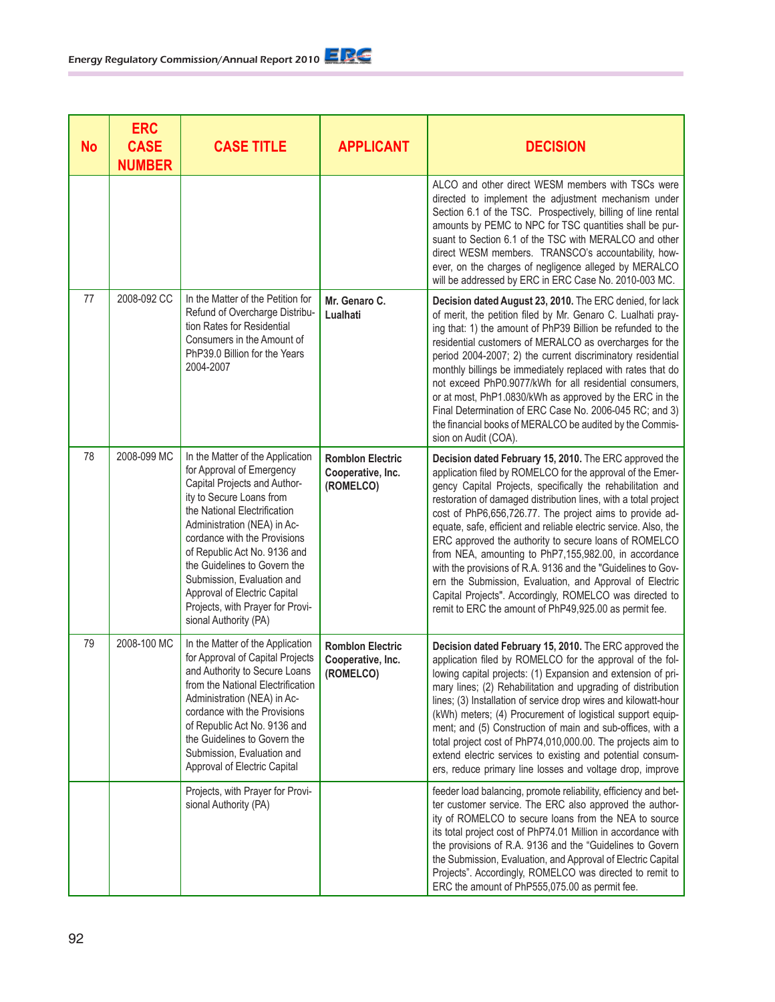| <b>No</b> | <b>ERC</b><br><b>CASE</b><br><b>NUMBER</b> | <b>CASE TITLE</b>                                                                                                                                                                                                                                                                                                                                                                                                   | <b>APPLICANT</b>                                          | <b>DECISION</b>                                                                                                                                                                                                                                                                                                                                                                                                                                                                                                                                                                                                                                                                                                                                           |
|-----------|--------------------------------------------|---------------------------------------------------------------------------------------------------------------------------------------------------------------------------------------------------------------------------------------------------------------------------------------------------------------------------------------------------------------------------------------------------------------------|-----------------------------------------------------------|-----------------------------------------------------------------------------------------------------------------------------------------------------------------------------------------------------------------------------------------------------------------------------------------------------------------------------------------------------------------------------------------------------------------------------------------------------------------------------------------------------------------------------------------------------------------------------------------------------------------------------------------------------------------------------------------------------------------------------------------------------------|
|           |                                            |                                                                                                                                                                                                                                                                                                                                                                                                                     |                                                           | ALCO and other direct WESM members with TSCs were<br>directed to implement the adjustment mechanism under<br>Section 6.1 of the TSC. Prospectively, billing of line rental<br>amounts by PEMC to NPC for TSC quantities shall be pur-<br>suant to Section 6.1 of the TSC with MERALCO and other<br>direct WESM members. TRANSCO's accountability, how-<br>ever, on the charges of negligence alleged by MERALCO<br>will be addressed by ERC in ERC Case No. 2010-003 MC.                                                                                                                                                                                                                                                                                  |
| 77        | 2008-092 CC                                | In the Matter of the Petition for<br>Refund of Overcharge Distribu-<br>tion Rates for Residential<br>Consumers in the Amount of<br>PhP39.0 Billion for the Years<br>2004-2007                                                                                                                                                                                                                                       | Mr. Genaro C.<br>Lualhati                                 | Decision dated August 23, 2010. The ERC denied, for lack<br>of merit, the petition filed by Mr. Genaro C. Lualhati pray-<br>ing that: 1) the amount of PhP39 Billion be refunded to the<br>residential customers of MERALCO as overcharges for the<br>period 2004-2007; 2) the current discriminatory residential<br>monthly billings be immediately replaced with rates that do<br>not exceed PhP0.9077/kWh for all residential consumers,<br>or at most, PhP1.0830/kWh as approved by the ERC in the<br>Final Determination of ERC Case No. 2006-045 RC; and 3)<br>the financial books of MERALCO be audited by the Commis-<br>sion on Audit (COA).                                                                                                     |
| 78        | 2008-099 MC                                | In the Matter of the Application<br>for Approval of Emergency<br>Capital Projects and Author-<br>ity to Secure Loans from<br>the National Electrification<br>Administration (NEA) in Ac-<br>cordance with the Provisions<br>of Republic Act No. 9136 and<br>the Guidelines to Govern the<br>Submission, Evaluation and<br>Approval of Electric Capital<br>Projects, with Prayer for Provi-<br>sional Authority (PA) | <b>Romblon Electric</b><br>Cooperative, Inc.<br>(ROMELCO) | Decision dated February 15, 2010. The ERC approved the<br>application filed by ROMELCO for the approval of the Emer-<br>gency Capital Projects, specifically the rehabilitation and<br>restoration of damaged distribution lines, with a total project<br>cost of PhP6,656,726.77. The project aims to provide ad-<br>equate, safe, efficient and reliable electric service. Also, the<br>ERC approved the authority to secure loans of ROMELCO<br>from NEA, amounting to PhP7,155,982.00, in accordance<br>with the provisions of R.A. 9136 and the "Guidelines to Gov-<br>ern the Submission, Evaluation, and Approval of Electric<br>Capital Projects". Accordingly, ROMELCO was directed to<br>remit to ERC the amount of PhP49,925.00 as permit fee. |
| 79        | 2008-100 MC                                | In the Matter of the Application<br>for Approval of Capital Projects<br>and Authority to Secure Loans<br>from the National Electrification<br>Administration (NEA) in Ac-<br>cordance with the Provisions<br>of Republic Act No. 9136 and<br>the Guidelines to Govern the<br>Submission, Evaluation and<br>Approval of Electric Capital                                                                             | <b>Romblon Electric</b><br>Cooperative, Inc.<br>(ROMELCO) | Decision dated February 15, 2010. The ERC approved the<br>application filed by ROMELCO for the approval of the fol-<br>lowing capital projects: (1) Expansion and extension of pri-<br>mary lines; (2) Rehabilitation and upgrading of distribution<br>lines; (3) Installation of service drop wires and kilowatt-hour<br>(kWh) meters; (4) Procurement of logistical support equip-<br>ment; and (5) Construction of main and sub-offices, with a<br>total project cost of PhP74,010,000.00. The projects aim to<br>extend electric services to existing and potential consum-<br>ers, reduce primary line losses and voltage drop, improve                                                                                                              |
|           |                                            | Projects, with Prayer for Provi-<br>sional Authority (PA)                                                                                                                                                                                                                                                                                                                                                           |                                                           | feeder load balancing, promote reliability, efficiency and bet-<br>ter customer service. The ERC also approved the author-<br>ity of ROMELCO to secure loans from the NEA to source<br>its total project cost of PhP74.01 Million in accordance with<br>the provisions of R.A. 9136 and the "Guidelines to Govern<br>the Submission, Evaluation, and Approval of Electric Capital<br>Projects". Accordingly, ROMELCO was directed to remit to<br>ERC the amount of PhP555,075.00 as permit fee.                                                                                                                                                                                                                                                           |

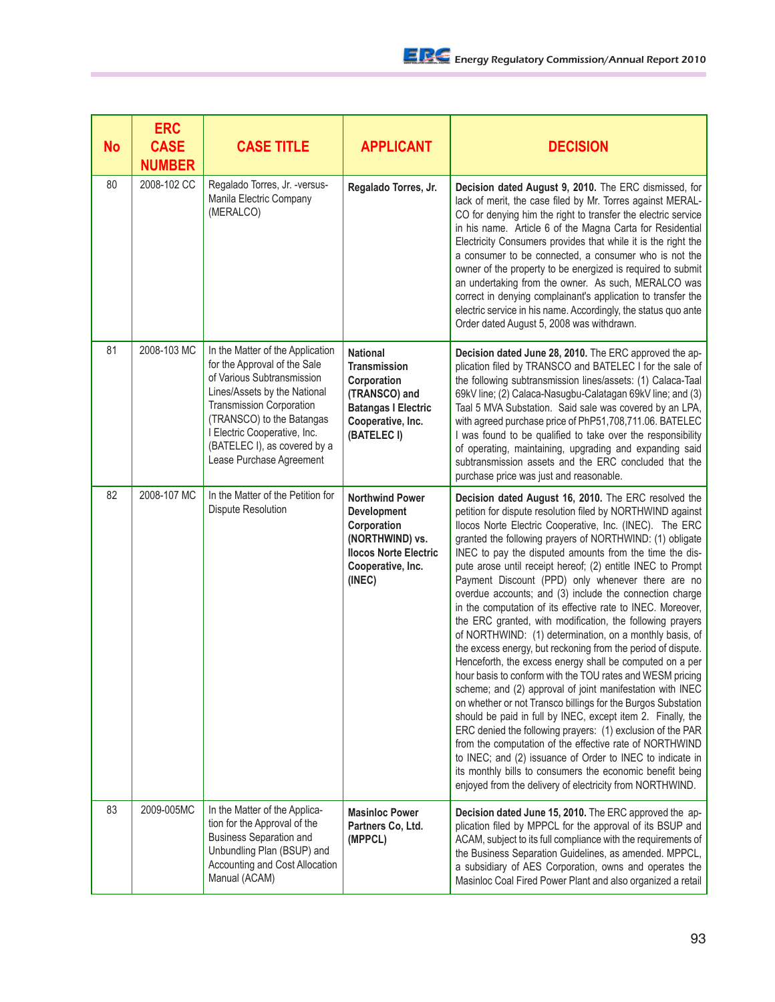| <b>No</b> | <b>ERC</b><br><b>CASE</b><br><b>NUMBER</b> | <b>CASE TITLE</b>                                                                                                                                                                                                                                                                          | <b>APPLICANT</b>                                                                                                                         | <b>DECISION</b>                                                                                                                                                                                                                                                                                                                                                                                                                                                                                                                                                                                                                                                                                                                                                                                                                                                                                                                                                                                                                                                                                                                                                                                                                                                                                                                                                                |
|-----------|--------------------------------------------|--------------------------------------------------------------------------------------------------------------------------------------------------------------------------------------------------------------------------------------------------------------------------------------------|------------------------------------------------------------------------------------------------------------------------------------------|--------------------------------------------------------------------------------------------------------------------------------------------------------------------------------------------------------------------------------------------------------------------------------------------------------------------------------------------------------------------------------------------------------------------------------------------------------------------------------------------------------------------------------------------------------------------------------------------------------------------------------------------------------------------------------------------------------------------------------------------------------------------------------------------------------------------------------------------------------------------------------------------------------------------------------------------------------------------------------------------------------------------------------------------------------------------------------------------------------------------------------------------------------------------------------------------------------------------------------------------------------------------------------------------------------------------------------------------------------------------------------|
| 80        | 2008-102 CC                                | Regalado Torres, Jr. - versus-<br>Manila Electric Company<br>(MERALCO)                                                                                                                                                                                                                     | Regalado Torres, Jr.                                                                                                                     | Decision dated August 9, 2010. The ERC dismissed, for<br>lack of merit, the case filed by Mr. Torres against MERAL-<br>CO for denying him the right to transfer the electric service<br>in his name. Article 6 of the Magna Carta for Residential<br>Electricity Consumers provides that while it is the right the<br>a consumer to be connected, a consumer who is not the<br>owner of the property to be energized is required to submit<br>an undertaking from the owner. As such, MERALCO was<br>correct in denying complainant's application to transfer the<br>electric service in his name. Accordingly, the status quo ante<br>Order dated August 5, 2008 was withdrawn.                                                                                                                                                                                                                                                                                                                                                                                                                                                                                                                                                                                                                                                                                               |
| 81        | 2008-103 MC                                | In the Matter of the Application<br>for the Approval of the Sale<br>of Various Subtransmission<br>Lines/Assets by the National<br><b>Transmission Corporation</b><br>(TRANSCO) to the Batangas<br>I Electric Cooperative, Inc.<br>(BATELEC I), as covered by a<br>Lease Purchase Agreement | <b>National</b><br><b>Transmission</b><br>Corporation<br>(TRANSCO) and<br><b>Batangas I Electric</b><br>Cooperative, Inc.<br>(BATELEC I) | Decision dated June 28, 2010. The ERC approved the ap-<br>plication filed by TRANSCO and BATELEC I for the sale of<br>the following subtransmission lines/assets: (1) Calaca-Taal<br>69kV line; (2) Calaca-Nasugbu-Calatagan 69kV line; and (3)<br>Taal 5 MVA Substation. Said sale was covered by an LPA,<br>with agreed purchase price of PhP51,708,711.06. BATELEC<br>I was found to be qualified to take over the responsibility<br>of operating, maintaining, upgrading and expanding said<br>subtransmission assets and the ERC concluded that the<br>purchase price was just and reasonable.                                                                                                                                                                                                                                                                                                                                                                                                                                                                                                                                                                                                                                                                                                                                                                            |
| 82        | 2008-107 MC                                | In the Matter of the Petition for<br>Dispute Resolution                                                                                                                                                                                                                                    | <b>Northwind Power</b><br>Development<br>Corporation<br>(NORTHWIND) vs.<br><b>Ilocos Norte Electric</b><br>Cooperative, Inc.<br>(INEC)   | Decision dated August 16, 2010. The ERC resolved the<br>petition for dispute resolution filed by NORTHWIND against<br>Ilocos Norte Electric Cooperative, Inc. (INEC). The ERC<br>granted the following prayers of NORTHWIND: (1) obligate<br>INEC to pay the disputed amounts from the time the dis-<br>pute arose until receipt hereof; (2) entitle INEC to Prompt<br>Payment Discount (PPD) only whenever there are no<br>overdue accounts; and (3) include the connection charge<br>in the computation of its effective rate to INEC. Moreover,<br>the ERC granted, with modification, the following prayers<br>of NORTHWIND: (1) determination, on a monthly basis, of<br>the excess energy, but reckoning from the period of dispute.<br>Henceforth, the excess energy shall be computed on a per<br>hour basis to conform with the TOU rates and WESM pricing<br>scheme; and (2) approval of joint manifestation with INEC<br>on whether or not Transco billings for the Burgos Substation<br>should be paid in full by INEC, except item 2. Finally, the<br>ERC denied the following prayers: (1) exclusion of the PAR<br>from the computation of the effective rate of NORTHWIND<br>to INEC; and (2) issuance of Order to INEC to indicate in<br>its monthly bills to consumers the economic benefit being<br>enjoyed from the delivery of electricity from NORTHWIND. |
| 83        | 2009-005MC                                 | In the Matter of the Applica-<br>tion for the Approval of the<br><b>Business Separation and</b><br>Unbundling Plan (BSUP) and<br>Accounting and Cost Allocation<br>Manual (ACAM)                                                                                                           | <b>Masinloc Power</b><br>Partners Co, Ltd.<br>(MPPCL)                                                                                    | Decision dated June 15, 2010. The ERC approved the ap-<br>plication filed by MPPCL for the approval of its BSUP and<br>ACAM, subject to its full compliance with the requirements of<br>the Business Separation Guidelines, as amended. MPPCL,<br>a subsidiary of AES Corporation, owns and operates the<br>Masinloc Coal Fired Power Plant and also organized a retail                                                                                                                                                                                                                                                                                                                                                                                                                                                                                                                                                                                                                                                                                                                                                                                                                                                                                                                                                                                                        |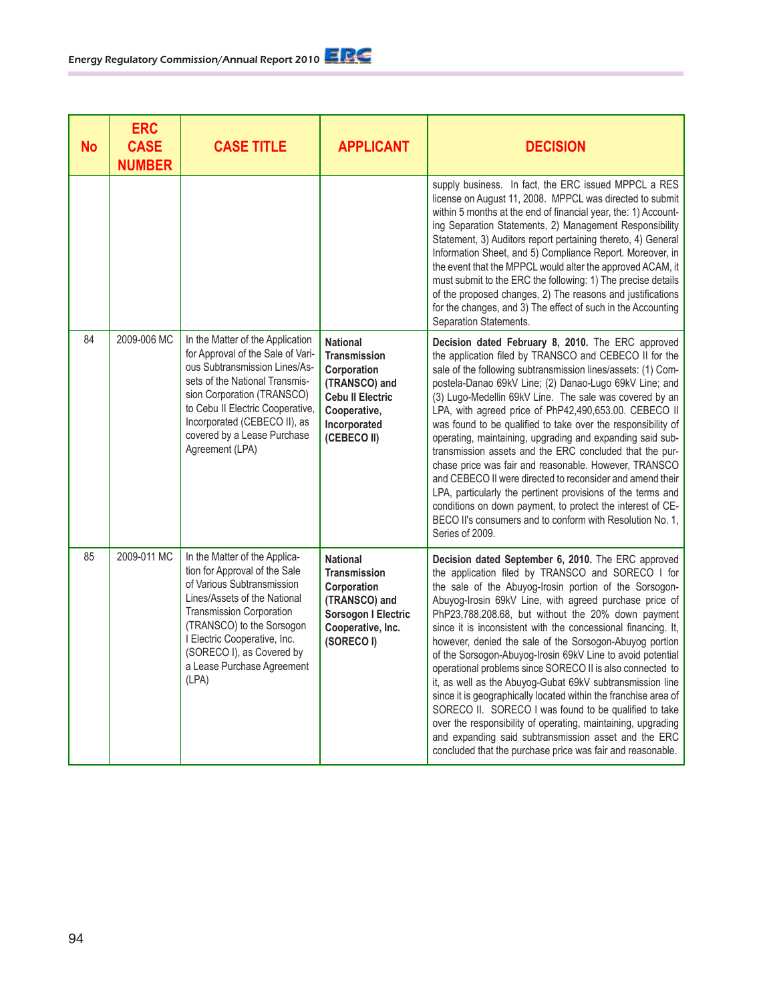| <b>No</b> | <b>ERC</b><br><b>CASE</b><br><b>NUMBER</b> | <b>CASE TITLE</b>                                                                                                                                                                                                                                                                            | <b>APPLICANT</b>                                                                                                                                 | <b>DECISION</b>                                                                                                                                                                                                                                                                                                                                                                                                                                                                                                                                                                                                                                                                                                                                                                                                                                                                                                         |
|-----------|--------------------------------------------|----------------------------------------------------------------------------------------------------------------------------------------------------------------------------------------------------------------------------------------------------------------------------------------------|--------------------------------------------------------------------------------------------------------------------------------------------------|-------------------------------------------------------------------------------------------------------------------------------------------------------------------------------------------------------------------------------------------------------------------------------------------------------------------------------------------------------------------------------------------------------------------------------------------------------------------------------------------------------------------------------------------------------------------------------------------------------------------------------------------------------------------------------------------------------------------------------------------------------------------------------------------------------------------------------------------------------------------------------------------------------------------------|
|           |                                            |                                                                                                                                                                                                                                                                                              |                                                                                                                                                  | supply business. In fact, the ERC issued MPPCL a RES<br>license on August 11, 2008. MPPCL was directed to submit<br>within 5 months at the end of financial year, the: 1) Account-<br>ing Separation Statements, 2) Management Responsibility<br>Statement, 3) Auditors report pertaining thereto, 4) General<br>Information Sheet, and 5) Compliance Report. Moreover, in<br>the event that the MPPCL would alter the approved ACAM, it<br>must submit to the ERC the following: 1) The precise details<br>of the proposed changes, 2) The reasons and justifications<br>for the changes, and 3) The effect of such in the Accounting<br>Separation Statements.                                                                                                                                                                                                                                                        |
| 84        | 2009-006 MC                                | In the Matter of the Application<br>for Approval of the Sale of Vari-<br>ous Subtransmission Lines/As-<br>sets of the National Transmis-<br>sion Corporation (TRANSCO)<br>to Cebu II Electric Cooperative,<br>Incorporated (CEBECO II), as<br>covered by a Lease Purchase<br>Agreement (LPA) | <b>National</b><br><b>Transmission</b><br>Corporation<br>(TRANSCO) and<br><b>Cebu II Electric</b><br>Cooperative,<br>Incorporated<br>(CEBECO II) | Decision dated February 8, 2010. The ERC approved<br>the application filed by TRANSCO and CEBECO II for the<br>sale of the following subtransmission lines/assets: (1) Com-<br>postela-Danao 69kV Line; (2) Danao-Lugo 69kV Line; and<br>(3) Lugo-Medellin 69kV Line. The sale was covered by an<br>LPA, with agreed price of PhP42,490,653.00. CEBECO II<br>was found to be qualified to take over the responsibility of<br>operating, maintaining, upgrading and expanding said sub-<br>transmission assets and the ERC concluded that the pur-<br>chase price was fair and reasonable. However, TRANSCO<br>and CEBECO II were directed to reconsider and amend their<br>LPA, particularly the pertinent provisions of the terms and<br>conditions on down payment, to protect the interest of CE-<br>BECO II's consumers and to conform with Resolution No. 1,<br>Series of 2009.                                    |
| 85        | 2009-011 MC                                | In the Matter of the Applica-<br>tion for Approval of the Sale<br>of Various Subtransmission<br>Lines/Assets of the National<br>Transmission Corporation<br>(TRANSCO) to the Sorsogon<br>I Electric Cooperative, Inc.<br>(SORECO I), as Covered by<br>a Lease Purchase Agreement<br>(LPA)    | <b>National</b><br><b>Transmission</b><br>Corporation<br>(TRANSCO) and<br><b>Sorsogon I Electric</b><br>Cooperative, Inc.<br>(SORECO I)          | Decision dated September 6, 2010. The ERC approved<br>the application filed by TRANSCO and SORECO I for<br>the sale of the Abuyog-Irosin portion of the Sorsogon-<br>Abuyog-Irosin 69kV Line, with agreed purchase price of<br>PhP23,788,208.68, but without the 20% down payment<br>since it is inconsistent with the concessional financing. It,<br>however, denied the sale of the Sorsogon-Abuyog portion<br>of the Sorsogon-Abuyog-Irosin 69kV Line to avoid potential<br>operational problems since SORECO II is also connected to<br>it, as well as the Abuyog-Gubat 69kV subtransmission line<br>since it is geographically located within the franchise area of<br>SORECO II. SORECO I was found to be qualified to take<br>over the responsibility of operating, maintaining, upgrading<br>and expanding said subtransmission asset and the ERC<br>concluded that the purchase price was fair and reasonable. |

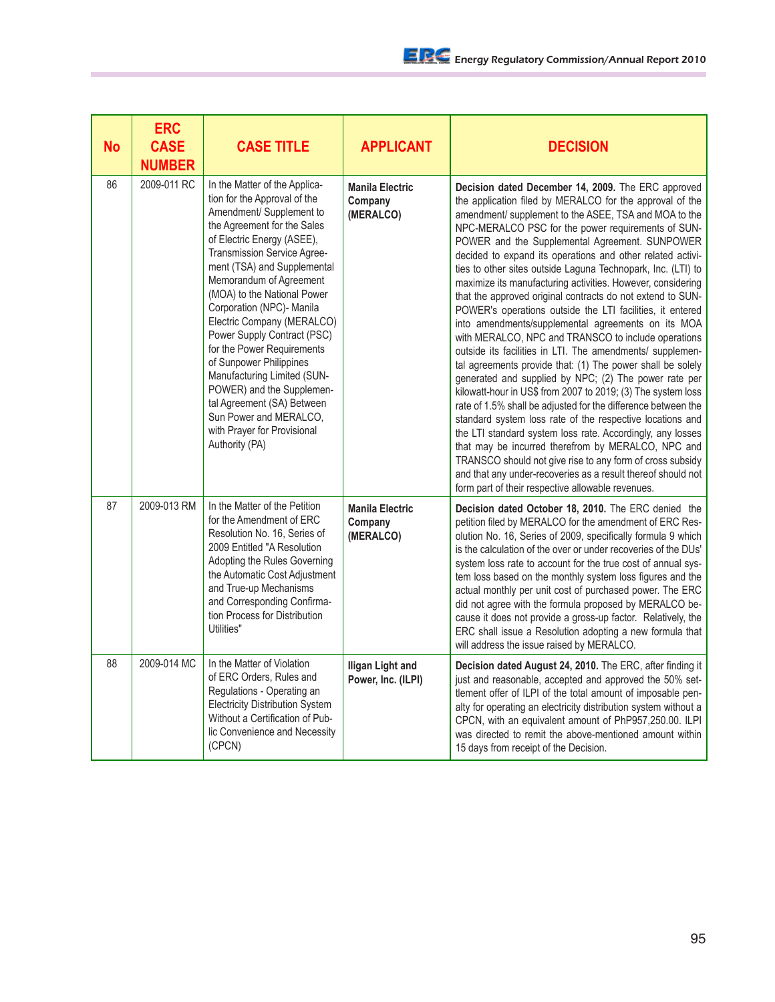| <b>No</b> | <b>ERC</b><br><b>CASE</b><br><b>NUMBER</b> | <b>CASE TITLE</b>                                                                                                                                                                                                                                                                                                                                                                                                                                                                                                                                                                                      | <b>APPLICANT</b>                               | <b>DECISION</b>                                                                                                                                                                                                                                                                                                                                                                                                                                                                                                                                                                                                                                                                                                                                                                                                                                                                                                                                                                                                                                                                                                                                                                                                                                                                                                                                                                                              |
|-----------|--------------------------------------------|--------------------------------------------------------------------------------------------------------------------------------------------------------------------------------------------------------------------------------------------------------------------------------------------------------------------------------------------------------------------------------------------------------------------------------------------------------------------------------------------------------------------------------------------------------------------------------------------------------|------------------------------------------------|--------------------------------------------------------------------------------------------------------------------------------------------------------------------------------------------------------------------------------------------------------------------------------------------------------------------------------------------------------------------------------------------------------------------------------------------------------------------------------------------------------------------------------------------------------------------------------------------------------------------------------------------------------------------------------------------------------------------------------------------------------------------------------------------------------------------------------------------------------------------------------------------------------------------------------------------------------------------------------------------------------------------------------------------------------------------------------------------------------------------------------------------------------------------------------------------------------------------------------------------------------------------------------------------------------------------------------------------------------------------------------------------------------------|
| 86        | 2009-011 RC                                | In the Matter of the Applica-<br>tion for the Approval of the<br>Amendment/ Supplement to<br>the Agreement for the Sales<br>of Electric Energy (ASEE),<br>Transmission Service Agree-<br>ment (TSA) and Supplemental<br>Memorandum of Agreement<br>(MOA) to the National Power<br>Corporation (NPC)- Manila<br>Electric Company (MERALCO)<br>Power Supply Contract (PSC)<br>for the Power Requirements<br>of Sunpower Philippines<br>Manufacturing Limited (SUN-<br>POWER) and the Supplemen-<br>tal Agreement (SA) Between<br>Sun Power and MERALCO,<br>with Prayer for Provisional<br>Authority (PA) | <b>Manila Electric</b><br>Company<br>(MERALCO) | Decision dated December 14, 2009. The ERC approved<br>the application filed by MERALCO for the approval of the<br>amendment/ supplement to the ASEE, TSA and MOA to the<br>NPC-MERALCO PSC for the power requirements of SUN-<br>POWER and the Supplemental Agreement. SUNPOWER<br>decided to expand its operations and other related activi-<br>ties to other sites outside Laguna Technopark, Inc. (LTI) to<br>maximize its manufacturing activities. However, considering<br>that the approved original contracts do not extend to SUN-<br>POWER's operations outside the LTI facilities, it entered<br>into amendments/supplemental agreements on its MOA<br>with MERALCO, NPC and TRANSCO to include operations<br>outside its facilities in LTI. The amendments/ supplemen-<br>tal agreements provide that: (1) The power shall be solely<br>generated and supplied by NPC; (2) The power rate per<br>kilowatt-hour in US\$ from 2007 to 2019; (3) The system loss<br>rate of 1.5% shall be adjusted for the difference between the<br>standard system loss rate of the respective locations and<br>the LTI standard system loss rate. Accordingly, any losses<br>that may be incurred therefrom by MERALCO, NPC and<br>TRANSCO should not give rise to any form of cross subsidy<br>and that any under-recoveries as a result thereof should not<br>form part of their respective allowable revenues. |
| 87        | 2009-013 RM                                | In the Matter of the Petition<br>for the Amendment of ERC<br>Resolution No. 16, Series of<br>2009 Entitled "A Resolution<br>Adopting the Rules Governing<br>the Automatic Cost Adjustment<br>and True-up Mechanisms<br>and Corresponding Confirma-<br>tion Process for Distribution<br>Utilities"                                                                                                                                                                                                                                                                                                      | <b>Manila Electric</b><br>Company<br>(MERALCO) | Decision dated October 18, 2010. The ERC denied the<br>petition filed by MERALCO for the amendment of ERC Res-<br>olution No. 16, Series of 2009, specifically formula 9 which<br>is the calculation of the over or under recoveries of the DUs'<br>system loss rate to account for the true cost of annual sys-<br>tem loss based on the monthly system loss figures and the<br>actual monthly per unit cost of purchased power. The ERC<br>did not agree with the formula proposed by MERALCO be-<br>cause it does not provide a gross-up factor. Relatively, the<br>ERC shall issue a Resolution adopting a new formula that<br>will address the issue raised by MERALCO.                                                                                                                                                                                                                                                                                                                                                                                                                                                                                                                                                                                                                                                                                                                                 |
| 88        | 2009-014 MC                                | In the Matter of Violation<br>of ERC Orders, Rules and<br>Regulations - Operating an<br><b>Electricity Distribution System</b><br>Without a Certification of Pub-<br>lic Convenience and Necessity<br>(CPCN)                                                                                                                                                                                                                                                                                                                                                                                           | <b>Iligan Light and</b><br>Power, Inc. (ILPI)  | <b>Decision dated August 24, 2010.</b> The ERC, after finding it<br>just and reasonable, accepted and approved the 50% set-<br>tlement offer of ILPI of the total amount of imposable pen-<br>alty for operating an electricity distribution system without a<br>CPCN, with an equivalent amount of PhP957,250.00. ILPI<br>was directed to remit the above-mentioned amount within<br>15 days from receipt of the Decision.                                                                                                                                                                                                                                                                                                                                                                                                                                                                                                                                                                                                                                                                                                                                                                                                                                                                                                                                                                                  |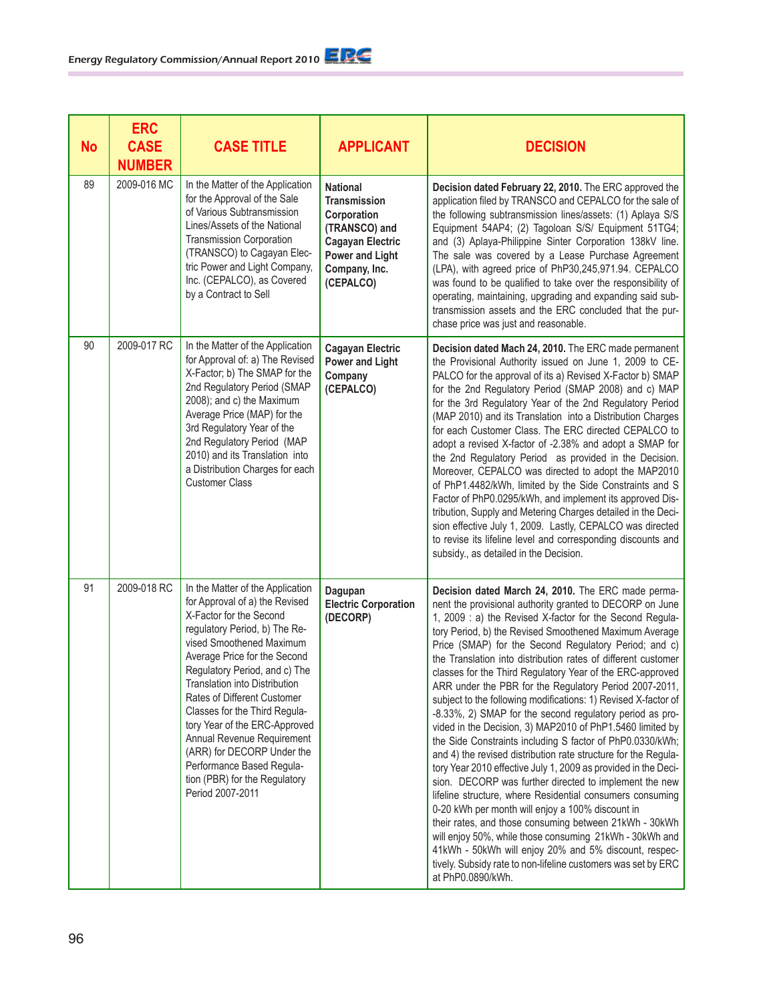| <b>No</b> | <b>ERC</b><br><b>CASE</b><br><b>NUMBER</b> | <b>CASE TITLE</b>                                                                                                                                                                                                                                                                                                                                                                                                                                                                                           | <b>APPLICANT</b>                                                                                                                                          | <b>DECISION</b>                                                                                                                                                                                                                                                                                                                                                                                                                                                                                                                                                                                                                                                                                                                                                                                                                                                                                                                                                                                                                                                                                                                                                                                                                                                                                                                  |
|-----------|--------------------------------------------|-------------------------------------------------------------------------------------------------------------------------------------------------------------------------------------------------------------------------------------------------------------------------------------------------------------------------------------------------------------------------------------------------------------------------------------------------------------------------------------------------------------|-----------------------------------------------------------------------------------------------------------------------------------------------------------|----------------------------------------------------------------------------------------------------------------------------------------------------------------------------------------------------------------------------------------------------------------------------------------------------------------------------------------------------------------------------------------------------------------------------------------------------------------------------------------------------------------------------------------------------------------------------------------------------------------------------------------------------------------------------------------------------------------------------------------------------------------------------------------------------------------------------------------------------------------------------------------------------------------------------------------------------------------------------------------------------------------------------------------------------------------------------------------------------------------------------------------------------------------------------------------------------------------------------------------------------------------------------------------------------------------------------------|
| 89        | 2009-016 MC                                | In the Matter of the Application<br>for the Approval of the Sale<br>of Various Subtransmission<br>Lines/Assets of the National<br><b>Transmission Corporation</b><br>(TRANSCO) to Cagayan Elec-<br>tric Power and Light Company,<br>Inc. (CEPALCO), as Covered<br>by a Contract to Sell                                                                                                                                                                                                                     | <b>National</b><br><b>Transmission</b><br>Corporation<br>(TRANSCO) and<br><b>Cagayan Electric</b><br><b>Power and Light</b><br>Company, Inc.<br>(CEPALCO) | Decision dated February 22, 2010. The ERC approved the<br>application filed by TRANSCO and CEPALCO for the sale of<br>the following subtransmission lines/assets: (1) Aplaya S/S<br>Equipment 54AP4; (2) Tagoloan S/S/ Equipment 51TG4;<br>and (3) Aplaya-Philippine Sinter Corporation 138kV line.<br>The sale was covered by a Lease Purchase Agreement<br>(LPA), with agreed price of PhP30,245,971.94. CEPALCO<br>was found to be qualified to take over the responsibility of<br>operating, maintaining, upgrading and expanding said sub-<br>transmission assets and the ERC concluded that the pur-<br>chase price was just and reasonable.                                                                                                                                                                                                                                                                                                                                                                                                                                                                                                                                                                                                                                                                               |
| 90        | 2009-017 RC                                | In the Matter of the Application<br>for Approval of: a) The Revised<br>X-Factor; b) The SMAP for the<br>2nd Regulatory Period (SMAP<br>2008); and c) the Maximum<br>Average Price (MAP) for the<br>3rd Regulatory Year of the<br>2nd Regulatory Period (MAP<br>2010) and its Translation into<br>a Distribution Charges for each<br><b>Customer Class</b>                                                                                                                                                   | <b>Cagayan Electric</b><br><b>Power and Light</b><br>Company<br>(CEPALCO)                                                                                 | Decision dated Mach 24, 2010. The ERC made permanent<br>the Provisional Authority issued on June 1, 2009 to CE-<br>PALCO for the approval of its a) Revised X-Factor b) SMAP<br>for the 2nd Regulatory Period (SMAP 2008) and c) MAP<br>for the 3rd Regulatory Year of the 2nd Regulatory Period<br>(MAP 2010) and its Translation into a Distribution Charges<br>for each Customer Class. The ERC directed CEPALCO to<br>adopt a revised X-factor of -2.38% and adopt a SMAP for<br>the 2nd Regulatory Period as provided in the Decision.<br>Moreover, CEPALCO was directed to adopt the MAP2010<br>of PhP1.4482/kWh, limited by the Side Constraints and S<br>Factor of PhP0.0295/kWh, and implement its approved Dis-<br>tribution, Supply and Metering Charges detailed in the Deci-<br>sion effective July 1, 2009. Lastly, CEPALCO was directed<br>to revise its lifeline level and corresponding discounts and<br>subsidy., as detailed in the Decision.                                                                                                                                                                                                                                                                                                                                                                 |
| 91        | 2009-018 RC                                | In the Matter of the Application<br>for Approval of a) the Revised<br>X-Factor for the Second<br>regulatory Period, b) The Re-<br>vised Smoothened Maximum<br>Average Price for the Second<br>Regulatory Period, and c) The<br>Translation into Distribution<br>Rates of Different Customer<br>Classes for the Third Regula-<br>tory Year of the ERC-Approved<br>Annual Revenue Requirement<br>(ARR) for DECORP Under the<br>Performance Based Regula-<br>tion (PBR) for the Regulatory<br>Period 2007-2011 | Dagupan<br><b>Electric Corporation</b><br>(DECORP)                                                                                                        | Decision dated March 24, 2010. The ERC made perma-<br>nent the provisional authority granted to DECORP on June<br>1, 2009 : a) the Revised X-factor for the Second Regula-<br>tory Period, b) the Revised Smoothened Maximum Average<br>Price (SMAP) for the Second Regulatory Period; and c)<br>the Translation into distribution rates of different customer<br>classes for the Third Regulatory Year of the ERC-approved<br>ARR under the PBR for the Regulatory Period 2007-2011,<br>subject to the following modifications: 1) Revised X-factor of<br>-8.33%, 2) SMAP for the second regulatory period as pro-<br>vided in the Decision, 3) MAP2010 of PhP1.5460 limited by<br>the Side Constraints including S factor of PhP0.0330/kWh;<br>and 4) the revised distribution rate structure for the Regula-<br>tory Year 2010 effective July 1, 2009 as provided in the Deci-<br>sion. DECORP was further directed to implement the new<br>lifeline structure, where Residential consumers consuming<br>0-20 kWh per month will enjoy a 100% discount in<br>their rates, and those consuming between 21kWh - 30kWh<br>will enjoy 50%, while those consuming 21kWh - 30kWh and<br>41kWh - 50kWh will enjoy 20% and 5% discount, respec-<br>tively. Subsidy rate to non-lifeline customers was set by ERC<br>at PhP0.0890/kWh. |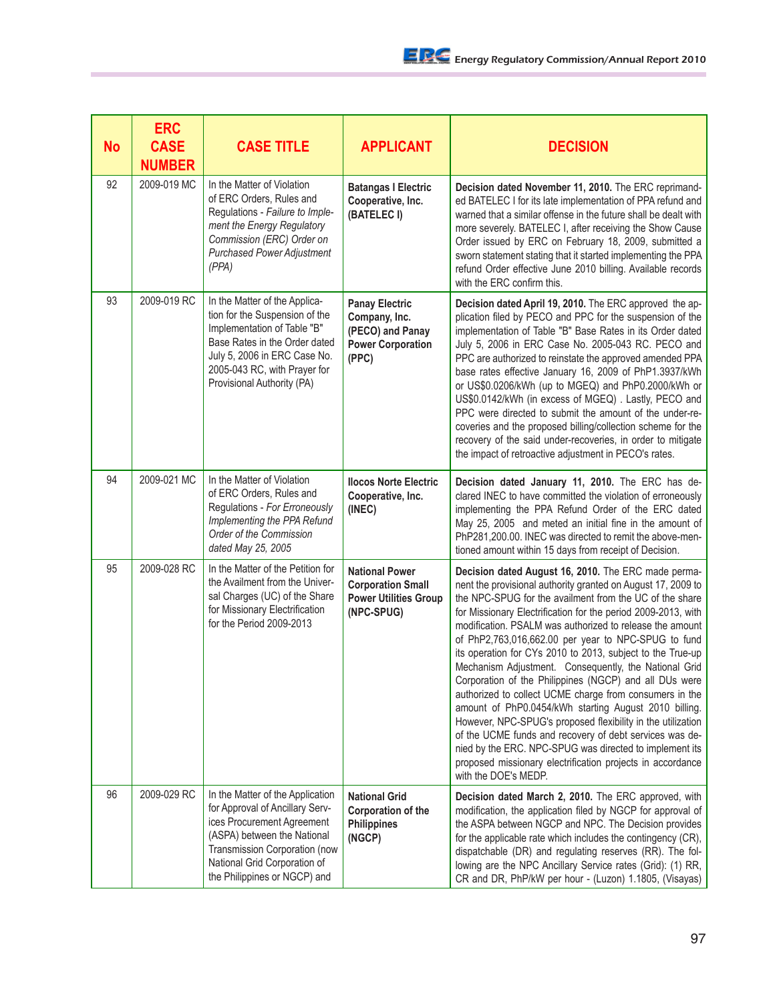| <b>No</b> | <b>ERC</b><br><b>CASE</b><br><b>NUMBER</b> | <b>CASE TITLE</b>                                                                                                                                                                                                                 | <b>APPLICANT</b>                                                                                | <b>DECISION</b>                                                                                                                                                                                                                                                                                                                                                                                                                                                                                                                                                                                                                                                                                                                                                                                                                                                                                                                                    |
|-----------|--------------------------------------------|-----------------------------------------------------------------------------------------------------------------------------------------------------------------------------------------------------------------------------------|-------------------------------------------------------------------------------------------------|----------------------------------------------------------------------------------------------------------------------------------------------------------------------------------------------------------------------------------------------------------------------------------------------------------------------------------------------------------------------------------------------------------------------------------------------------------------------------------------------------------------------------------------------------------------------------------------------------------------------------------------------------------------------------------------------------------------------------------------------------------------------------------------------------------------------------------------------------------------------------------------------------------------------------------------------------|
| 92        | 2009-019 MC                                | In the Matter of Violation<br>of ERC Orders, Rules and<br>Regulations - Failure to Imple-<br>ment the Energy Regulatory<br>Commission (ERC) Order on<br><b>Purchased Power Adjustment</b><br>(PPA)                                | <b>Batangas I Electric</b><br>Cooperative, Inc.<br>(BATELEC I)                                  | Decision dated November 11, 2010. The ERC reprimand-<br>ed BATELEC I for its late implementation of PPA refund and<br>warned that a similar offense in the future shall be dealt with<br>more severely. BATELEC I, after receiving the Show Cause<br>Order issued by ERC on February 18, 2009, submitted a<br>sworn statement stating that it started implementing the PPA<br>refund Order effective June 2010 billing. Available records<br>with the ERC confirm this.                                                                                                                                                                                                                                                                                                                                                                                                                                                                            |
| 93        | 2009-019 RC                                | In the Matter of the Applica-<br>tion for the Suspension of the<br>Implementation of Table "B"<br>Base Rates in the Order dated<br>July 5, 2006 in ERC Case No.<br>2005-043 RC, with Prayer for<br>Provisional Authority (PA)     | <b>Panay Electric</b><br>Company, Inc.<br>(PECO) and Panay<br><b>Power Corporation</b><br>(PPC) | Decision dated April 19, 2010. The ERC approved the ap-<br>plication filed by PECO and PPC for the suspension of the<br>implementation of Table "B" Base Rates in its Order dated<br>July 5, 2006 in ERC Case No. 2005-043 RC. PECO and<br>PPC are authorized to reinstate the approved amended PPA<br>base rates effective January 16, 2009 of PhP1.3937/kWh<br>or US\$0.0206/kWh (up to MGEQ) and PhP0.2000/kWh or<br>US\$0.0142/kWh (in excess of MGEQ). Lastly, PECO and<br>PPC were directed to submit the amount of the under-re-<br>coveries and the proposed billing/collection scheme for the<br>recovery of the said under-recoveries, in order to mitigate<br>the impact of retroactive adjustment in PECO's rates.                                                                                                                                                                                                                     |
| 94        | 2009-021 MC                                | In the Matter of Violation<br>of ERC Orders, Rules and<br>Regulations - For Erroneously<br>Implementing the PPA Refund<br>Order of the Commission<br>dated May 25, 2005                                                           | <b>Ilocos Norte Electric</b><br>Cooperative, Inc.<br>(INEC)                                     | Decision dated January 11, 2010. The ERC has de-<br>clared INEC to have committed the violation of erroneously<br>implementing the PPA Refund Order of the ERC dated<br>May 25, 2005 and meted an initial fine in the amount of<br>PhP281,200.00. INEC was directed to remit the above-men-<br>tioned amount within 15 days from receipt of Decision.                                                                                                                                                                                                                                                                                                                                                                                                                                                                                                                                                                                              |
| 95        | 2009-028 RC                                | In the Matter of the Petition for<br>the Availment from the Univer-<br>sal Charges (UC) of the Share<br>for Missionary Electrification<br>for the Period 2009-2013                                                                | <b>National Power</b><br><b>Corporation Small</b><br><b>Power Utilities Group</b><br>(NPC-SPUG) | Decision dated August 16, 2010. The ERC made perma-<br>nent the provisional authority granted on August 17, 2009 to<br>the NPC-SPUG for the availment from the UC of the share<br>for Missionary Electrification for the period 2009-2013, with<br>modification. PSALM was authorized to release the amount<br>of PhP2,763,016,662.00 per year to NPC-SPUG to fund<br>its operation for CYs 2010 to 2013, subject to the True-up<br>Mechanism Adjustment. Consequently, the National Grid<br>Corporation of the Philippines (NGCP) and all DUs were<br>authorized to collect UCME charge from consumers in the<br>amount of PhP0.0454/kWh starting August 2010 billing.<br>However, NPC-SPUG's proposed flexibility in the utilization<br>of the UCME funds and recovery of debt services was de-<br>nied by the ERC. NPC-SPUG was directed to implement its<br>proposed missionary electrification projects in accordance<br>with the DOE's MEDP. |
| 96        | 2009-029 RC                                | In the Matter of the Application<br>for Approval of Ancillary Serv-<br>ices Procurement Agreement<br>(ASPA) between the National<br>Transmission Corporation (now<br>National Grid Corporation of<br>the Philippines or NGCP) and | <b>National Grid</b><br>Corporation of the<br><b>Philippines</b><br>(NGCP)                      | Decision dated March 2, 2010. The ERC approved, with<br>modification, the application filed by NGCP for approval of<br>the ASPA between NGCP and NPC. The Decision provides<br>for the applicable rate which includes the contingency (CR),<br>dispatchable (DR) and regulating reserves (RR). The fol-<br>lowing are the NPC Ancillary Service rates (Grid): (1) RR,<br>CR and DR, PhP/kW per hour - (Luzon) 1.1805, (Visayas)                                                                                                                                                                                                                                                                                                                                                                                                                                                                                                                    |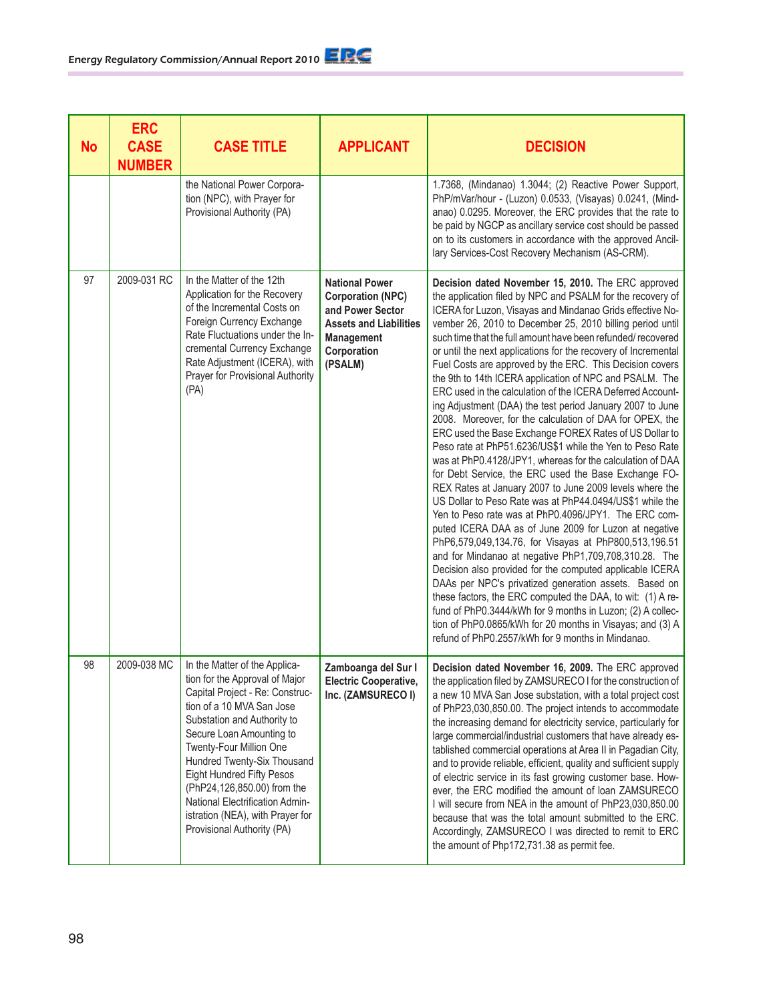| <b>No</b> | <b>ERC</b><br><b>CASE</b><br><b>NUMBER</b> | <b>CASE TITLE</b>                                                                                                                                                                                                                                                                                                                                                                                                                   | <b>APPLICANT</b>                                                                                                                               | <b>DECISION</b>                                                                                                                                                                                                                                                                                                                                                                                                                                                                                                                                                                                                                                                                                                                                                                                                                                                                                                                                                                                                                                                                                                                                                                                                                                                                                                                                                                                                                                                                                                                                                                                                                                                   |
|-----------|--------------------------------------------|-------------------------------------------------------------------------------------------------------------------------------------------------------------------------------------------------------------------------------------------------------------------------------------------------------------------------------------------------------------------------------------------------------------------------------------|------------------------------------------------------------------------------------------------------------------------------------------------|-------------------------------------------------------------------------------------------------------------------------------------------------------------------------------------------------------------------------------------------------------------------------------------------------------------------------------------------------------------------------------------------------------------------------------------------------------------------------------------------------------------------------------------------------------------------------------------------------------------------------------------------------------------------------------------------------------------------------------------------------------------------------------------------------------------------------------------------------------------------------------------------------------------------------------------------------------------------------------------------------------------------------------------------------------------------------------------------------------------------------------------------------------------------------------------------------------------------------------------------------------------------------------------------------------------------------------------------------------------------------------------------------------------------------------------------------------------------------------------------------------------------------------------------------------------------------------------------------------------------------------------------------------------------|
|           |                                            | the National Power Corpora-<br>tion (NPC), with Prayer for<br>Provisional Authority (PA)                                                                                                                                                                                                                                                                                                                                            |                                                                                                                                                | 1.7368, (Mindanao) 1.3044; (2) Reactive Power Support,<br>PhP/mVar/hour - (Luzon) 0.0533, (Visayas) 0.0241, (Mind-<br>anao) 0.0295. Moreover, the ERC provides that the rate to<br>be paid by NGCP as ancillary service cost should be passed<br>on to its customers in accordance with the approved Ancil-<br>lary Services-Cost Recovery Mechanism (AS-CRM).                                                                                                                                                                                                                                                                                                                                                                                                                                                                                                                                                                                                                                                                                                                                                                                                                                                                                                                                                                                                                                                                                                                                                                                                                                                                                                    |
| 97        | 2009-031 RC                                | In the Matter of the 12th<br>Application for the Recovery<br>of the Incremental Costs on<br>Foreign Currency Exchange<br>Rate Fluctuations under the In-<br>cremental Currency Exchange<br>Rate Adjustment (ICERA), with<br>Prayer for Provisional Authority<br>(PA)                                                                                                                                                                | <b>National Power</b><br><b>Corporation (NPC)</b><br>and Power Sector<br><b>Assets and Liabilities</b><br>Management<br>Corporation<br>(PSALM) | Decision dated November 15, 2010. The ERC approved<br>the application filed by NPC and PSALM for the recovery of<br>ICERA for Luzon, Visayas and Mindanao Grids effective No-<br>vember 26, 2010 to December 25, 2010 billing period until<br>such time that the full amount have been refunded/recovered<br>or until the next applications for the recovery of Incremental<br>Fuel Costs are approved by the ERC. This Decision covers<br>the 9th to 14th ICERA application of NPC and PSALM. The<br>ERC used in the calculation of the ICERA Deferred Account-<br>ing Adjustment (DAA) the test period January 2007 to June<br>2008. Moreover, for the calculation of DAA for OPEX, the<br>ERC used the Base Exchange FOREX Rates of US Dollar to<br>Peso rate at PhP51.6236/US\$1 while the Yen to Peso Rate<br>was at PhP0.4128/JPY1, whereas for the calculation of DAA<br>for Debt Service, the ERC used the Base Exchange FO-<br>REX Rates at January 2007 to June 2009 levels where the<br>US Dollar to Peso Rate was at PhP44.0494/US\$1 while the<br>Yen to Peso rate was at PhP0.4096/JPY1. The ERC com-<br>puted ICERA DAA as of June 2009 for Luzon at negative<br>PhP6,579,049,134.76, for Visayas at PhP800,513,196.51<br>and for Mindanao at negative PhP1,709,708,310.28. The<br>Decision also provided for the computed applicable ICERA<br>DAAs per NPC's privatized generation assets. Based on<br>these factors, the ERC computed the DAA, to wit: (1) A re-<br>fund of PhP0.3444/kWh for 9 months in Luzon; (2) A collec-<br>tion of PhP0.0865/kWh for 20 months in Visayas; and (3) A<br>refund of PhP0.2557/kWh for 9 months in Mindanao. |
| 98        | 2009-038 MC                                | In the Matter of the Applica-<br>tion for the Approval of Major<br>Capital Project - Re: Construc-<br>tion of a 10 MVA San Jose<br>Substation and Authority to<br>Secure Loan Amounting to<br>Twenty-Four Million One<br>Hundred Twenty-Six Thousand<br><b>Eight Hundred Fifty Pesos</b><br>(PhP24,126,850.00) from the<br><b>National Electrification Admin-</b><br>istration (NEA), with Prayer for<br>Provisional Authority (PA) | Zamboanga del Sur I<br><b>Electric Cooperative,</b><br>Inc. (ZAMSURECO I)                                                                      | Decision dated November 16, 2009. The ERC approved<br>the application filed by ZAMSURECO I for the construction of<br>a new 10 MVA San Jose substation, with a total project cost<br>of PhP23,030,850.00. The project intends to accommodate<br>the increasing demand for electricity service, particularly for<br>large commercial/industrial customers that have already es-<br>tablished commercial operations at Area II in Pagadian City,<br>and to provide reliable, efficient, quality and sufficient supply<br>of electric service in its fast growing customer base. How-<br>ever, the ERC modified the amount of loan ZAMSURECO<br>I will secure from NEA in the amount of PhP23,030,850.00<br>because that was the total amount submitted to the ERC.<br>Accordingly, ZAMSURECO I was directed to remit to ERC<br>the amount of Php172,731.38 as permit fee.                                                                                                                                                                                                                                                                                                                                                                                                                                                                                                                                                                                                                                                                                                                                                                                           |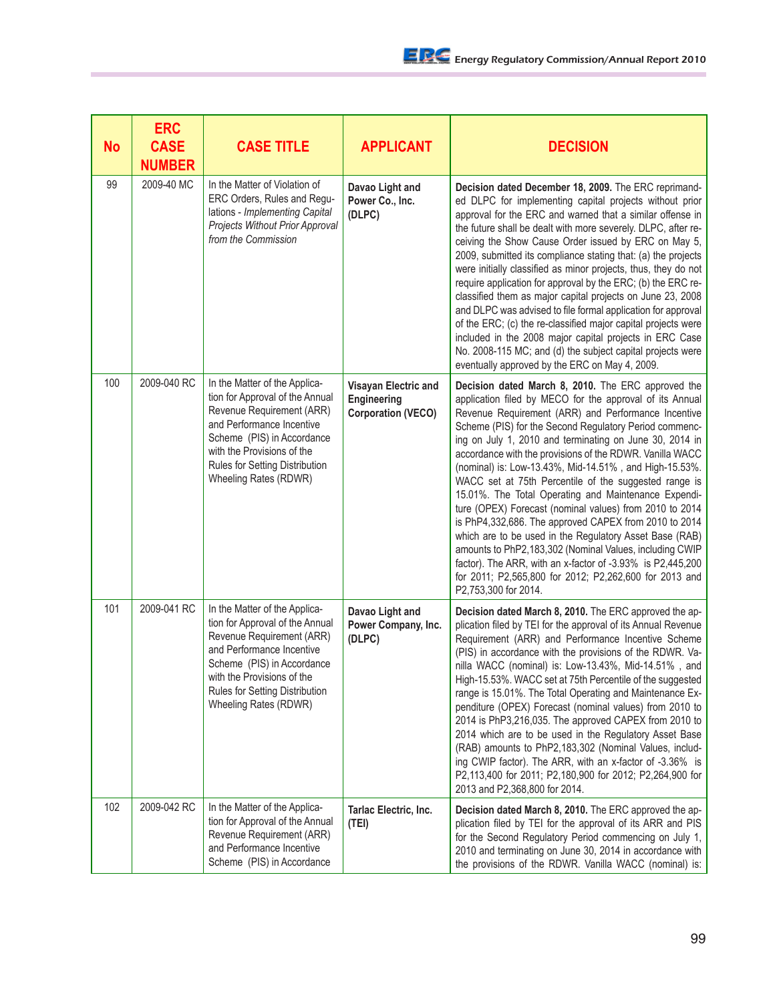| <b>No</b> | <b>ERC</b><br><b>CASE</b><br><b>NUMBER</b> | <b>CASE TITLE</b>                                                                                                                                                                                                                                 | <b>APPLICANT</b>                                                 | <b>DECISION</b>                                                                                                                                                                                                                                                                                                                                                                                                                                                                                                                                                                                                                                                                                                                                                                                                                                                                                                             |
|-----------|--------------------------------------------|---------------------------------------------------------------------------------------------------------------------------------------------------------------------------------------------------------------------------------------------------|------------------------------------------------------------------|-----------------------------------------------------------------------------------------------------------------------------------------------------------------------------------------------------------------------------------------------------------------------------------------------------------------------------------------------------------------------------------------------------------------------------------------------------------------------------------------------------------------------------------------------------------------------------------------------------------------------------------------------------------------------------------------------------------------------------------------------------------------------------------------------------------------------------------------------------------------------------------------------------------------------------|
| 99        | 2009-40 MC                                 | In the Matter of Violation of<br>ERC Orders, Rules and Regu-<br>lations - Implementing Capital<br>Projects Without Prior Approval<br>from the Commission                                                                                          | Davao Light and<br>Power Co., Inc.<br>(DLPC)                     | Decision dated December 18, 2009. The ERC reprimand-<br>ed DLPC for implementing capital projects without prior<br>approval for the ERC and warned that a similar offense in<br>the future shall be dealt with more severely. DLPC, after re-<br>ceiving the Show Cause Order issued by ERC on May 5,<br>2009, submitted its compliance stating that: (a) the projects<br>were initially classified as minor projects, thus, they do not<br>require application for approval by the ERC; (b) the ERC re-<br>classified them as major capital projects on June 23, 2008<br>and DLPC was advised to file formal application for approval<br>of the ERC; (c) the re-classified major capital projects were<br>included in the 2008 major capital projects in ERC Case<br>No. 2008-115 MC; and (d) the subject capital projects were<br>eventually approved by the ERC on May 4, 2009.                                          |
| 100       | 2009-040 RC                                | In the Matter of the Applica-<br>tion for Approval of the Annual<br>Revenue Requirement (ARR)<br>and Performance Incentive<br>Scheme (PIS) in Accordance<br>with the Provisions of the<br>Rules for Setting Distribution<br>Wheeling Rates (RDWR) | Visayan Electric and<br>Engineering<br><b>Corporation (VECO)</b> | Decision dated March 8, 2010. The ERC approved the<br>application filed by MECO for the approval of its Annual<br>Revenue Requirement (ARR) and Performance Incentive<br>Scheme (PIS) for the Second Regulatory Period commenc-<br>ing on July 1, 2010 and terminating on June 30, 2014 in<br>accordance with the provisions of the RDWR. Vanilla WACC<br>(nominal) is: Low-13.43%, Mid-14.51%, and High-15.53%.<br>WACC set at 75th Percentile of the suggested range is<br>15.01%. The Total Operating and Maintenance Expendi-<br>ture (OPEX) Forecast (nominal values) from 2010 to 2014<br>is PhP4,332,686. The approved CAPEX from 2010 to 2014<br>which are to be used in the Regulatory Asset Base (RAB)<br>amounts to PhP2,183,302 (Nominal Values, including CWIP<br>factor). The ARR, with an x-factor of -3.93% is P2,445,200<br>for 2011; P2,565,800 for 2012; P2,262,600 for 2013 and<br>P2,753,300 for 2014. |
| 101       | 2009-041 RC                                | In the Matter of the Applica-<br>tion for Approval of the Annual<br>Revenue Requirement (ARR)<br>and Performance Incentive<br>Scheme (PIS) in Accordance<br>with the Provisions of the<br>Rules for Setting Distribution<br>Wheeling Rates (RDWR) | Davao Light and<br>Power Company, Inc.<br>(DLPC)                 | Decision dated March 8, 2010. The ERC approved the ap-<br>plication filed by TEI for the approval of its Annual Revenue<br>Requirement (ARR) and Performance Incentive Scheme<br>(PIS) in accordance with the provisions of the RDWR. Va-<br>nilla WACC (nominal) is: Low-13.43%, Mid-14.51%, and<br>High-15.53%. WACC set at 75th Percentile of the suggested<br>range is 15.01%. The Total Operating and Maintenance Ex-<br>penditure (OPEX) Forecast (nominal values) from 2010 to<br>2014 is PhP3,216,035. The approved CAPEX from 2010 to<br>2014 which are to be used in the Regulatory Asset Base<br>(RAB) amounts to PhP2,183,302 (Nominal Values, includ-<br>ing CWIP factor). The ARR, with an x-factor of -3.36% is<br>P2,113,400 for 2011; P2,180,900 for 2012; P2,264,900 for<br>2013 and P2,368,800 for 2014.                                                                                                 |
| 102       | 2009-042 RC                                | In the Matter of the Applica-<br>tion for Approval of the Annual<br>Revenue Requirement (ARR)<br>and Performance Incentive<br>Scheme (PIS) in Accordance                                                                                          | Tarlac Electric, Inc.<br>(TEI)                                   | Decision dated March 8, 2010. The ERC approved the ap-<br>plication filed by TEI for the approval of its ARR and PIS<br>for the Second Regulatory Period commencing on July 1,<br>2010 and terminating on June 30, 2014 in accordance with<br>the provisions of the RDWR. Vanilla WACC (nominal) is:                                                                                                                                                                                                                                                                                                                                                                                                                                                                                                                                                                                                                        |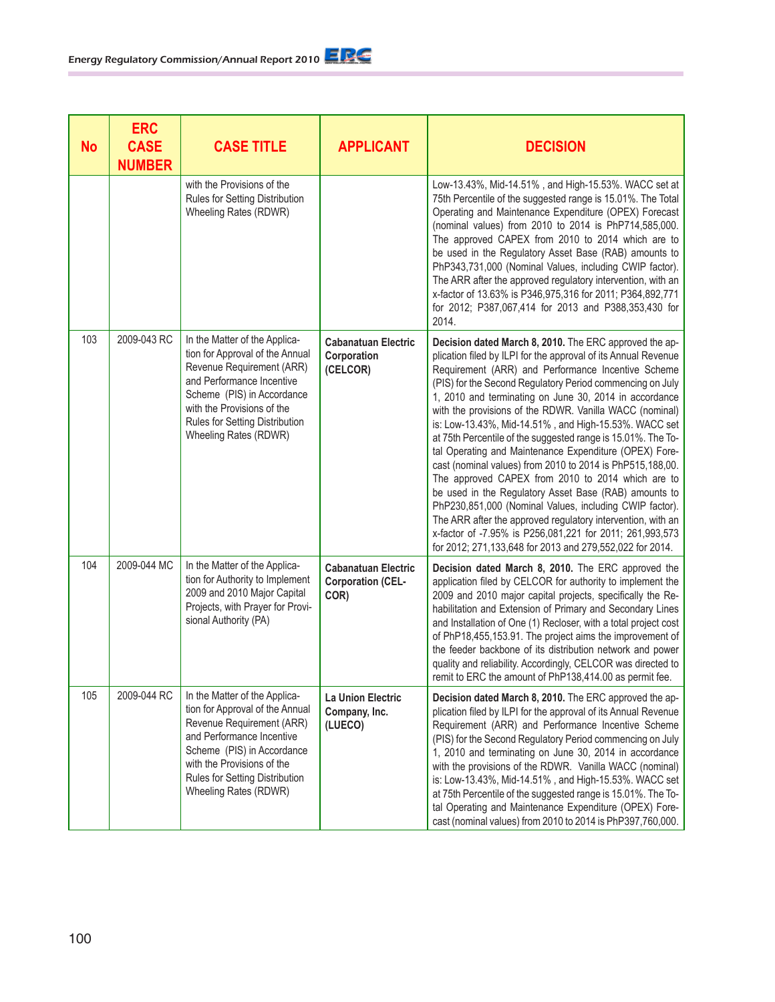| <b>No</b> | <b>ERC</b><br><b>CASE</b><br><b>NUMBER</b> | <b>CASE TITLE</b>                                                                                                                                                                                                                                 | <b>APPLICANT</b>                                               | <b>DECISION</b>                                                                                                                                                                                                                                                                                                                                                                                                                                                                                                                                                                                                                                                                                                                                                                                                                                                                                                                                                                  |
|-----------|--------------------------------------------|---------------------------------------------------------------------------------------------------------------------------------------------------------------------------------------------------------------------------------------------------|----------------------------------------------------------------|----------------------------------------------------------------------------------------------------------------------------------------------------------------------------------------------------------------------------------------------------------------------------------------------------------------------------------------------------------------------------------------------------------------------------------------------------------------------------------------------------------------------------------------------------------------------------------------------------------------------------------------------------------------------------------------------------------------------------------------------------------------------------------------------------------------------------------------------------------------------------------------------------------------------------------------------------------------------------------|
|           |                                            | with the Provisions of the<br>Rules for Setting Distribution<br>Wheeling Rates (RDWR)                                                                                                                                                             |                                                                | Low-13.43%, Mid-14.51%, and High-15.53%. WACC set at<br>75th Percentile of the suggested range is 15.01%. The Total<br>Operating and Maintenance Expenditure (OPEX) Forecast<br>(nominal values) from 2010 to 2014 is PhP714,585,000.<br>The approved CAPEX from 2010 to 2014 which are to<br>be used in the Regulatory Asset Base (RAB) amounts to<br>PhP343,731,000 (Nominal Values, including CWIP factor).<br>The ARR after the approved regulatory intervention, with an<br>x-factor of 13.63% is P346,975,316 for 2011; P364,892,771<br>for 2012; P387,067,414 for 2013 and P388,353,430 for<br>2014.                                                                                                                                                                                                                                                                                                                                                                      |
| 103       | 2009-043 RC                                | In the Matter of the Applica-<br>tion for Approval of the Annual<br>Revenue Requirement (ARR)<br>and Performance Incentive<br>Scheme (PIS) in Accordance<br>with the Provisions of the<br>Rules for Setting Distribution<br>Wheeling Rates (RDWR) | <b>Cabanatuan Electric</b><br>Corporation<br>(CELCOR)          | Decision dated March 8, 2010. The ERC approved the ap-<br>plication filed by ILPI for the approval of its Annual Revenue<br>Requirement (ARR) and Performance Incentive Scheme<br>(PIS) for the Second Regulatory Period commencing on July<br>1, 2010 and terminating on June 30, 2014 in accordance<br>with the provisions of the RDWR. Vanilla WACC (nominal)<br>is: Low-13.43%, Mid-14.51%, and High-15.53%. WACC set<br>at 75th Percentile of the suggested range is 15.01%. The To-<br>tal Operating and Maintenance Expenditure (OPEX) Fore-<br>cast (nominal values) from 2010 to 2014 is PhP515,188,00.<br>The approved CAPEX from 2010 to 2014 which are to<br>be used in the Regulatory Asset Base (RAB) amounts to<br>PhP230,851,000 (Nominal Values, including CWIP factor).<br>The ARR after the approved regulatory intervention, with an<br>x-factor of -7.95% is P256,081,221 for 2011; 261,993,573<br>for 2012; 271,133,648 for 2013 and 279,552,022 for 2014. |
| 104       | 2009-044 MC                                | In the Matter of the Applica-<br>tion for Authority to Implement<br>2009 and 2010 Major Capital<br>Projects, with Prayer for Provi-<br>sional Authority (PA)                                                                                      | <b>Cabanatuan Electric</b><br><b>Corporation (CEL-</b><br>COR) | Decision dated March 8, 2010. The ERC approved the<br>application filed by CELCOR for authority to implement the<br>2009 and 2010 major capital projects, specifically the Re-<br>habilitation and Extension of Primary and Secondary Lines<br>and Installation of One (1) Recloser, with a total project cost<br>of PhP18,455,153.91. The project aims the improvement of<br>the feeder backbone of its distribution network and power<br>quality and reliability. Accordingly, CELCOR was directed to<br>remit to ERC the amount of PhP138,414.00 as permit fee.                                                                                                                                                                                                                                                                                                                                                                                                               |
| 105       | 2009-044 RC                                | In the Matter of the Applica-<br>tion for Approval of the Annual<br>Revenue Requirement (ARR)<br>and Performance Incentive<br>Scheme (PIS) in Accordance<br>with the Provisions of the<br>Rules for Setting Distribution<br>Wheeling Rates (RDWR) | La Union Electric<br>Company, Inc.<br>(LUECO)                  | Decision dated March 8, 2010. The ERC approved the ap-<br>plication filed by ILPI for the approval of its Annual Revenue<br>Requirement (ARR) and Performance Incentive Scheme<br>(PIS) for the Second Regulatory Period commencing on July<br>1, 2010 and terminating on June 30, 2014 in accordance<br>with the provisions of the RDWR. Vanilla WACC (nominal)<br>is: Low-13.43%, Mid-14.51%, and High-15.53%. WACC set<br>at 75th Percentile of the suggested range is 15.01%. The To-<br>tal Operating and Maintenance Expenditure (OPEX) Fore-<br>cast (nominal values) from 2010 to 2014 is PhP397,760,000.                                                                                                                                                                                                                                                                                                                                                                |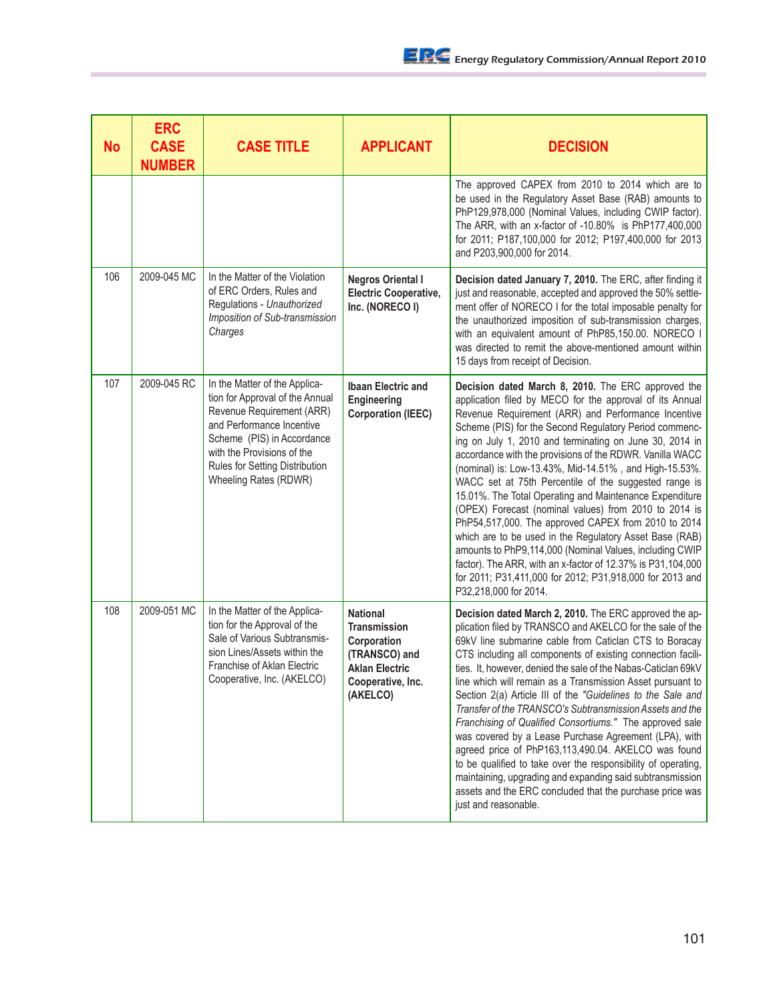| <b>No</b> | <b>ERC</b><br><b>CASE</b><br><b>NUMBER</b> | <b>CASE TITLE</b>                                                                                                                                                                                                                                 | <b>APPLICANT</b>                                                                                                                 | <b>DECISION</b>                                                                                                                                                                                                                                                                                                                                                                                                                                                                                                                                                                                                                                                                                                                                                                                                                                                                                                                |
|-----------|--------------------------------------------|---------------------------------------------------------------------------------------------------------------------------------------------------------------------------------------------------------------------------------------------------|----------------------------------------------------------------------------------------------------------------------------------|--------------------------------------------------------------------------------------------------------------------------------------------------------------------------------------------------------------------------------------------------------------------------------------------------------------------------------------------------------------------------------------------------------------------------------------------------------------------------------------------------------------------------------------------------------------------------------------------------------------------------------------------------------------------------------------------------------------------------------------------------------------------------------------------------------------------------------------------------------------------------------------------------------------------------------|
|           |                                            |                                                                                                                                                                                                                                                   |                                                                                                                                  | The approved CAPEX from 2010 to 2014 which are to<br>be used in the Regulatory Asset Base (RAB) amounts to<br>PhP129,978,000 (Nominal Values, including CWIP factor).<br>The ARR, with an x-factor of -10.80% is PhP177,400,000<br>for 2011; P187,100,000 for 2012; P197,400,000 for 2013<br>and P203,900,000 for 2014.                                                                                                                                                                                                                                                                                                                                                                                                                                                                                                                                                                                                        |
| 106       | 2009-045 MC                                | In the Matter of the Violation<br>of ERC Orders, Rules and<br>Regulations - Unauthorized<br>Imposition of Sub-transmission<br>Charges                                                                                                             | <b>Negros Oriental I</b><br><b>Electric Cooperative,</b><br>Inc. (NORECO I)                                                      | Decision dated January 7, 2010. The ERC, after finding it<br>just and reasonable, accepted and approved the 50% settle-<br>ment offer of NORECO I for the total imposable penalty for<br>the unauthorized imposition of sub-transmission charges,<br>with an equivalent amount of PhP85,150.00. NORECO I<br>was directed to remit the above-mentioned amount within<br>15 days from receipt of Decision.                                                                                                                                                                                                                                                                                                                                                                                                                                                                                                                       |
| 107       | 2009-045 RC                                | In the Matter of the Applica-<br>tion for Approval of the Annual<br>Revenue Requirement (ARR)<br>and Performance Incentive<br>Scheme (PIS) in Accordance<br>with the Provisions of the<br>Rules for Setting Distribution<br>Wheeling Rates (RDWR) | <b>Ibaan Electric and</b><br>Engineering<br><b>Corporation (IEEC)</b>                                                            | Decision dated March 8, 2010. The ERC approved the<br>application filed by MECO for the approval of its Annual<br>Revenue Requirement (ARR) and Performance Incentive<br>Scheme (PIS) for the Second Regulatory Period commenc-<br>ing on July 1, 2010 and terminating on June 30, 2014 in<br>accordance with the provisions of the RDWR. Vanilla WACC<br>(nominal) is: Low-13.43%, Mid-14.51%, and High-15.53%.<br>WACC set at 75th Percentile of the suggested range is<br>15.01%. The Total Operating and Maintenance Expenditure<br>(OPEX) Forecast (nominal values) from 2010 to 2014 is<br>PhP54,517,000. The approved CAPEX from 2010 to 2014<br>which are to be used in the Regulatory Asset Base (RAB)<br>amounts to PhP9,114,000 (Nominal Values, including CWIP<br>factor). The ARR, with an x-factor of 12.37% is P31,104,000<br>for 2011; P31,411,000 for 2012; P31,918,000 for 2013 and<br>P32,218,000 for 2014. |
| 108       | 2009-051 MC                                | In the Matter of the Applica-<br>tion for the Approval of the<br>Sale of Various Subtransmis-<br>sion Lines/Assets within the<br>Franchise of Aklan Electric<br>Cooperative, Inc. (AKELCO)                                                        | <b>National</b><br><b>Transmission</b><br>Corporation<br>(TRANSCO) and<br><b>Aklan Electric</b><br>Cooperative, Inc.<br>(AKELCO) | Decision dated March 2, 2010. The ERC approved the ap-<br>plication filed by TRANSCO and AKELCO for the sale of the<br>69kV line submarine cable from Caticlan CTS to Boracay<br>CTS including all components of existing connection facili-<br>ties. It, however, denied the sale of the Nabas-Caticlan 69kV<br>line which will remain as a Transmission Asset pursuant to<br>Section 2(a) Article III of the "Guidelines to the Sale and<br>Transfer of the TRANSCO's Subtransmission Assets and the<br>Franchising of Qualified Consortiums." The approved sale<br>was covered by a Lease Purchase Agreement (LPA), with<br>agreed price of PhP163,113,490.04. AKELCO was found<br>to be qualified to take over the responsibility of operating,<br>maintaining, upgrading and expanding said subtransmission<br>assets and the ERC concluded that the purchase price was<br>just and reasonable.                           |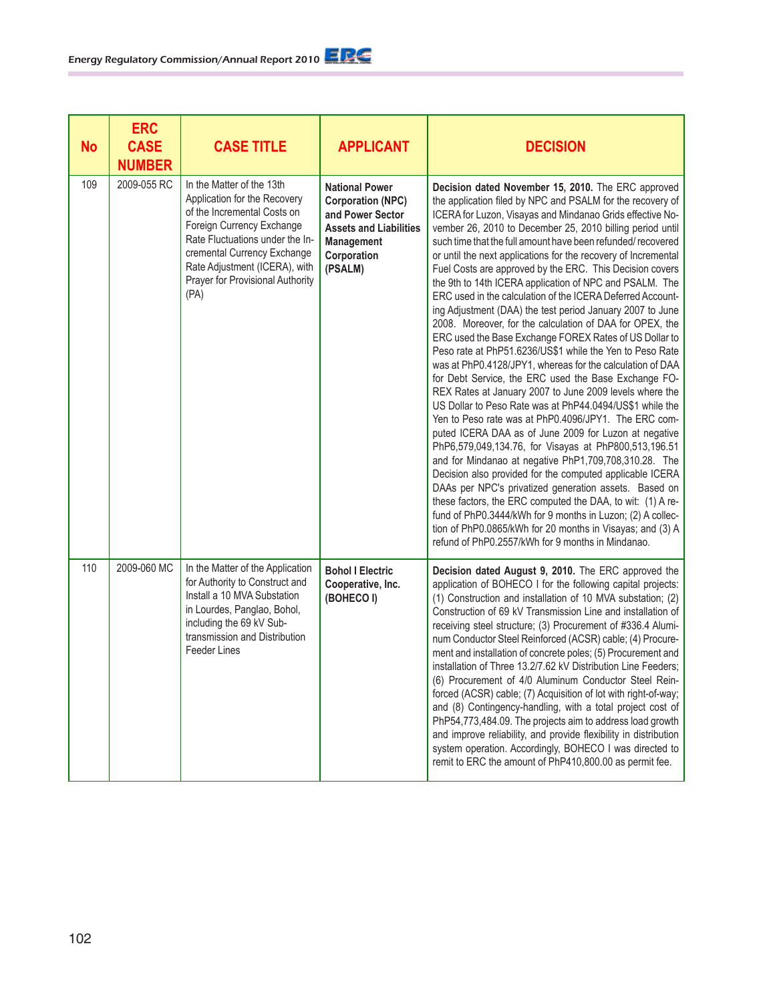| <b>No</b> | <b>ERC</b><br><b>CASE</b><br><b>NUMBER</b> | <b>CASE TITLE</b>                                                                                                                                                                                                                                                    | <b>APPLICANT</b>                                                                                                                                      | <b>DECISION</b>                                                                                                                                                                                                                                                                                                                                                                                                                                                                                                                                                                                                                                                                                                                                                                                                                                                                                                                                                                                                                                                                                                                                                                                                                                                                                                                                                                                                                                                                                                                                                                                                                                                    |
|-----------|--------------------------------------------|----------------------------------------------------------------------------------------------------------------------------------------------------------------------------------------------------------------------------------------------------------------------|-------------------------------------------------------------------------------------------------------------------------------------------------------|--------------------------------------------------------------------------------------------------------------------------------------------------------------------------------------------------------------------------------------------------------------------------------------------------------------------------------------------------------------------------------------------------------------------------------------------------------------------------------------------------------------------------------------------------------------------------------------------------------------------------------------------------------------------------------------------------------------------------------------------------------------------------------------------------------------------------------------------------------------------------------------------------------------------------------------------------------------------------------------------------------------------------------------------------------------------------------------------------------------------------------------------------------------------------------------------------------------------------------------------------------------------------------------------------------------------------------------------------------------------------------------------------------------------------------------------------------------------------------------------------------------------------------------------------------------------------------------------------------------------------------------------------------------------|
| 109       | 2009-055 RC                                | In the Matter of the 13th<br>Application for the Recovery<br>of the Incremental Costs on<br>Foreign Currency Exchange<br>Rate Fluctuations under the In-<br>cremental Currency Exchange<br>Rate Adjustment (ICERA), with<br>Prayer for Provisional Authority<br>(PA) | <b>National Power</b><br><b>Corporation (NPC)</b><br>and Power Sector<br><b>Assets and Liabilities</b><br><b>Management</b><br>Corporation<br>(PSALM) | Decision dated November 15, 2010. The ERC approved<br>the application filed by NPC and PSALM for the recovery of<br>ICERA for Luzon, Visayas and Mindanao Grids effective No-<br>vember 26, 2010 to December 25, 2010 billing period until<br>such time that the full amount have been refunded/ recovered<br>or until the next applications for the recovery of Incremental<br>Fuel Costs are approved by the ERC. This Decision covers<br>the 9th to 14th ICERA application of NPC and PSALM. The<br>ERC used in the calculation of the ICERA Deferred Account-<br>ing Adjustment (DAA) the test period January 2007 to June<br>2008. Moreover, for the calculation of DAA for OPEX, the<br>ERC used the Base Exchange FOREX Rates of US Dollar to<br>Peso rate at PhP51.6236/US\$1 while the Yen to Peso Rate<br>was at PhP0.4128/JPY1, whereas for the calculation of DAA<br>for Debt Service, the ERC used the Base Exchange FO-<br>REX Rates at January 2007 to June 2009 levels where the<br>US Dollar to Peso Rate was at PhP44.0494/US\$1 while the<br>Yen to Peso rate was at PhP0.4096/JPY1. The ERC com-<br>puted ICERA DAA as of June 2009 for Luzon at negative<br>PhP6,579,049,134.76, for Visayas at PhP800,513,196.51<br>and for Mindanao at negative PhP1,709,708,310.28. The<br>Decision also provided for the computed applicable ICERA<br>DAAs per NPC's privatized generation assets. Based on<br>these factors, the ERC computed the DAA, to wit: (1) A re-<br>fund of PhP0.3444/kWh for 9 months in Luzon; (2) A collec-<br>tion of PhP0.0865/kWh for 20 months in Visayas; and (3) A<br>refund of PhP0.2557/kWh for 9 months in Mindanao. |
| 110       | 2009-060 MC                                | In the Matter of the Application<br>for Authority to Construct and<br>Install a 10 MVA Substation<br>in Lourdes, Panglao, Bohol,<br>including the 69 kV Sub-<br>transmission and Distribution<br><b>Feeder Lines</b>                                                 | <b>Bohol I Electric</b><br>Cooperative, Inc.<br>(BOHECO I)                                                                                            | Decision dated August 9, 2010. The ERC approved the<br>application of BOHECO I for the following capital projects:<br>(1) Construction and installation of 10 MVA substation; (2)<br>Construction of 69 kV Transmission Line and installation of<br>receiving steel structure; (3) Procurement of #336.4 Alumi-<br>num Conductor Steel Reinforced (ACSR) cable; (4) Procure-<br>ment and installation of concrete poles; (5) Procurement and<br>installation of Three 13.2/7.62 kV Distribution Line Feeders;<br>(6) Procurement of 4/0 Aluminum Conductor Steel Rein-<br>forced (ACSR) cable; (7) Acquisition of lot with right-of-way;<br>and (8) Contingency-handling, with a total project cost of<br>PhP54,773,484.09. The projects aim to address load growth<br>and improve reliability, and provide flexibility in distribution<br>system operation. Accordingly, BOHECO I was directed to<br>remit to ERC the amount of PhP410,800.00 as permit fee.                                                                                                                                                                                                                                                                                                                                                                                                                                                                                                                                                                                                                                                                                                      |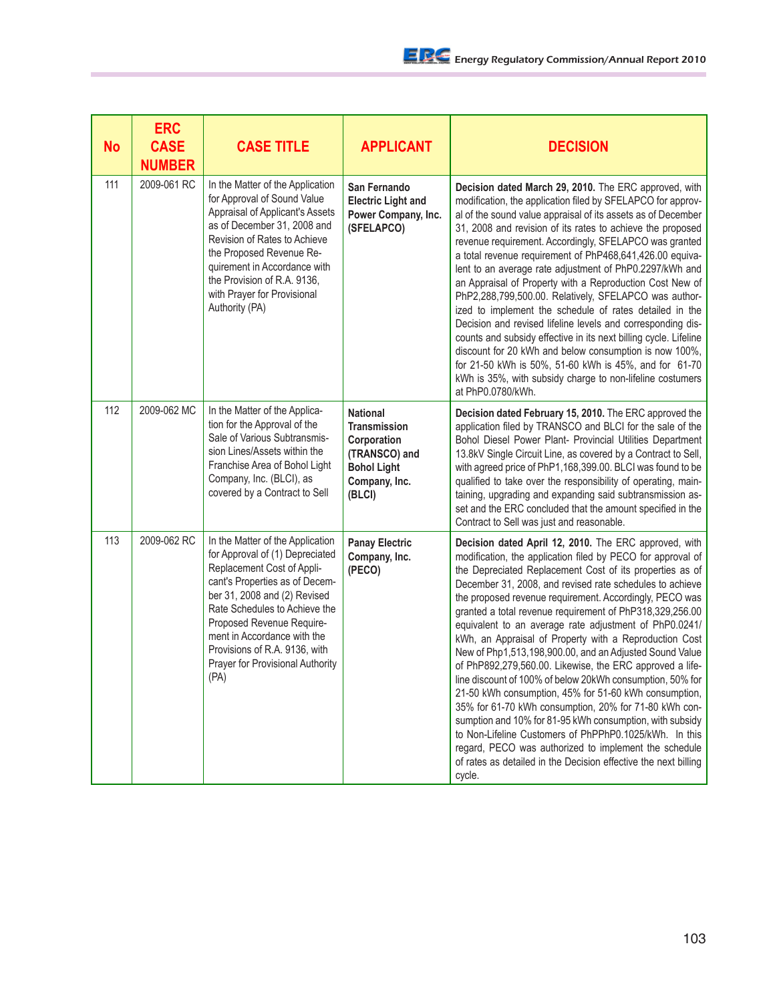| <b>No</b> | <b>ERC</b><br><b>CASE</b><br><b>NUMBER</b> | <b>CASE TITLE</b>                                                                                                                                                                                                                                                                                                                             | <b>APPLICANT</b>                                                                                                 | <b>DECISION</b>                                                                                                                                                                                                                                                                                                                                                                                                                                                                                                                                                                                                                                                                                                                                                                                                                                                                                                                                                                                                                                           |
|-----------|--------------------------------------------|-----------------------------------------------------------------------------------------------------------------------------------------------------------------------------------------------------------------------------------------------------------------------------------------------------------------------------------------------|------------------------------------------------------------------------------------------------------------------|-----------------------------------------------------------------------------------------------------------------------------------------------------------------------------------------------------------------------------------------------------------------------------------------------------------------------------------------------------------------------------------------------------------------------------------------------------------------------------------------------------------------------------------------------------------------------------------------------------------------------------------------------------------------------------------------------------------------------------------------------------------------------------------------------------------------------------------------------------------------------------------------------------------------------------------------------------------------------------------------------------------------------------------------------------------|
| 111       | 2009-061 RC                                | In the Matter of the Application<br>for Approval of Sound Value<br>Appraisal of Applicant's Assets<br>as of December 31, 2008 and<br>Revision of Rates to Achieve<br>the Proposed Revenue Re-<br>quirement in Accordance with<br>the Provision of R.A. 9136,<br>with Prayer for Provisional<br>Authority (PA)                                 | San Fernando<br><b>Electric Light and</b><br>Power Company, Inc.<br>(SFELAPCO)                                   | Decision dated March 29, 2010. The ERC approved, with<br>modification, the application filed by SFELAPCO for approv-<br>al of the sound value appraisal of its assets as of December<br>31, 2008 and revision of its rates to achieve the proposed<br>revenue requirement. Accordingly, SFELAPCO was granted<br>a total revenue requirement of PhP468,641,426.00 equiva-<br>lent to an average rate adjustment of PhP0.2297/kWh and<br>an Appraisal of Property with a Reproduction Cost New of<br>PhP2,288,799,500.00. Relatively, SFELAPCO was author-<br>ized to implement the schedule of rates detailed in the<br>Decision and revised lifeline levels and corresponding dis-<br>counts and subsidy effective in its next billing cycle. Lifeline<br>discount for 20 kWh and below consumption is now 100%,<br>for 21-50 kWh is 50%, 51-60 kWh is 45%, and for 61-70<br>kWh is 35%, with subsidy charge to non-lifeline costumers<br>at PhP0.0780/kWh.                                                                                               |
| 112       | 2009-062 MC                                | In the Matter of the Applica-<br>tion for the Approval of the<br>Sale of Various Subtransmis-<br>sion Lines/Assets within the<br>Franchise Area of Bohol Light<br>Company, Inc. (BLCI), as<br>covered by a Contract to Sell                                                                                                                   | <b>National</b><br>Transmission<br>Corporation<br>(TRANSCO) and<br><b>Bohol Light</b><br>Company, Inc.<br>(BLCI) | Decision dated February 15, 2010. The ERC approved the<br>application filed by TRANSCO and BLCI for the sale of the<br>Bohol Diesel Power Plant- Provincial Utilities Department<br>13.8kV Single Circuit Line, as covered by a Contract to Sell,<br>with agreed price of PhP1,168,399.00. BLCI was found to be<br>qualified to take over the responsibility of operating, main-<br>taining, upgrading and expanding said subtransmission as-<br>set and the ERC concluded that the amount specified in the<br>Contract to Sell was just and reasonable.                                                                                                                                                                                                                                                                                                                                                                                                                                                                                                  |
| 113       | 2009-062 RC                                | In the Matter of the Application<br>for Approval of (1) Depreciated<br>Replacement Cost of Appli-<br>cant's Properties as of Decem-<br>ber 31, 2008 and (2) Revised<br>Rate Schedules to Achieve the<br>Proposed Revenue Require-<br>ment in Accordance with the<br>Provisions of R.A. 9136, with<br>Prayer for Provisional Authority<br>(PA) | <b>Panay Electric</b><br>Company, Inc.<br>(PECO)                                                                 | Decision dated April 12, 2010. The ERC approved, with<br>modification, the application filed by PECO for approval of<br>the Depreciated Replacement Cost of its properties as of<br>December 31, 2008, and revised rate schedules to achieve<br>the proposed revenue requirement. Accordingly, PECO was<br>granted a total revenue requirement of PhP318,329,256.00<br>equivalent to an average rate adjustment of PhP0.0241/<br>kWh, an Appraisal of Property with a Reproduction Cost<br>New of Php1,513,198,900.00, and an Adjusted Sound Value<br>of PhP892,279,560.00. Likewise, the ERC approved a life-<br>line discount of 100% of below 20kWh consumption, 50% for<br>21-50 kWh consumption, 45% for 51-60 kWh consumption,<br>35% for 61-70 kWh consumption, 20% for 71-80 kWh con-<br>sumption and 10% for 81-95 kWh consumption, with subsidy<br>to Non-Lifeline Customers of PhPPhP0.1025/kWh. In this<br>regard, PECO was authorized to implement the schedule<br>of rates as detailed in the Decision effective the next billing<br>cycle. |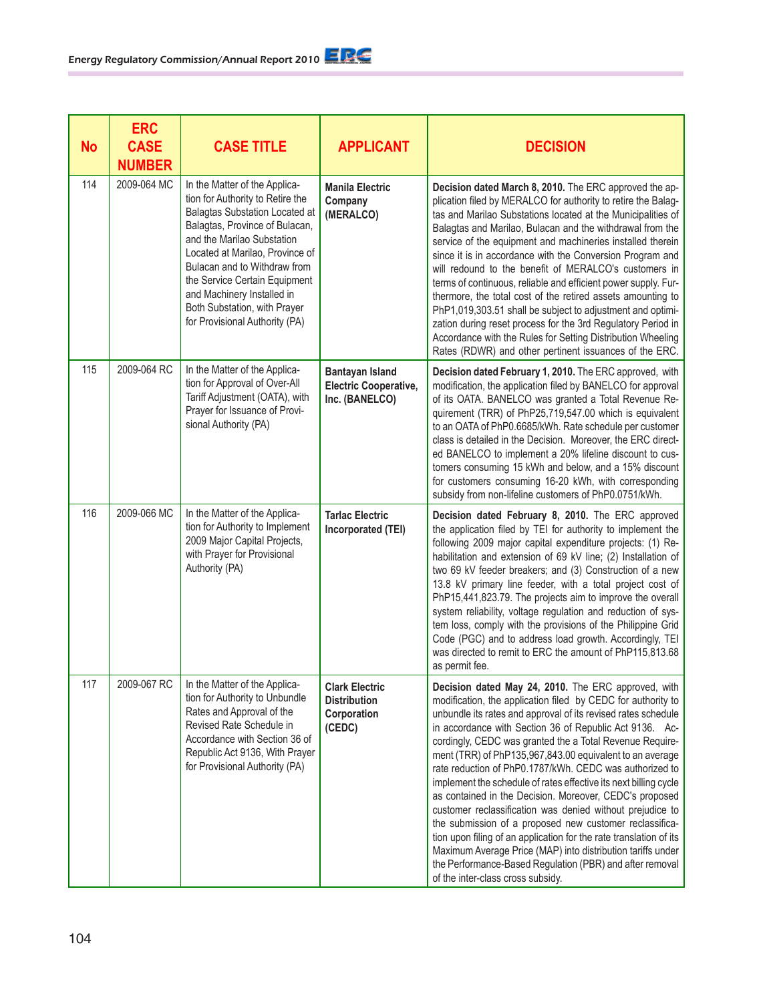| <b>No</b> | <b>ERC</b><br><b>CASE</b><br><b>NUMBER</b> | <b>CASE TITLE</b>                                                                                                                                                                                                                                                                                                                                                              | <b>APPLICANT</b>                                                         | <b>DECISION</b>                                                                                                                                                                                                                                                                                                                                                                                                                                                                                                                                                                                                                                                                                                                                                                                                                                                                                                                 |
|-----------|--------------------------------------------|--------------------------------------------------------------------------------------------------------------------------------------------------------------------------------------------------------------------------------------------------------------------------------------------------------------------------------------------------------------------------------|--------------------------------------------------------------------------|---------------------------------------------------------------------------------------------------------------------------------------------------------------------------------------------------------------------------------------------------------------------------------------------------------------------------------------------------------------------------------------------------------------------------------------------------------------------------------------------------------------------------------------------------------------------------------------------------------------------------------------------------------------------------------------------------------------------------------------------------------------------------------------------------------------------------------------------------------------------------------------------------------------------------------|
| 114       | 2009-064 MC                                | In the Matter of the Applica-<br>tion for Authority to Retire the<br><b>Balagtas Substation Located at</b><br>Balagtas, Province of Bulacan,<br>and the Marilao Substation<br>Located at Marilao, Province of<br>Bulacan and to Withdraw from<br>the Service Certain Equipment<br>and Machinery Installed in<br>Both Substation, with Prayer<br>for Provisional Authority (PA) | <b>Manila Electric</b><br>Company<br>(MERALCO)                           | Decision dated March 8, 2010. The ERC approved the ap-<br>plication filed by MERALCO for authority to retire the Balag-<br>tas and Marilao Substations located at the Municipalities of<br>Balagtas and Marilao, Bulacan and the withdrawal from the<br>service of the equipment and machineries installed therein<br>since it is in accordance with the Conversion Program and<br>will redound to the benefit of MERALCO's customers in<br>terms of continuous, reliable and efficient power supply. Fur-<br>thermore, the total cost of the retired assets amounting to<br>PhP1,019,303.51 shall be subject to adjustment and optimi-<br>zation during reset process for the 3rd Regulatory Period in<br>Accordance with the Rules for Setting Distribution Wheeling<br>Rates (RDWR) and other pertinent issuances of the ERC.                                                                                                |
| 115       | 2009-064 RC                                | In the Matter of the Applica-<br>tion for Approval of Over-All<br>Tariff Adjustment (OATA), with<br>Prayer for Issuance of Provi-<br>sional Authority (PA)                                                                                                                                                                                                                     | <b>Bantayan Island</b><br><b>Electric Cooperative,</b><br>Inc. (BANELCO) | Decision dated February 1, 2010. The ERC approved, with<br>modification, the application filed by BANELCO for approval<br>of its OATA. BANELCO was granted a Total Revenue Re-<br>quirement (TRR) of PhP25,719,547.00 which is equivalent<br>to an OATA of PhP0.6685/kWh. Rate schedule per customer<br>class is detailed in the Decision. Moreover, the ERC direct-<br>ed BANELCO to implement a 20% lifeline discount to cus-<br>tomers consuming 15 kWh and below, and a 15% discount<br>for customers consuming 16-20 kWh, with corresponding<br>subsidy from non-lifeline customers of PhP0.0751/kWh.                                                                                                                                                                                                                                                                                                                      |
| 116       | 2009-066 MC                                | In the Matter of the Applica-<br>tion for Authority to Implement<br>2009 Major Capital Projects,<br>with Prayer for Provisional<br>Authority (PA)                                                                                                                                                                                                                              | <b>Tarlac Electric</b><br>Incorporated (TEI)                             | Decision dated February 8, 2010. The ERC approved<br>the application filed by TEI for authority to implement the<br>following 2009 major capital expenditure projects: (1) Re-<br>habilitation and extension of 69 kV line; (2) Installation of<br>two 69 kV feeder breakers; and (3) Construction of a new<br>13.8 kV primary line feeder, with a total project cost of<br>PhP15,441,823.79. The projects aim to improve the overall<br>system reliability, voltage regulation and reduction of sys-<br>tem loss, comply with the provisions of the Philippine Grid<br>Code (PGC) and to address load growth. Accordingly, TEI<br>was directed to remit to ERC the amount of PhP115,813.68<br>as permit fee.                                                                                                                                                                                                                   |
| 117       | 2009-067 RC                                | In the Matter of the Applica-<br>tion for Authority to Unbundle<br>Rates and Approval of the<br>Revised Rate Schedule in<br>Accordance with Section 36 of<br>Republic Act 9136, With Prayer<br>for Provisional Authority (PA)                                                                                                                                                  | <b>Clark Electric</b><br><b>Distribution</b><br>Corporation<br>(CEDC)    | Decision dated May 24, 2010. The ERC approved, with<br>modification, the application filed by CEDC for authority to<br>unbundle its rates and approval of its revised rates schedule<br>in accordance with Section 36 of Republic Act 9136. Ac-<br>cordingly, CEDC was granted the a Total Revenue Require-<br>ment (TRR) of PhP135,967,843.00 equivalent to an average<br>rate reduction of PhP0.1787/kWh. CEDC was authorized to<br>implement the schedule of rates effective its next billing cycle<br>as contained in the Decision. Moreover, CEDC's proposed<br>customer reclassification was denied without prejudice to<br>the submission of a proposed new customer reclassifica-<br>tion upon filing of an application for the rate translation of its<br>Maximum Average Price (MAP) into distribution tariffs under<br>the Performance-Based Regulation (PBR) and after removal<br>of the inter-class cross subsidy. |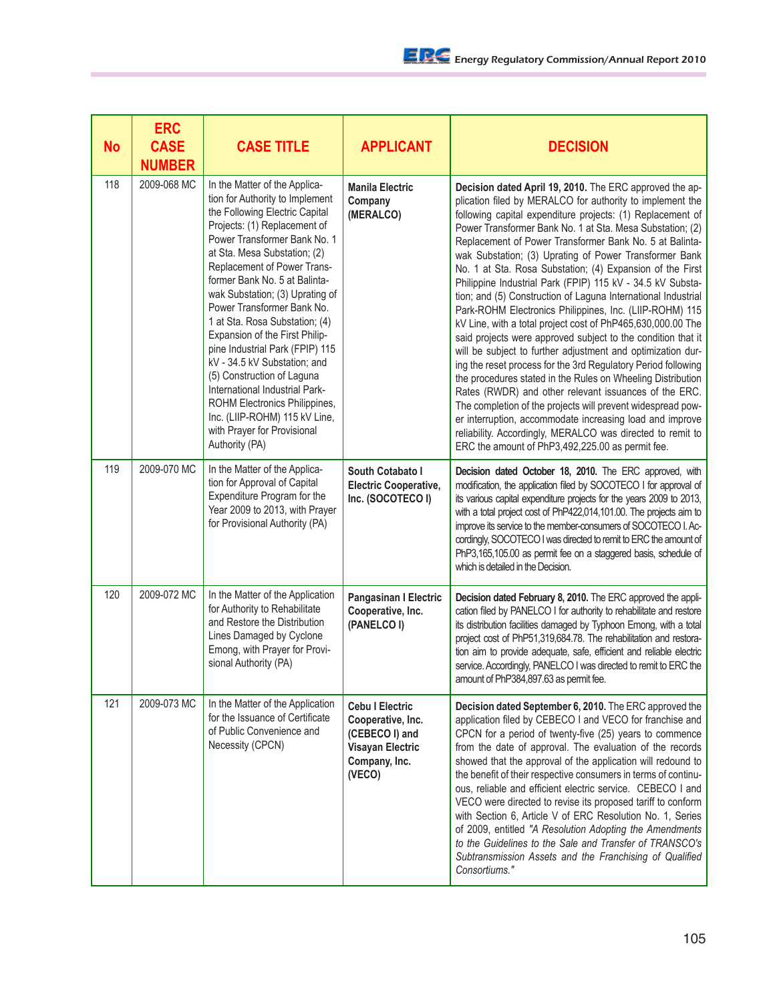| <b>No</b> | <b>ERC</b><br><b>CASE</b><br><b>NUMBER</b> | <b>CASE TITLE</b>                                                                                                                                                                                                                                                                                                                                                                                                                                                                                                                                                                                                                                             | <b>APPLICANT</b>                                                                                                    | <b>DECISION</b>                                                                                                                                                                                                                                                                                                                                                                                                                                                                                                                                                                                                                                                                                                                                                                                                                                                                                                                                                                                                                                                                                                                                                                                                                                                 |
|-----------|--------------------------------------------|---------------------------------------------------------------------------------------------------------------------------------------------------------------------------------------------------------------------------------------------------------------------------------------------------------------------------------------------------------------------------------------------------------------------------------------------------------------------------------------------------------------------------------------------------------------------------------------------------------------------------------------------------------------|---------------------------------------------------------------------------------------------------------------------|-----------------------------------------------------------------------------------------------------------------------------------------------------------------------------------------------------------------------------------------------------------------------------------------------------------------------------------------------------------------------------------------------------------------------------------------------------------------------------------------------------------------------------------------------------------------------------------------------------------------------------------------------------------------------------------------------------------------------------------------------------------------------------------------------------------------------------------------------------------------------------------------------------------------------------------------------------------------------------------------------------------------------------------------------------------------------------------------------------------------------------------------------------------------------------------------------------------------------------------------------------------------|
| 118       | 2009-068 MC                                | In the Matter of the Applica-<br>tion for Authority to Implement<br>the Following Electric Capital<br>Projects: (1) Replacement of<br>Power Transformer Bank No. 1<br>at Sta. Mesa Substation; (2)<br>Replacement of Power Trans-<br>former Bank No. 5 at Balinta-<br>wak Substation; (3) Uprating of<br>Power Transformer Bank No.<br>1 at Sta. Rosa Substation; (4)<br>Expansion of the First Philip-<br>pine Industrial Park (FPIP) 115<br>kV - 34.5 kV Substation; and<br>(5) Construction of Laguna<br>International Industrial Park-<br>ROHM Electronics Philippines,<br>Inc. (LIIP-ROHM) 115 kV Line,<br>with Prayer for Provisional<br>Authority (PA) | <b>Manila Electric</b><br>Company<br>(MERALCO)                                                                      | Decision dated April 19, 2010. The ERC approved the ap-<br>plication filed by MERALCO for authority to implement the<br>following capital expenditure projects: (1) Replacement of<br>Power Transformer Bank No. 1 at Sta. Mesa Substation; (2)<br>Replacement of Power Transformer Bank No. 5 at Balinta-<br>wak Substation; (3) Uprating of Power Transformer Bank<br>No. 1 at Sta. Rosa Substation; (4) Expansion of the First<br>Philippine Industrial Park (FPIP) 115 kV - 34.5 kV Substa-<br>tion; and (5) Construction of Laguna International Industrial<br>Park-ROHM Electronics Philippines, Inc. (LIIP-ROHM) 115<br>kV Line, with a total project cost of PhP465,630,000.00 The<br>said projects were approved subject to the condition that it<br>will be subject to further adjustment and optimization dur-<br>ing the reset process for the 3rd Regulatory Period following<br>the procedures stated in the Rules on Wheeling Distribution<br>Rates (RWDR) and other relevant issuances of the ERC.<br>The completion of the projects will prevent widespread pow-<br>er interruption, accommodate increasing load and improve<br>reliability. Accordingly, MERALCO was directed to remit to<br>ERC the amount of PhP3,492,225.00 as permit fee. |
| 119       | 2009-070 MC                                | In the Matter of the Applica-<br>tion for Approval of Capital<br>Expenditure Program for the<br>Year 2009 to 2013, with Prayer<br>for Provisional Authority (PA)                                                                                                                                                                                                                                                                                                                                                                                                                                                                                              | South Cotabato I<br><b>Electric Cooperative,</b><br>Inc. (SOCOTECO I)                                               | Decision dated October 18, 2010. The ERC approved, with<br>modification, the application filed by SOCOTECO I for approval of<br>its various capital expenditure projects for the years 2009 to 2013,<br>with a total project cost of PhP422,014,101.00. The projects aim to<br>improve its service to the member-consumers of SOCOTECO I. Ac-<br>cordingly, SOCOTECO I was directed to remit to ERC the amount of<br>PhP3,165,105.00 as permit fee on a staggered basis, schedule of<br>which is detailed in the Decision.                                                                                                                                                                                                                                                                                                                                                                                                                                                                                                                                                                                                                                                                                                                                      |
| 120       | 2009-072 MC                                | In the Matter of the Application<br>for Authority to Rehabilitate<br>and Restore the Distribution<br>Lines Damaged by Cyclone<br>Emong, with Prayer for Provi-<br>sional Authority (PA)                                                                                                                                                                                                                                                                                                                                                                                                                                                                       | Pangasinan I Electric<br>Cooperative, Inc.<br>(PANELCO I)                                                           | Decision dated February 8, 2010. The ERC approved the appli-<br>cation filed by PANELCO I for authority to rehabilitate and restore<br>its distribution facilities damaged by Typhoon Emong, with a total<br>project cost of PhP51,319,684.78. The rehabilitation and restora-<br>tion aim to provide adequate, safe, efficient and reliable electric<br>service. Accordingly, PANELCO I was directed to remit to ERC the<br>amount of PhP384,897.63 as permit fee.                                                                                                                                                                                                                                                                                                                                                                                                                                                                                                                                                                                                                                                                                                                                                                                             |
| 121       | 2009-073 MC                                | In the Matter of the Application<br>for the Issuance of Certificate<br>of Public Convenience and<br>Necessity (CPCN)                                                                                                                                                                                                                                                                                                                                                                                                                                                                                                                                          | <b>Cebu I Electric</b><br>Cooperative, Inc.<br>(CEBECO I) and<br><b>Visayan Electric</b><br>Company, Inc.<br>(VECO) | Decision dated September 6, 2010. The ERC approved the<br>application filed by CEBECO I and VECO for franchise and<br>CPCN for a period of twenty-five (25) years to commence<br>from the date of approval. The evaluation of the records<br>showed that the approval of the application will redound to<br>the benefit of their respective consumers in terms of continu-<br>ous, reliable and efficient electric service. CEBECO I and<br>VECO were directed to revise its proposed tariff to conform<br>with Section 6, Article V of ERC Resolution No. 1, Series<br>of 2009, entitled "A Resolution Adopting the Amendments<br>to the Guidelines to the Sale and Transfer of TRANSCO's<br>Subtransmission Assets and the Franchising of Qualified<br>Consortiums."                                                                                                                                                                                                                                                                                                                                                                                                                                                                                          |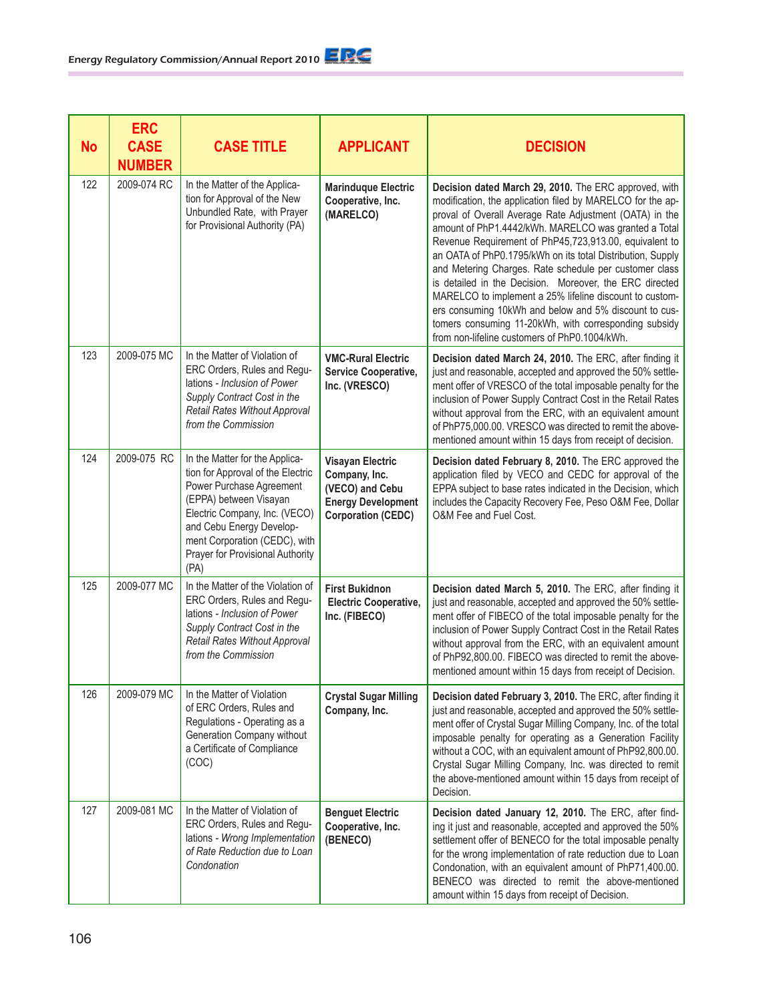| <b>No</b> | <b>ERC</b><br><b>CASE</b><br><b>NUMBER</b> | <b>CASE TITLE</b>                                                                                                                                                                                                                                                   | <b>APPLICANT</b>                                                                                                      | <b>DECISION</b>                                                                                                                                                                                                                                                                                                                                                                                                                                                                                                                                                                                                                                                                                                   |
|-----------|--------------------------------------------|---------------------------------------------------------------------------------------------------------------------------------------------------------------------------------------------------------------------------------------------------------------------|-----------------------------------------------------------------------------------------------------------------------|-------------------------------------------------------------------------------------------------------------------------------------------------------------------------------------------------------------------------------------------------------------------------------------------------------------------------------------------------------------------------------------------------------------------------------------------------------------------------------------------------------------------------------------------------------------------------------------------------------------------------------------------------------------------------------------------------------------------|
| 122       | 2009-074 RC                                | In the Matter of the Applica-<br>tion for Approval of the New<br>Unbundled Rate, with Prayer<br>for Provisional Authority (PA)                                                                                                                                      | <b>Marinduque Electric</b><br>Cooperative, Inc.<br>(MARELCO)                                                          | Decision dated March 29, 2010. The ERC approved, with<br>modification, the application filed by MARELCO for the ap-<br>proval of Overall Average Rate Adjustment (OATA) in the<br>amount of PhP1.4442/kWh. MARELCO was granted a Total<br>Revenue Requirement of PhP45,723,913.00, equivalent to<br>an OATA of PhP0.1795/kWh on its total Distribution, Supply<br>and Metering Charges. Rate schedule per customer class<br>is detailed in the Decision. Moreover, the ERC directed<br>MARELCO to implement a 25% lifeline discount to custom-<br>ers consuming 10kWh and below and 5% discount to cus-<br>tomers consuming 11-20kWh, with corresponding subsidy<br>from non-lifeline customers of PhP0.1004/kWh. |
| 123       | 2009-075 MC                                | In the Matter of Violation of<br>ERC Orders, Rules and Regu-<br>lations - Inclusion of Power<br>Supply Contract Cost in the<br><b>Retail Rates Without Approval</b><br>from the Commission                                                                          | <b>VMC-Rural Electric</b><br>Service Cooperative,<br>Inc. (VRESCO)                                                    | Decision dated March 24, 2010. The ERC, after finding it<br>just and reasonable, accepted and approved the 50% settle-<br>ment offer of VRESCO of the total imposable penalty for the<br>inclusion of Power Supply Contract Cost in the Retail Rates<br>without approval from the ERC, with an equivalent amount<br>of PhP75,000.00. VRESCO was directed to remit the above-<br>mentioned amount within 15 days from receipt of decision.                                                                                                                                                                                                                                                                         |
| 124       | 2009-075 RC                                | In the Matter for the Applica-<br>tion for Approval of the Electric<br>Power Purchase Agreement<br>(EPPA) between Visayan<br>Electric Company, Inc. (VECO)<br>and Cebu Energy Develop-<br>ment Corporation (CEDC), with<br>Prayer for Provisional Authority<br>(PA) | <b>Visayan Electric</b><br>Company, Inc.<br>(VECO) and Cebu<br><b>Energy Development</b><br><b>Corporation (CEDC)</b> | Decision dated February 8, 2010. The ERC approved the<br>application filed by VECO and CEDC for approval of the<br>EPPA subject to base rates indicated in the Decision, which<br>includes the Capacity Recovery Fee, Peso O&M Fee, Dollar<br>O&M Fee and Fuel Cost.                                                                                                                                                                                                                                                                                                                                                                                                                                              |
| 125       | 2009-077 MC                                | In the Matter of the Violation of<br>ERC Orders, Rules and Regu-<br>lations - Inclusion of Power<br>Supply Contract Cost in the<br><b>Retail Rates Without Approval</b><br>from the Commission                                                                      | <b>First Bukidnon</b><br><b>Electric Cooperative,</b><br>Inc. (FIBECO)                                                | Decision dated March 5, 2010. The ERC, after finding it<br>just and reasonable, accepted and approved the 50% settle-<br>ment offer of FIBECO of the total imposable penalty for the<br>inclusion of Power Supply Contract Cost in the Retail Rates<br>without approval from the ERC, with an equivalent amount<br>of PhP92,800.00. FIBECO was directed to remit the above-<br>mentioned amount within 15 days from receipt of Decision.                                                                                                                                                                                                                                                                          |
| 126       | 2009-079 MC                                | In the Matter of Violation<br>of ERC Orders, Rules and<br>Regulations - Operating as a<br>Generation Company without<br>a Certificate of Compliance<br>(COC)                                                                                                        | <b>Crystal Sugar Milling</b><br>Company, Inc.                                                                         | Decision dated February 3, 2010. The ERC, after finding it<br>just and reasonable, accepted and approved the 50% settle-<br>ment offer of Crystal Sugar Milling Company, Inc. of the total<br>imposable penalty for operating as a Generation Facility<br>without a COC, with an equivalent amount of PhP92,800.00.<br>Crystal Sugar Milling Company, Inc. was directed to remit<br>the above-mentioned amount within 15 days from receipt of<br>Decision.                                                                                                                                                                                                                                                        |
| 127       | 2009-081 MC                                | In the Matter of Violation of<br>ERC Orders, Rules and Regu-<br>lations - Wrong Implementation<br>of Rate Reduction due to Loan<br>Condonation                                                                                                                      | <b>Benguet Electric</b><br>Cooperative, Inc.<br>(BENECO)                                                              | Decision dated January 12, 2010. The ERC, after find-<br>ing it just and reasonable, accepted and approved the 50%<br>settlement offer of BENECO for the total imposable penalty<br>for the wrong implementation of rate reduction due to Loan<br>Condonation, with an equivalent amount of PhP71,400.00.<br>BENECO was directed to remit the above-mentioned<br>amount within 15 days from receipt of Decision.                                                                                                                                                                                                                                                                                                  |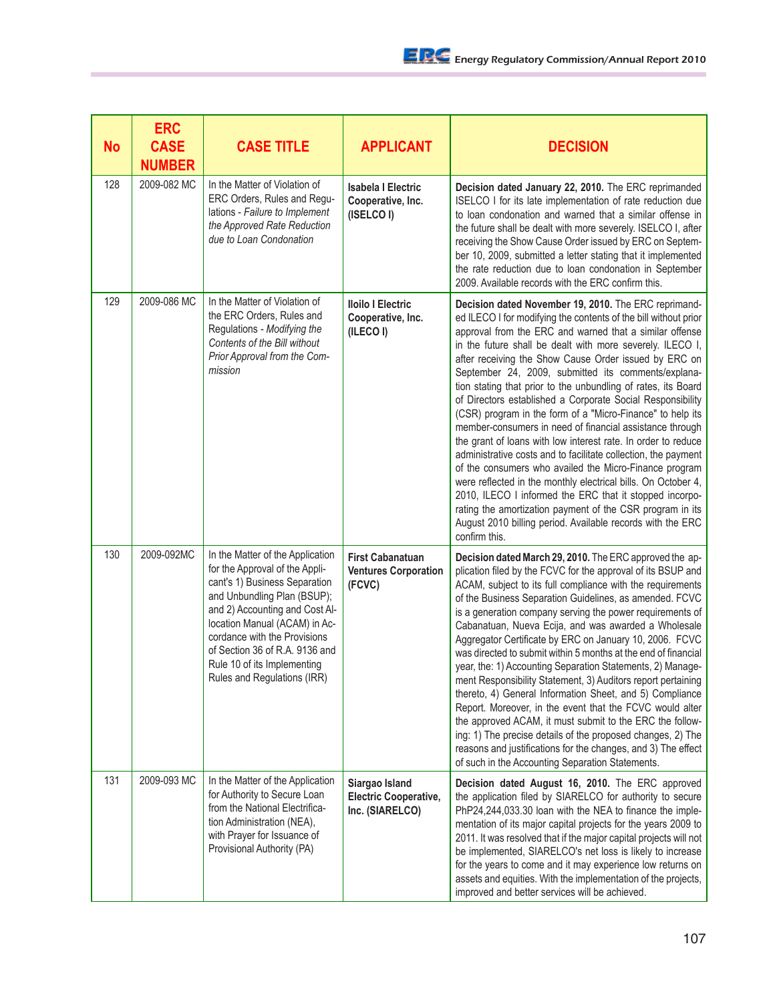| No  | <b>ERC</b><br><b>CASE</b><br><b>NUMBER</b> | <b>CASE TITLE</b>                                                                                                                                                                                                                                                                                                                     | <b>APPLICANT</b>                                                  | <b>DECISION</b>                                                                                                                                                                                                                                                                                                                                                                                                                                                                                                                                                                                                                                                                                                                                                                                                                                                                                                                                                                                                                                                                               |
|-----|--------------------------------------------|---------------------------------------------------------------------------------------------------------------------------------------------------------------------------------------------------------------------------------------------------------------------------------------------------------------------------------------|-------------------------------------------------------------------|-----------------------------------------------------------------------------------------------------------------------------------------------------------------------------------------------------------------------------------------------------------------------------------------------------------------------------------------------------------------------------------------------------------------------------------------------------------------------------------------------------------------------------------------------------------------------------------------------------------------------------------------------------------------------------------------------------------------------------------------------------------------------------------------------------------------------------------------------------------------------------------------------------------------------------------------------------------------------------------------------------------------------------------------------------------------------------------------------|
| 128 | 2009-082 MC                                | In the Matter of Violation of<br>ERC Orders, Rules and Regu-<br>lations - Failure to Implement<br>the Approved Rate Reduction<br>due to Loan Condonation                                                                                                                                                                              | <b>Isabela I Electric</b><br>Cooperative, Inc.<br>(ISELCO I)      | Decision dated January 22, 2010. The ERC reprimanded<br>ISELCO I for its late implementation of rate reduction due<br>to loan condonation and warned that a similar offense in<br>the future shall be dealt with more severely. ISELCO I, after<br>receiving the Show Cause Order issued by ERC on Septem-<br>ber 10, 2009, submitted a letter stating that it implemented<br>the rate reduction due to loan condonation in September<br>2009. Available records with the ERC confirm this.                                                                                                                                                                                                                                                                                                                                                                                                                                                                                                                                                                                                   |
| 129 | 2009-086 MC                                | In the Matter of Violation of<br>the ERC Orders, Rules and<br>Regulations - Modifying the<br>Contents of the Bill without<br>Prior Approval from the Com-<br>mission                                                                                                                                                                  | <b>Iloilo I Electric</b><br>Cooperative, Inc.<br>(ILECO I)        | Decision dated November 19, 2010. The ERC reprimand-<br>ed ILECO I for modifying the contents of the bill without prior<br>approval from the ERC and warned that a similar offense<br>in the future shall be dealt with more severely. ILECO I,<br>after receiving the Show Cause Order issued by ERC on<br>September 24, 2009, submitted its comments/explana-<br>tion stating that prior to the unbundling of rates, its Board<br>of Directors established a Corporate Social Responsibility<br>(CSR) program in the form of a "Micro-Finance" to help its<br>member-consumers in need of financial assistance through<br>the grant of loans with low interest rate. In order to reduce<br>administrative costs and to facilitate collection, the payment<br>of the consumers who availed the Micro-Finance program<br>were reflected in the monthly electrical bills. On October 4,<br>2010, ILECO I informed the ERC that it stopped incorpo-<br>rating the amortization payment of the CSR program in its<br>August 2010 billing period. Available records with the ERC<br>confirm this. |
| 130 | 2009-092MC                                 | In the Matter of the Application<br>for the Approval of the Appli-<br>cant's 1) Business Separation<br>and Unbundling Plan (BSUP);<br>and 2) Accounting and Cost Al-<br>location Manual (ACAM) in Ac-<br>cordance with the Provisions<br>of Section 36 of R.A. 9136 and<br>Rule 10 of its Implementing<br>Rules and Regulations (IRR) | <b>First Cabanatuan</b><br><b>Ventures Corporation</b><br>(FCVC)  | Decision dated March 29, 2010. The ERC approved the ap-<br>plication filed by the FCVC for the approval of its BSUP and<br>ACAM, subject to its full compliance with the requirements<br>of the Business Separation Guidelines, as amended. FCVC<br>is a generation company serving the power requirements of<br>Cabanatuan, Nueva Ecija, and was awarded a Wholesale<br>Aggregator Certificate by ERC on January 10, 2006. FCVC<br>was directed to submit within 5 months at the end of financial<br>year, the: 1) Accounting Separation Statements, 2) Manage-<br>ment Responsibility Statement, 3) Auditors report pertaining<br>thereto, 4) General Information Sheet, and 5) Compliance<br>Report. Moreover, in the event that the FCVC would alter<br>the approved ACAM, it must submit to the ERC the follow-<br>ing: 1) The precise details of the proposed changes, 2) The<br>reasons and justifications for the changes, and 3) The effect<br>of such in the Accounting Separation Statements.                                                                                      |
| 131 | 2009-093 MC                                | In the Matter of the Application<br>for Authority to Secure Loan<br>from the National Electrifica-<br>tion Administration (NEA),<br>with Prayer for Issuance of<br>Provisional Authority (PA)                                                                                                                                         | Siargao Island<br><b>Electric Cooperative,</b><br>Inc. (SIARELCO) | Decision dated August 16, 2010. The ERC approved<br>the application filed by SIARELCO for authority to secure<br>PhP24,244,033.30 loan with the NEA to finance the imple-<br>mentation of its major capital projects for the years 2009 to<br>2011. It was resolved that if the major capital projects will not<br>be implemented, SIARELCO's net loss is likely to increase<br>for the years to come and it may experience low returns on<br>assets and equities. With the implementation of the projects,<br>improved and better services will be achieved.                                                                                                                                                                                                                                                                                                                                                                                                                                                                                                                                 |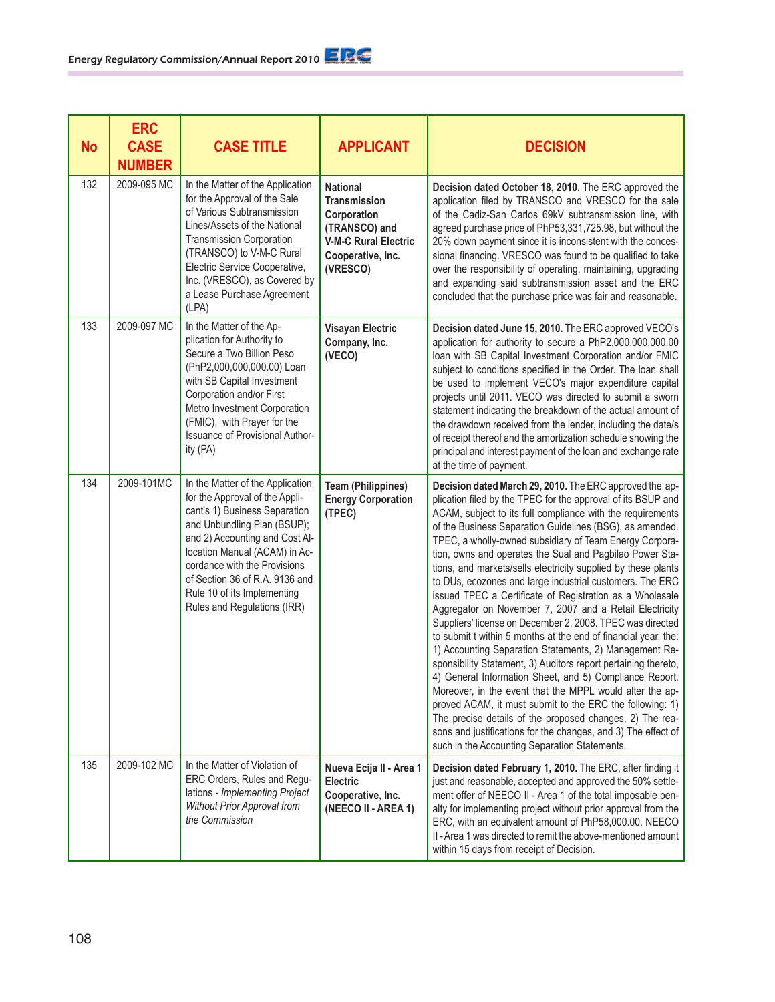| <b>No</b> | <b>ERC</b><br><b>CASE</b><br><b>NUMBER</b> | <b>CASE TITLE</b>                                                                                                                                                                                                                                                                                                                     | <b>APPLICANT</b>                                                                                                                       | <b>DECISION</b>                                                                                                                                                                                                                                                                                                                                                                                                                                                                                                                                                                                                                                                                                                                                                                                                                                                                                                                                                                                                                                                                                                                                                                                                                                          |
|-----------|--------------------------------------------|---------------------------------------------------------------------------------------------------------------------------------------------------------------------------------------------------------------------------------------------------------------------------------------------------------------------------------------|----------------------------------------------------------------------------------------------------------------------------------------|----------------------------------------------------------------------------------------------------------------------------------------------------------------------------------------------------------------------------------------------------------------------------------------------------------------------------------------------------------------------------------------------------------------------------------------------------------------------------------------------------------------------------------------------------------------------------------------------------------------------------------------------------------------------------------------------------------------------------------------------------------------------------------------------------------------------------------------------------------------------------------------------------------------------------------------------------------------------------------------------------------------------------------------------------------------------------------------------------------------------------------------------------------------------------------------------------------------------------------------------------------|
| 132       | 2009-095 MC                                | In the Matter of the Application<br>for the Approval of the Sale<br>of Various Subtransmission<br>Lines/Assets of the National<br>Transmission Corporation<br>(TRANSCO) to V-M-C Rural<br>Electric Service Cooperative,<br>Inc. (VRESCO), as Covered by<br>a Lease Purchase Agreement<br>(LPA)                                        | <b>National</b><br><b>Transmission</b><br>Corporation<br>(TRANSCO) and<br><b>V-M-C Rural Electric</b><br>Cooperative, Inc.<br>(VRESCO) | Decision dated October 18, 2010. The ERC approved the<br>application filed by TRANSCO and VRESCO for the sale<br>of the Cadiz-San Carlos 69kV subtransmission line, with<br>agreed purchase price of PhP53,331,725.98, but without the<br>20% down payment since it is inconsistent with the conces-<br>sional financing. VRESCO was found to be qualified to take<br>over the responsibility of operating, maintaining, upgrading<br>and expanding said subtransmission asset and the ERC<br>concluded that the purchase price was fair and reasonable.                                                                                                                                                                                                                                                                                                                                                                                                                                                                                                                                                                                                                                                                                                 |
| 133       | 2009-097 MC                                | In the Matter of the Ap-<br>plication for Authority to<br>Secure a Two Billion Peso<br>(PhP2,000,000,000.00) Loan<br>with SB Capital Investment<br>Corporation and/or First<br>Metro Investment Corporation<br>(FMIC), with Prayer for the<br>Issuance of Provisional Author-<br>ity (PA)                                             | <b>Visayan Electric</b><br>Company, Inc.<br>(VECO)                                                                                     | Decision dated June 15, 2010. The ERC approved VECO's<br>application for authority to secure a PhP2,000,000,000.00<br>loan with SB Capital Investment Corporation and/or FMIC<br>subject to conditions specified in the Order. The loan shall<br>be used to implement VECO's major expenditure capital<br>projects until 2011. VECO was directed to submit a sworn<br>statement indicating the breakdown of the actual amount of<br>the drawdown received from the lender, including the date/s<br>of receipt thereof and the amortization schedule showing the<br>principal and interest payment of the loan and exchange rate<br>at the time of payment.                                                                                                                                                                                                                                                                                                                                                                                                                                                                                                                                                                                               |
| 134       | 2009-101MC                                 | In the Matter of the Application<br>for the Approval of the Appli-<br>cant's 1) Business Separation<br>and Unbundling Plan (BSUP);<br>and 2) Accounting and Cost Al-<br>location Manual (ACAM) in Ac-<br>cordance with the Provisions<br>of Section 36 of R.A. 9136 and<br>Rule 10 of its Implementing<br>Rules and Regulations (IRR) | <b>Team (Philippines)</b><br><b>Energy Corporation</b><br>(TPEC)                                                                       | Decision dated March 29, 2010. The ERC approved the ap-<br>plication filed by the TPEC for the approval of its BSUP and<br>ACAM, subject to its full compliance with the requirements<br>of the Business Separation Guidelines (BSG), as amended.<br>TPEC, a wholly-owned subsidiary of Team Energy Corpora-<br>tion, owns and operates the Sual and Pagbilao Power Sta-<br>tions, and markets/sells electricity supplied by these plants<br>to DUs, ecozones and large industrial customers. The ERC<br>issued TPEC a Certificate of Registration as a Wholesale<br>Aggregator on November 7, 2007 and a Retail Electricity<br>Suppliers' license on December 2, 2008. TPEC was directed<br>to submit t within 5 months at the end of financial year, the:<br>1) Accounting Separation Statements, 2) Management Re-<br>sponsibility Statement, 3) Auditors report pertaining thereto,<br>4) General Information Sheet, and 5) Compliance Report.<br>Moreover, in the event that the MPPL would alter the ap-<br>proved ACAM, it must submit to the ERC the following: 1)<br>The precise details of the proposed changes, 2) The rea-<br>sons and justifications for the changes, and 3) The effect of<br>such in the Accounting Separation Statements. |
| 135       | 2009-102 MC                                | In the Matter of Violation of<br>ERC Orders, Rules and Regu-<br>lations - Implementing Project<br>Without Prior Approval from<br>the Commission                                                                                                                                                                                       | Nueva Ecija II - Area 1<br>Electric<br>Cooperative, Inc.<br>(NEECO II - AREA 1)                                                        | Decision dated February 1, 2010. The ERC, after finding it<br>just and reasonable, accepted and approved the 50% settle-<br>ment offer of NEECO II - Area 1 of the total imposable pen-<br>alty for implementing project without prior approval from the<br>ERC, with an equivalent amount of PhP58,000.00. NEECO<br>II - Area 1 was directed to remit the above-mentioned amount<br>within 15 days from receipt of Decision.                                                                                                                                                                                                                                                                                                                                                                                                                                                                                                                                                                                                                                                                                                                                                                                                                            |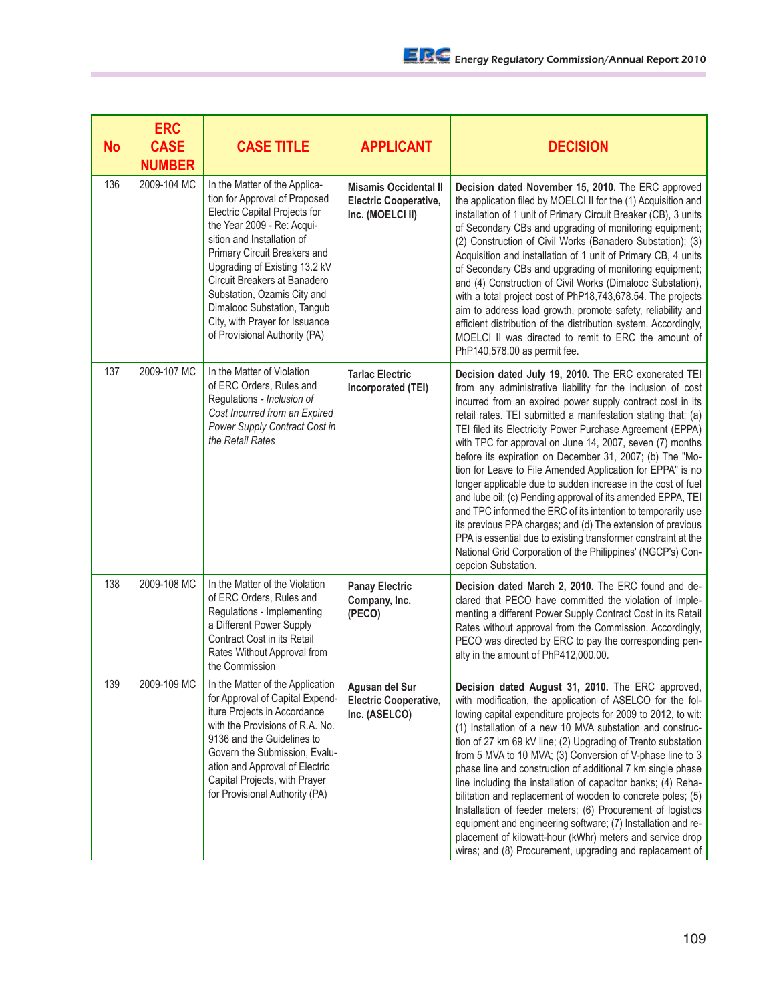| <b>No</b> | <b>ERC</b><br><b>CASE</b><br><b>NUMBER</b> | <b>CASE TITLE</b>                                                                                                                                                                                                                                                                                                                                                                             | <b>APPLICANT</b>                                                                 | <b>DECISION</b>                                                                                                                                                                                                                                                                                                                                                                                                                                                                                                                                                                                                                                                                                                                                                                                                                                                                                                             |
|-----------|--------------------------------------------|-----------------------------------------------------------------------------------------------------------------------------------------------------------------------------------------------------------------------------------------------------------------------------------------------------------------------------------------------------------------------------------------------|----------------------------------------------------------------------------------|-----------------------------------------------------------------------------------------------------------------------------------------------------------------------------------------------------------------------------------------------------------------------------------------------------------------------------------------------------------------------------------------------------------------------------------------------------------------------------------------------------------------------------------------------------------------------------------------------------------------------------------------------------------------------------------------------------------------------------------------------------------------------------------------------------------------------------------------------------------------------------------------------------------------------------|
| 136       | 2009-104 MC                                | In the Matter of the Applica-<br>tion for Approval of Proposed<br>Electric Capital Projects for<br>the Year 2009 - Re: Acqui-<br>sition and Installation of<br>Primary Circuit Breakers and<br>Upgrading of Existing 13.2 kV<br>Circuit Breakers at Banadero<br>Substation, Ozamis City and<br>Dimalooc Substation, Tangub<br>City, with Prayer for Issuance<br>of Provisional Authority (PA) | <b>Misamis Occidental II</b><br><b>Electric Cooperative,</b><br>Inc. (MOELCI II) | Decision dated November 15, 2010. The ERC approved<br>the application filed by MOELCI II for the (1) Acquisition and<br>installation of 1 unit of Primary Circuit Breaker (CB), 3 units<br>of Secondary CBs and upgrading of monitoring equipment;<br>(2) Construction of Civil Works (Banadero Substation); (3)<br>Acquisition and installation of 1 unit of Primary CB, 4 units<br>of Secondary CBs and upgrading of monitoring equipment;<br>and (4) Construction of Civil Works (Dimalooc Substation),<br>with a total project cost of PhP18,743,678.54. The projects<br>aim to address load growth, promote safety, reliability and<br>efficient distribution of the distribution system. Accordingly,<br>MOELCI II was directed to remit to ERC the amount of<br>PhP140,578.00 as permit fee.                                                                                                                         |
| 137       | 2009-107 MC                                | In the Matter of Violation<br>of ERC Orders, Rules and<br>Regulations - Inclusion of<br>Cost Incurred from an Expired<br>Power Supply Contract Cost in<br>the Retail Rates                                                                                                                                                                                                                    | <b>Tarlac Electric</b><br>Incorporated (TEI)                                     | Decision dated July 19, 2010. The ERC exonerated TEI<br>from any administrative liability for the inclusion of cost<br>incurred from an expired power supply contract cost in its<br>retail rates. TEI submitted a manifestation stating that: (a)<br>TEI filed its Electricity Power Purchase Agreement (EPPA)<br>with TPC for approval on June 14, 2007, seven (7) months<br>before its expiration on December 31, 2007; (b) The "Mo-<br>tion for Leave to File Amended Application for EPPA" is no<br>longer applicable due to sudden increase in the cost of fuel<br>and lube oil; (c) Pending approval of its amended EPPA, TEI<br>and TPC informed the ERC of its intention to temporarily use<br>its previous PPA charges; and (d) The extension of previous<br>PPA is essential due to existing transformer constraint at the<br>National Grid Corporation of the Philippines' (NGCP's) Con-<br>cepcion Substation. |
| 138       | 2009-108 MC                                | In the Matter of the Violation<br>of ERC Orders, Rules and<br>Regulations - Implementing<br>a Different Power Supply<br>Contract Cost in its Retail<br>Rates Without Approval from<br>the Commission                                                                                                                                                                                          | <b>Panay Electric</b><br>Company, Inc.<br>(PECO)                                 | Decision dated March 2, 2010. The ERC found and de-<br>clared that PECO have committed the violation of imple-<br>menting a different Power Supply Contract Cost in its Retail<br>Rates without approval from the Commission. Accordingly,<br>PECO was directed by ERC to pay the corresponding pen-<br>alty in the amount of PhP412,000.00.                                                                                                                                                                                                                                                                                                                                                                                                                                                                                                                                                                                |
| 139       | 2009-109 MC                                | In the Matter of the Application<br>for Approval of Capital Expend-<br>iture Projects in Accordance<br>with the Provisions of R.A. No.<br>9136 and the Guidelines to<br>Govern the Submission, Evalu-<br>ation and Approval of Electric<br>Capital Projects, with Prayer<br>for Provisional Authority (PA)                                                                                    | Agusan del Sur<br><b>Electric Cooperative,</b><br>Inc. (ASELCO)                  | Decision dated August 31, 2010. The ERC approved,<br>with modification, the application of ASELCO for the fol-<br>lowing capital expenditure projects for 2009 to 2012, to wit:<br>(1) Installation of a new 10 MVA substation and construc-<br>tion of 27 km 69 kV line; (2) Upgrading of Trento substation<br>from 5 MVA to 10 MVA; (3) Conversion of V-phase line to 3<br>phase line and construction of additional 7 km single phase<br>line including the installation of capacitor banks; (4) Reha-<br>bilitation and replacement of wooden to concrete poles; (5)<br>Installation of feeder meters; (6) Procurement of logistics<br>equipment and engineering software; (7) Installation and re-<br>placement of kilowatt-hour (kWhr) meters and service drop<br>wires; and (8) Procurement, upgrading and replacement of                                                                                            |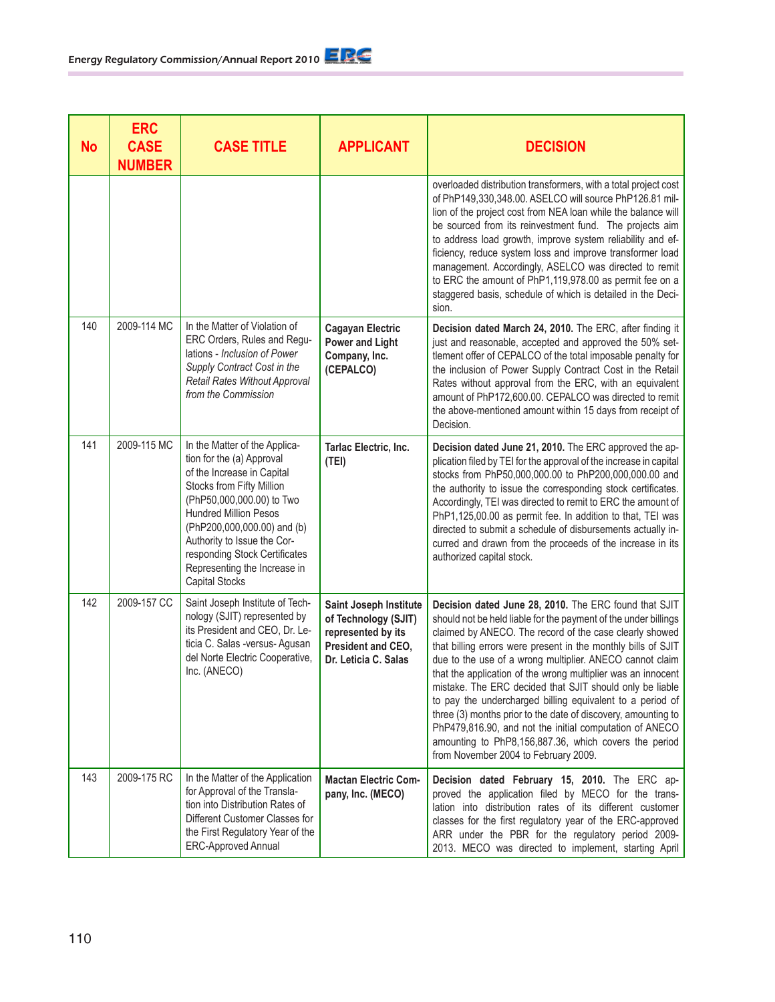| <b>No</b> | <b>ERC</b><br><b>CASE</b><br><b>NUMBER</b> | <b>CASE TITLE</b>                                                                                                                                                                                                                                                                                                                          | <b>APPLICANT</b>                                                                                                   | <b>DECISION</b>                                                                                                                                                                                                                                                                                                                                                                                                                                                                                                                                                                                                                                                                                                                        |
|-----------|--------------------------------------------|--------------------------------------------------------------------------------------------------------------------------------------------------------------------------------------------------------------------------------------------------------------------------------------------------------------------------------------------|--------------------------------------------------------------------------------------------------------------------|----------------------------------------------------------------------------------------------------------------------------------------------------------------------------------------------------------------------------------------------------------------------------------------------------------------------------------------------------------------------------------------------------------------------------------------------------------------------------------------------------------------------------------------------------------------------------------------------------------------------------------------------------------------------------------------------------------------------------------------|
|           |                                            |                                                                                                                                                                                                                                                                                                                                            |                                                                                                                    | overloaded distribution transformers, with a total project cost<br>of PhP149,330,348.00. ASELCO will source PhP126.81 mil-<br>lion of the project cost from NEA loan while the balance will<br>be sourced from its reinvestment fund. The projects aim<br>to address load growth, improve system reliability and ef-<br>ficiency, reduce system loss and improve transformer load<br>management. Accordingly, ASELCO was directed to remit<br>to ERC the amount of PhP1,119,978.00 as permit fee on a<br>staggered basis, schedule of which is detailed in the Deci-<br>sion.                                                                                                                                                          |
| 140       | 2009-114 MC                                | In the Matter of Violation of<br>ERC Orders, Rules and Regu-<br>lations - Inclusion of Power<br>Supply Contract Cost in the<br><b>Retail Rates Without Approval</b><br>from the Commission                                                                                                                                                 | <b>Cagayan Electric</b><br><b>Power and Light</b><br>Company, Inc.<br>(CEPALCO)                                    | Decision dated March 24, 2010. The ERC, after finding it<br>just and reasonable, accepted and approved the 50% set-<br>tlement offer of CEPALCO of the total imposable penalty for<br>the inclusion of Power Supply Contract Cost in the Retail<br>Rates without approval from the ERC, with an equivalent<br>amount of PhP172,600.00. CEPALCO was directed to remit<br>the above-mentioned amount within 15 days from receipt of<br>Decision.                                                                                                                                                                                                                                                                                         |
| 141       | 2009-115 MC                                | In the Matter of the Applica-<br>tion for the (a) Approval<br>of the Increase in Capital<br>Stocks from Fifty Million<br>(PhP50,000,000.00) to Two<br><b>Hundred Million Pesos</b><br>(PhP200,000,000.00) and (b)<br>Authority to Issue the Cor-<br>responding Stock Certificates<br>Representing the Increase in<br><b>Capital Stocks</b> | Tarlac Electric, Inc.<br>(TEI)                                                                                     | Decision dated June 21, 2010. The ERC approved the ap-<br>plication filed by TEI for the approval of the increase in capital<br>stocks from PhP50,000,000.00 to PhP200,000,000.00 and<br>the authority to issue the corresponding stock certificates.<br>Accordingly, TEI was directed to remit to ERC the amount of<br>PhP1,125,00.00 as permit fee. In addition to that, TEI was<br>directed to submit a schedule of disbursements actually in-<br>curred and drawn from the proceeds of the increase in its<br>authorized capital stock.                                                                                                                                                                                            |
| 142       | 2009-157 CC                                | Saint Joseph Institute of Tech-<br>nology (SJIT) represented by<br>its President and CEO, Dr. Le-<br>ticia C. Salas -versus- Agusan<br>del Norte Electric Cooperative,<br>Inc. (ANECO)                                                                                                                                                     | Saint Joseph Institute<br>of Technology (SJIT)<br>represented by its<br>President and CEO,<br>Dr. Leticia C. Salas | Decision dated June 28, 2010. The ERC found that SJIT<br>should not be held liable for the payment of the under billings<br>claimed by ANECO. The record of the case clearly showed<br>that billing errors were present in the monthly bills of SJIT<br>due to the use of a wrong multiplier. ANECO cannot claim<br>that the application of the wrong multiplier was an innocent<br>mistake. The ERC decided that SJIT should only be liable<br>to pay the undercharged billing equivalent to a period of<br>three (3) months prior to the date of discovery, amounting to<br>PhP479,816.90, and not the initial computation of ANECO<br>amounting to PhP8,156,887.36, which covers the period<br>from November 2004 to February 2009. |
| 143       | 2009-175 RC                                | In the Matter of the Application<br>for Approval of the Transla-<br>tion into Distribution Rates of<br>Different Customer Classes for<br>the First Regulatory Year of the<br><b>ERC-Approved Annual</b>                                                                                                                                    | <b>Mactan Electric Com-</b><br>pany, Inc. (MECO)                                                                   | Decision dated February 15, 2010. The ERC ap-<br>proved the application filed by MECO for the trans-<br>lation into distribution rates of its different customer<br>classes for the first regulatory year of the ERC-approved<br>ARR under the PBR for the regulatory period 2009-<br>2013. MECO was directed to implement, starting April                                                                                                                                                                                                                                                                                                                                                                                             |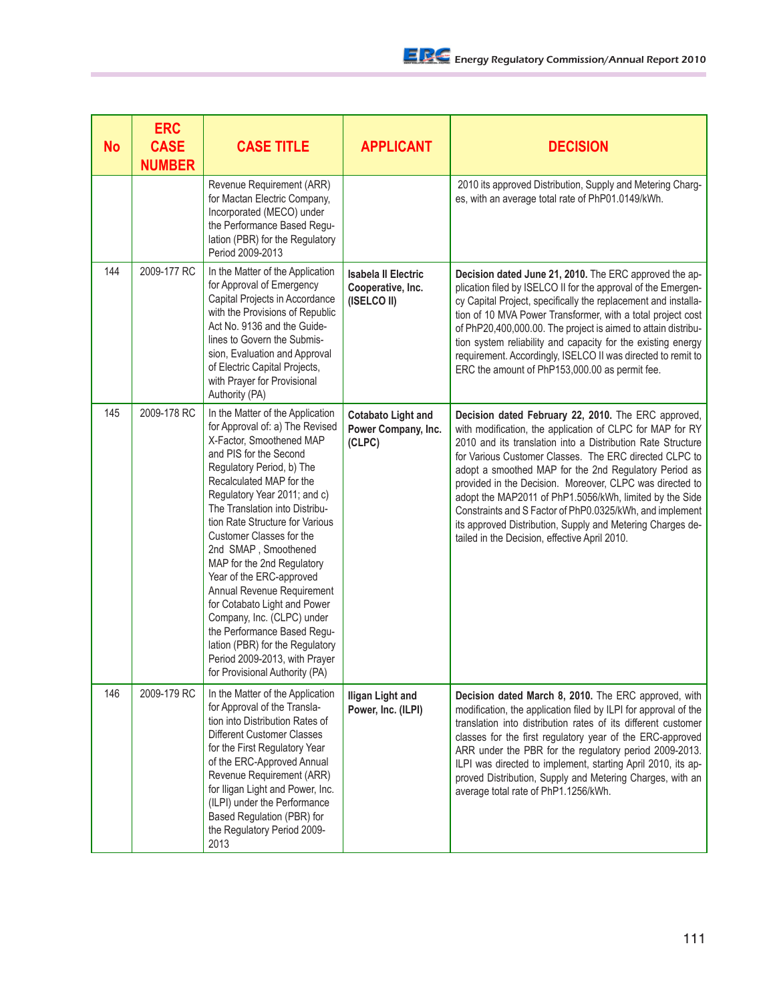| <b>No</b> | <b>ERC</b><br><b>CASE</b><br><b>NUMBER</b> | <b>CASE TITLE</b>                                                                                                                                                                                                                                                                                                                                                                                                                                                                                                                                                                                                                      | <b>APPLICANT</b>                                               | <b>DECISION</b>                                                                                                                                                                                                                                                                                                                                                                                                                                                                                                                                                                                      |
|-----------|--------------------------------------------|----------------------------------------------------------------------------------------------------------------------------------------------------------------------------------------------------------------------------------------------------------------------------------------------------------------------------------------------------------------------------------------------------------------------------------------------------------------------------------------------------------------------------------------------------------------------------------------------------------------------------------------|----------------------------------------------------------------|------------------------------------------------------------------------------------------------------------------------------------------------------------------------------------------------------------------------------------------------------------------------------------------------------------------------------------------------------------------------------------------------------------------------------------------------------------------------------------------------------------------------------------------------------------------------------------------------------|
|           |                                            | Revenue Requirement (ARR)<br>for Mactan Electric Company,<br>Incorporated (MECO) under<br>the Performance Based Regu-<br>lation (PBR) for the Regulatory<br>Period 2009-2013                                                                                                                                                                                                                                                                                                                                                                                                                                                           |                                                                | 2010 its approved Distribution, Supply and Metering Charg-<br>es, with an average total rate of PhP01.0149/kWh.                                                                                                                                                                                                                                                                                                                                                                                                                                                                                      |
| 144       | 2009-177 RC                                | In the Matter of the Application<br>for Approval of Emergency<br>Capital Projects in Accordance<br>with the Provisions of Republic<br>Act No. 9136 and the Guide-<br>lines to Govern the Submis-<br>sion, Evaluation and Approval<br>of Electric Capital Projects,<br>with Prayer for Provisional<br>Authority (PA)                                                                                                                                                                                                                                                                                                                    | <b>Isabela II Electric</b><br>Cooperative, Inc.<br>(ISELCO II) | Decision dated June 21, 2010. The ERC approved the ap-<br>plication filed by ISELCO II for the approval of the Emergen-<br>cy Capital Project, specifically the replacement and installa-<br>tion of 10 MVA Power Transformer, with a total project cost<br>of PhP20,400,000.00. The project is aimed to attain distribu-<br>tion system reliability and capacity for the existing energy<br>requirement. Accordingly, ISELCO II was directed to remit to<br>ERC the amount of PhP153,000.00 as permit fee.                                                                                          |
| 145       | 2009-178 RC                                | In the Matter of the Application<br>for Approval of: a) The Revised<br>X-Factor, Smoothened MAP<br>and PIS for the Second<br>Regulatory Period, b) The<br>Recalculated MAP for the<br>Regulatory Year 2011; and c)<br>The Translation into Distribu-<br>tion Rate Structure for Various<br>Customer Classes for the<br>2nd SMAP, Smoothened<br>MAP for the 2nd Regulatory<br>Year of the ERC-approved<br>Annual Revenue Requirement<br>for Cotabato Light and Power<br>Company, Inc. (CLPC) under<br>the Performance Based Regu-<br>lation (PBR) for the Regulatory<br>Period 2009-2013, with Prayer<br>for Provisional Authority (PA) | <b>Cotabato Light and</b><br>Power Company, Inc.<br>(CLPC)     | Decision dated February 22, 2010. The ERC approved,<br>with modification, the application of CLPC for MAP for RY<br>2010 and its translation into a Distribution Rate Structure<br>for Various Customer Classes. The ERC directed CLPC to<br>adopt a smoothed MAP for the 2nd Regulatory Period as<br>provided in the Decision. Moreover, CLPC was directed to<br>adopt the MAP2011 of PhP1.5056/kWh, limited by the Side<br>Constraints and S Factor of PhP0.0325/kWh, and implement<br>its approved Distribution, Supply and Metering Charges de-<br>tailed in the Decision, effective April 2010. |
| 146       | 2009-179 RC                                | In the Matter of the Application<br>for Approval of the Transla-<br>tion into Distribution Rates of<br>Different Customer Classes<br>for the First Regulatory Year<br>of the ERC-Approved Annual<br>Revenue Requirement (ARR)<br>for Iligan Light and Power, Inc.<br>(ILPI) under the Performance<br>Based Regulation (PBR) for<br>the Regulatory Period 2009-<br>2013                                                                                                                                                                                                                                                                 | Iligan Light and<br>Power, Inc. (ILPI)                         | Decision dated March 8, 2010. The ERC approved, with<br>modification, the application filed by ILPI for approval of the<br>translation into distribution rates of its different customer<br>classes for the first regulatory year of the ERC-approved<br>ARR under the PBR for the regulatory period 2009-2013.<br>ILPI was directed to implement, starting April 2010, its ap-<br>proved Distribution, Supply and Metering Charges, with an<br>average total rate of PhP1.1256/kWh.                                                                                                                 |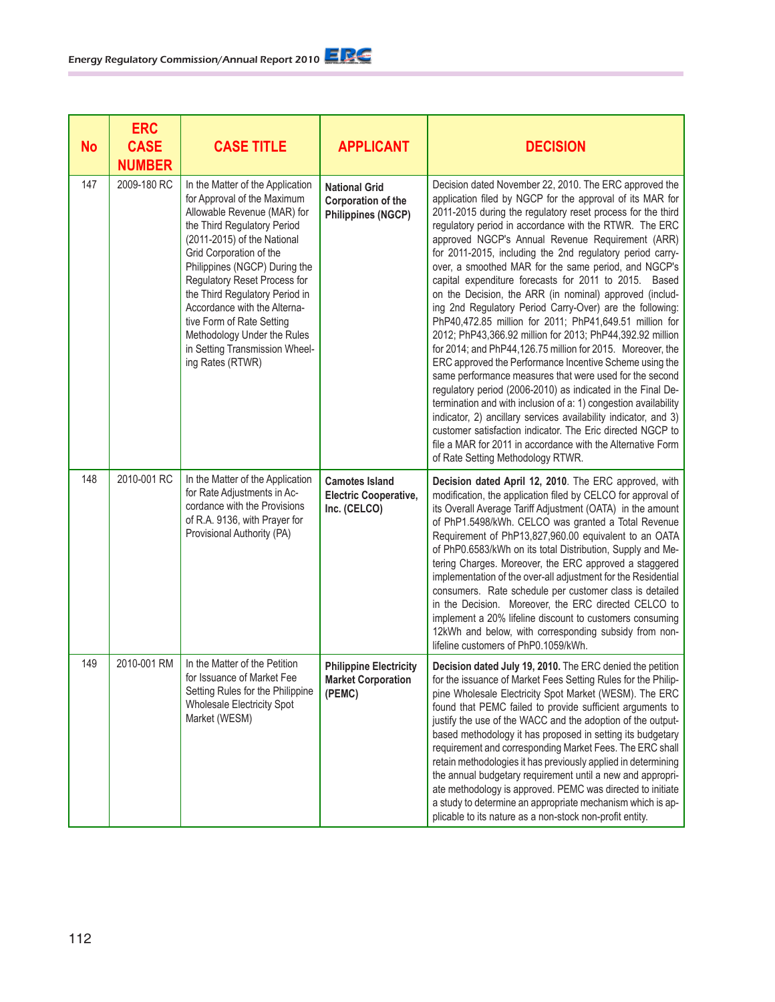| <b>No</b> | <b>ERC</b><br><b>CASE</b><br><b>NUMBER</b> | <b>CASE TITLE</b>                                                                                                                                                                                                                                                                                                                                                                                                                            | <b>APPLICANT</b>                                                        | <b>DECISION</b>                                                                                                                                                                                                                                                                                                                                                                                                                                                                                                                                                                                                                                                                                                                                                                                                                                                                                                                                                                                                                                                                                                                                                                                                                                                                           |
|-----------|--------------------------------------------|----------------------------------------------------------------------------------------------------------------------------------------------------------------------------------------------------------------------------------------------------------------------------------------------------------------------------------------------------------------------------------------------------------------------------------------------|-------------------------------------------------------------------------|-------------------------------------------------------------------------------------------------------------------------------------------------------------------------------------------------------------------------------------------------------------------------------------------------------------------------------------------------------------------------------------------------------------------------------------------------------------------------------------------------------------------------------------------------------------------------------------------------------------------------------------------------------------------------------------------------------------------------------------------------------------------------------------------------------------------------------------------------------------------------------------------------------------------------------------------------------------------------------------------------------------------------------------------------------------------------------------------------------------------------------------------------------------------------------------------------------------------------------------------------------------------------------------------|
| 147       | 2009-180 RC                                | In the Matter of the Application<br>for Approval of the Maximum<br>Allowable Revenue (MAR) for<br>the Third Regulatory Period<br>(2011-2015) of the National<br>Grid Corporation of the<br>Philippines (NGCP) During the<br>Regulatory Reset Process for<br>the Third Regulatory Period in<br>Accordance with the Alterna-<br>tive Form of Rate Setting<br>Methodology Under the Rules<br>in Setting Transmission Wheel-<br>ing Rates (RTWR) | <b>National Grid</b><br>Corporation of the<br><b>Philippines (NGCP)</b> | Decision dated November 22, 2010. The ERC approved the<br>application filed by NGCP for the approval of its MAR for<br>2011-2015 during the regulatory reset process for the third<br>regulatory period in accordance with the RTWR. The ERC<br>approved NGCP's Annual Revenue Requirement (ARR)<br>for 2011-2015, including the 2nd regulatory period carry-<br>over, a smoothed MAR for the same period, and NGCP's<br>capital expenditure forecasts for 2011 to 2015. Based<br>on the Decision, the ARR (in nominal) approved (includ-<br>ing 2nd Regulatory Period Carry-Over) are the following:<br>PhP40,472.85 million for 2011; PhP41,649.51 million for<br>2012; PhP43,366.92 million for 2013; PhP44,392.92 million<br>for 2014; and PhP44, 126.75 million for 2015. Moreover, the<br>ERC approved the Performance Incentive Scheme using the<br>same performance measures that were used for the second<br>regulatory period (2006-2010) as indicated in the Final De-<br>termination and with inclusion of a: 1) congestion availability<br>indicator, 2) ancillary services availability indicator, and 3)<br>customer satisfaction indicator. The Eric directed NGCP to<br>file a MAR for 2011 in accordance with the Alternative Form<br>of Rate Setting Methodology RTWR. |
| 148       | 2010-001 RC                                | In the Matter of the Application<br>for Rate Adjustments in Ac-<br>cordance with the Provisions<br>of R.A. 9136, with Prayer for<br>Provisional Authority (PA)                                                                                                                                                                                                                                                                               | <b>Camotes Island</b><br><b>Electric Cooperative,</b><br>Inc. (CELCO)   | Decision dated April 12, 2010. The ERC approved, with<br>modification, the application filed by CELCO for approval of<br>its Overall Average Tariff Adjustment (OATA) in the amount<br>of PhP1.5498/kWh. CELCO was granted a Total Revenue<br>Requirement of PhP13,827,960.00 equivalent to an OATA<br>of PhP0.6583/kWh on its total Distribution, Supply and Me-<br>tering Charges. Moreover, the ERC approved a staggered<br>implementation of the over-all adjustment for the Residential<br>consumers. Rate schedule per customer class is detailed<br>in the Decision. Moreover, the ERC directed CELCO to<br>implement a 20% lifeline discount to customers consuming<br>12kWh and below, with corresponding subsidy from non-<br>lifeline customers of PhP0.1059/kWh.                                                                                                                                                                                                                                                                                                                                                                                                                                                                                                              |
| 149       | 2010-001 RM                                | In the Matter of the Petition<br>for Issuance of Market Fee<br>Setting Rules for the Philippine<br>Wholesale Electricity Spot<br>Market (WESM)                                                                                                                                                                                                                                                                                               | <b>Philippine Electricity</b><br><b>Market Corporation</b><br>(PEMC)    | Decision dated July 19, 2010. The ERC denied the petition<br>for the issuance of Market Fees Setting Rules for the Philip-<br>pine Wholesale Electricity Spot Market (WESM). The ERC<br>found that PEMC failed to provide sufficient arguments to<br>justify the use of the WACC and the adoption of the output-<br>based methodology it has proposed in setting its budgetary<br>requirement and corresponding Market Fees. The ERC shall<br>retain methodologies it has previously applied in determining<br>the annual budgetary requirement until a new and appropri-<br>ate methodology is approved. PEMC was directed to initiate<br>a study to determine an appropriate mechanism which is ap-<br>plicable to its nature as a non-stock non-profit entity.                                                                                                                                                                                                                                                                                                                                                                                                                                                                                                                         |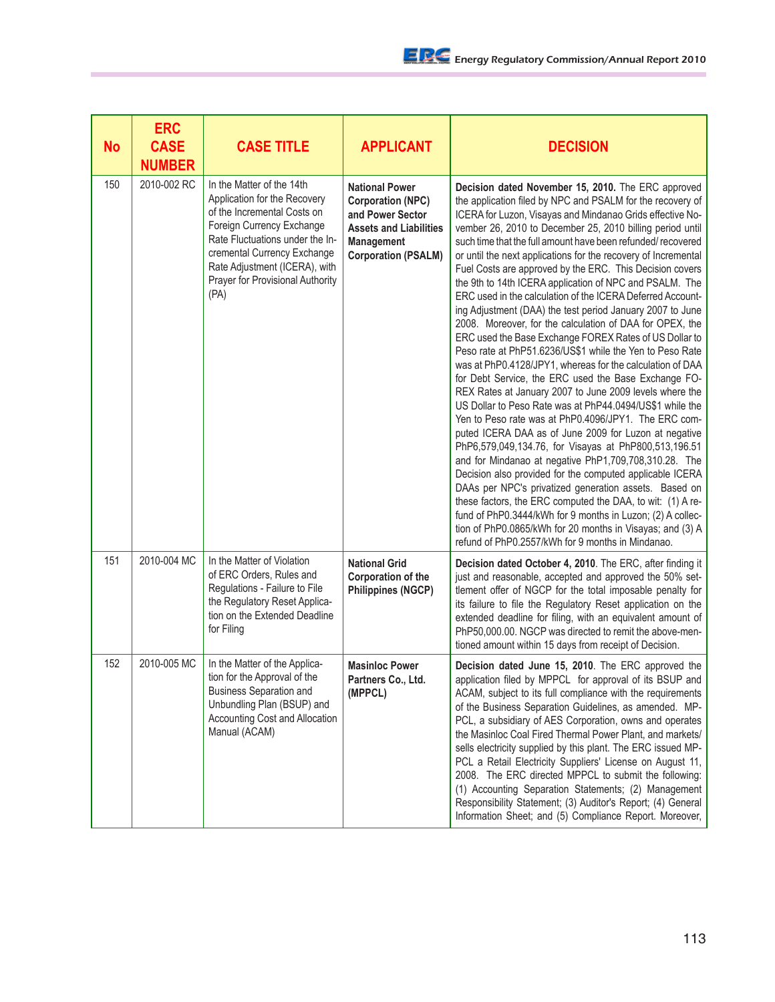| <b>No</b> | <b>ERC</b><br><b>CASE</b><br><b>NUMBER</b> | <b>CASE TITLE</b>                                                                                                                                                                                                                                                    | <b>APPLICANT</b>                                                                                                                                          | <b>DECISION</b>                                                                                                                                                                                                                                                                                                                                                                                                                                                                                                                                                                                                                                                                                                                                                                                                                                                                                                                                                                                                                                                                                                                                                                                                                                                                                                                                                                                                                                                                                                                                                                                                                                                   |
|-----------|--------------------------------------------|----------------------------------------------------------------------------------------------------------------------------------------------------------------------------------------------------------------------------------------------------------------------|-----------------------------------------------------------------------------------------------------------------------------------------------------------|-------------------------------------------------------------------------------------------------------------------------------------------------------------------------------------------------------------------------------------------------------------------------------------------------------------------------------------------------------------------------------------------------------------------------------------------------------------------------------------------------------------------------------------------------------------------------------------------------------------------------------------------------------------------------------------------------------------------------------------------------------------------------------------------------------------------------------------------------------------------------------------------------------------------------------------------------------------------------------------------------------------------------------------------------------------------------------------------------------------------------------------------------------------------------------------------------------------------------------------------------------------------------------------------------------------------------------------------------------------------------------------------------------------------------------------------------------------------------------------------------------------------------------------------------------------------------------------------------------------------------------------------------------------------|
| 150       | 2010-002 RC                                | In the Matter of the 14th<br>Application for the Recovery<br>of the Incremental Costs on<br>Foreign Currency Exchange<br>Rate Fluctuations under the In-<br>cremental Currency Exchange<br>Rate Adjustment (ICERA), with<br>Prayer for Provisional Authority<br>(PA) | <b>National Power</b><br><b>Corporation (NPC)</b><br>and Power Sector<br><b>Assets and Liabilities</b><br><b>Management</b><br><b>Corporation (PSALM)</b> | Decision dated November 15, 2010. The ERC approved<br>the application filed by NPC and PSALM for the recovery of<br>ICERA for Luzon, Visayas and Mindanao Grids effective No-<br>vember 26, 2010 to December 25, 2010 billing period until<br>such time that the full amount have been refunded/recovered<br>or until the next applications for the recovery of Incremental<br>Fuel Costs are approved by the ERC. This Decision covers<br>the 9th to 14th ICERA application of NPC and PSALM. The<br>ERC used in the calculation of the ICERA Deferred Account-<br>ing Adjustment (DAA) the test period January 2007 to June<br>2008. Moreover, for the calculation of DAA for OPEX, the<br>ERC used the Base Exchange FOREX Rates of US Dollar to<br>Peso rate at PhP51.6236/US\$1 while the Yen to Peso Rate<br>was at PhP0.4128/JPY1, whereas for the calculation of DAA<br>for Debt Service, the ERC used the Base Exchange FO-<br>REX Rates at January 2007 to June 2009 levels where the<br>US Dollar to Peso Rate was at PhP44.0494/US\$1 while the<br>Yen to Peso rate was at PhP0.4096/JPY1. The ERC com-<br>puted ICERA DAA as of June 2009 for Luzon at negative<br>PhP6,579,049,134.76, for Visayas at PhP800,513,196.51<br>and for Mindanao at negative PhP1,709,708,310.28. The<br>Decision also provided for the computed applicable ICERA<br>DAAs per NPC's privatized generation assets. Based on<br>these factors, the ERC computed the DAA, to wit: (1) A re-<br>fund of PhP0.3444/kWh for 9 months in Luzon; (2) A collec-<br>tion of PhP0.0865/kWh for 20 months in Visayas; and (3) A<br>refund of PhP0.2557/kWh for 9 months in Mindanao. |
| 151       | 2010-004 MC                                | In the Matter of Violation<br>of ERC Orders, Rules and<br>Regulations - Failure to File<br>the Regulatory Reset Applica-<br>tion on the Extended Deadline<br>for Filing                                                                                              | <b>National Grid</b><br>Corporation of the<br><b>Philippines (NGCP)</b>                                                                                   | Decision dated October 4, 2010. The ERC, after finding it<br>just and reasonable, accepted and approved the 50% set-<br>tlement offer of NGCP for the total imposable penalty for<br>its failure to file the Regulatory Reset application on the<br>extended deadline for filing, with an equivalent amount of<br>PhP50,000.00. NGCP was directed to remit the above-men-<br>tioned amount within 15 days from receipt of Decision.                                                                                                                                                                                                                                                                                                                                                                                                                                                                                                                                                                                                                                                                                                                                                                                                                                                                                                                                                                                                                                                                                                                                                                                                                               |
| 152       | 2010-005 MC                                | In the Matter of the Applica-<br>tion for the Approval of the<br><b>Business Separation and</b><br>Unbundling Plan (BSUP) and<br>Accounting Cost and Allocation<br>Manual (ACAM)                                                                                     | <b>Masinloc Power</b><br>Partners Co., Ltd.<br>(MPPCL)                                                                                                    | Decision dated June 15, 2010. The ERC approved the<br>application filed by MPPCL for approval of its BSUP and<br>ACAM, subject to its full compliance with the requirements<br>of the Business Separation Guidelines, as amended. MP-<br>PCL, a subsidiary of AES Corporation, owns and operates<br>the Masinloc Coal Fired Thermal Power Plant, and markets/<br>sells electricity supplied by this plant. The ERC issued MP-<br>PCL a Retail Electricity Suppliers' License on August 11,<br>2008. The ERC directed MPPCL to submit the following:<br>(1) Accounting Separation Statements; (2) Management<br>Responsibility Statement; (3) Auditor's Report; (4) General<br>Information Sheet; and (5) Compliance Report. Moreover,                                                                                                                                                                                                                                                                                                                                                                                                                                                                                                                                                                                                                                                                                                                                                                                                                                                                                                                             |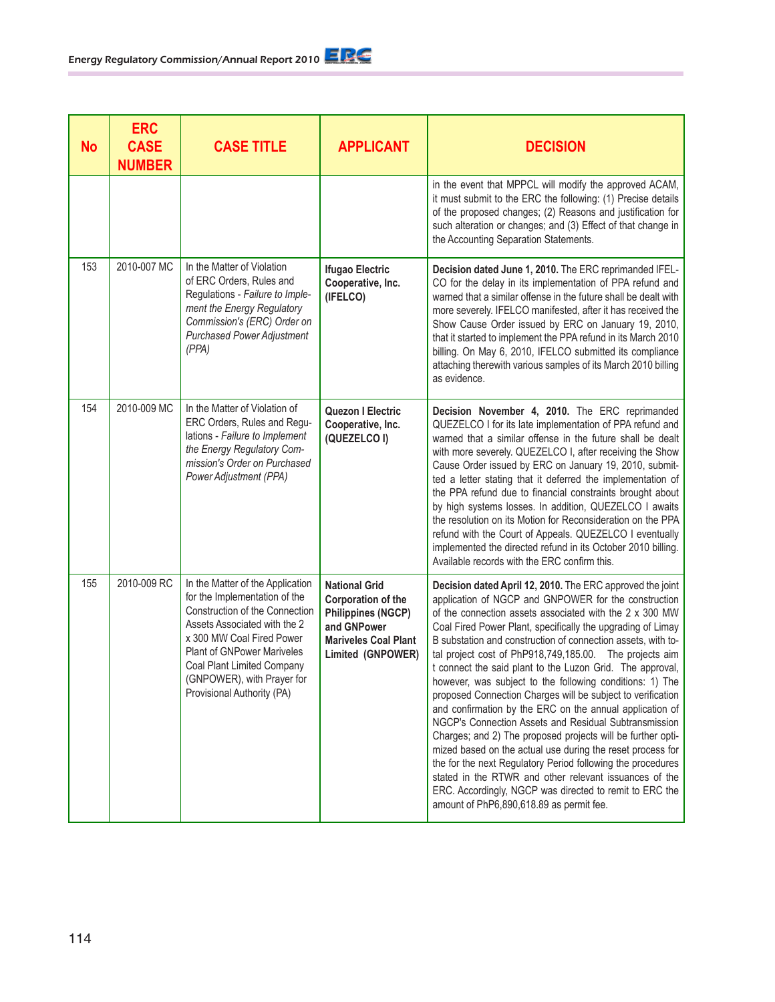| No  | <b>ERC</b><br><b>CASE</b><br><b>NUMBER</b> | <b>CASE TITLE</b>                                                                                                                                                                                                                                                                               | <b>APPLICANT</b>                                                                                                                           | <b>DECISION</b>                                                                                                                                                                                                                                                                                                                                                                                                                                                                                                                                                                                                                                                                                                                                                                                                                                                                                                                                                                                                                                  |
|-----|--------------------------------------------|-------------------------------------------------------------------------------------------------------------------------------------------------------------------------------------------------------------------------------------------------------------------------------------------------|--------------------------------------------------------------------------------------------------------------------------------------------|--------------------------------------------------------------------------------------------------------------------------------------------------------------------------------------------------------------------------------------------------------------------------------------------------------------------------------------------------------------------------------------------------------------------------------------------------------------------------------------------------------------------------------------------------------------------------------------------------------------------------------------------------------------------------------------------------------------------------------------------------------------------------------------------------------------------------------------------------------------------------------------------------------------------------------------------------------------------------------------------------------------------------------------------------|
|     |                                            |                                                                                                                                                                                                                                                                                                 |                                                                                                                                            | in the event that MPPCL will modify the approved ACAM,<br>it must submit to the ERC the following: (1) Precise details<br>of the proposed changes; (2) Reasons and justification for<br>such alteration or changes; and (3) Effect of that change in<br>the Accounting Separation Statements.                                                                                                                                                                                                                                                                                                                                                                                                                                                                                                                                                                                                                                                                                                                                                    |
| 153 | 2010-007 MC                                | In the Matter of Violation<br>of ERC Orders, Rules and<br>Regulations - Failure to Imple-<br>ment the Energy Regulatory<br>Commission's (ERC) Order on<br><b>Purchased Power Adjustment</b><br>(PPA)                                                                                            | <b>Ifugao Electric</b><br>Cooperative, Inc.<br>(IFELCO)                                                                                    | Decision dated June 1, 2010. The ERC reprimanded IFEL-<br>CO for the delay in its implementation of PPA refund and<br>warned that a similar offense in the future shall be dealt with<br>more severely. IFELCO manifested, after it has received the<br>Show Cause Order issued by ERC on January 19, 2010,<br>that it started to implement the PPA refund in its March 2010<br>billing. On May 6, 2010, IFELCO submitted its compliance<br>attaching therewith various samples of its March 2010 billing<br>as evidence.                                                                                                                                                                                                                                                                                                                                                                                                                                                                                                                        |
| 154 | 2010-009 MC                                | In the Matter of Violation of<br>ERC Orders, Rules and Regu-<br>lations - Failure to Implement<br>the Energy Regulatory Com-<br>mission's Order on Purchased<br>Power Adjustment (PPA)                                                                                                          | Quezon I Electric<br>Cooperative, Inc.<br>(QUEZELCO I)                                                                                     | Decision November 4, 2010. The ERC reprimanded<br>QUEZELCO I for its late implementation of PPA refund and<br>warned that a similar offense in the future shall be dealt<br>with more severely. QUEZELCO I, after receiving the Show<br>Cause Order issued by ERC on January 19, 2010, submit-<br>ted a letter stating that it deferred the implementation of<br>the PPA refund due to financial constraints brought about<br>by high systems losses. In addition, QUEZELCO I awaits<br>the resolution on its Motion for Reconsideration on the PPA<br>refund with the Court of Appeals. QUEZELCO I eventually<br>implemented the directed refund in its October 2010 billing.<br>Available records with the ERC confirm this.                                                                                                                                                                                                                                                                                                                   |
| 155 | 2010-009 RC                                | In the Matter of the Application<br>for the Implementation of the<br>Construction of the Connection<br>Assets Associated with the 2<br>x 300 MW Coal Fired Power<br><b>Plant of GNPower Mariveles</b><br>Coal Plant Limited Company<br>(GNPOWER), with Prayer for<br>Provisional Authority (PA) | <b>National Grid</b><br>Corporation of the<br><b>Philippines (NGCP)</b><br>and GNPower<br><b>Mariveles Coal Plant</b><br>Limited (GNPOWER) | Decision dated April 12, 2010. The ERC approved the joint<br>application of NGCP and GNPOWER for the construction<br>of the connection assets associated with the 2 x 300 MW<br>Coal Fired Power Plant, specifically the upgrading of Limay<br>B substation and construction of connection assets, with to-<br>tal project cost of PhP918,749,185.00. The projects aim<br>t connect the said plant to the Luzon Grid. The approval,<br>however, was subject to the following conditions: 1) The<br>proposed Connection Charges will be subject to verification<br>and confirmation by the ERC on the annual application of<br>NGCP's Connection Assets and Residual Subtransmission<br>Charges; and 2) The proposed projects will be further opti-<br>mized based on the actual use during the reset process for<br>the for the next Regulatory Period following the procedures<br>stated in the RTWR and other relevant issuances of the<br>ERC. Accordingly, NGCP was directed to remit to ERC the<br>amount of PhP6,890,618.89 as permit fee. |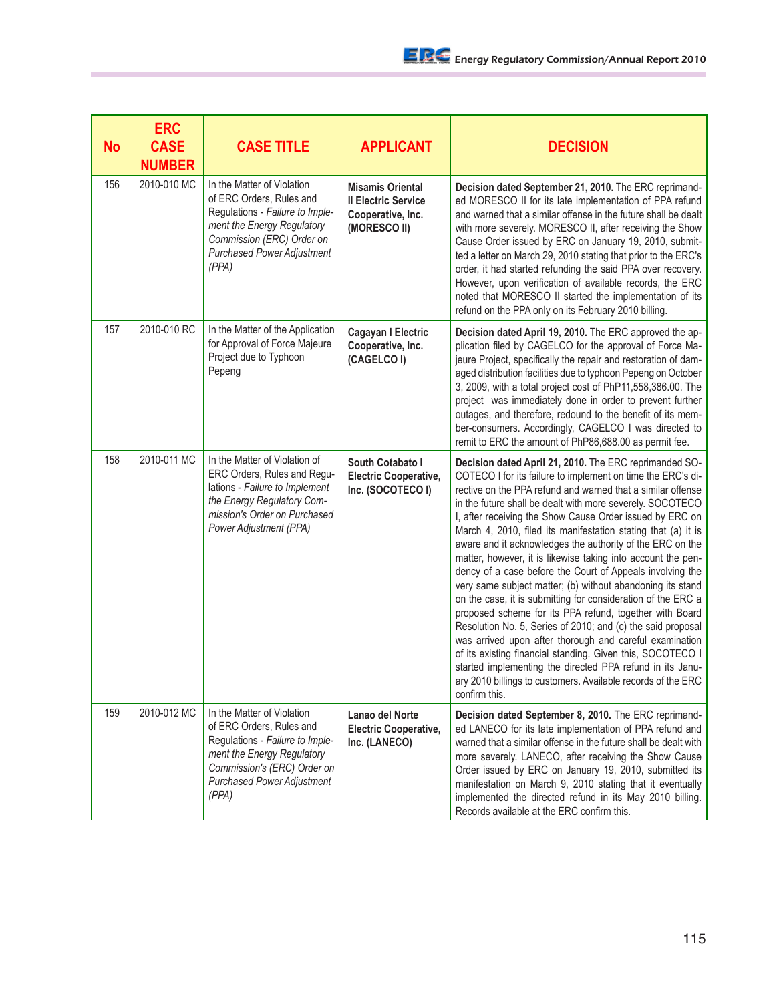| <b>No</b> | <b>ERC</b><br><b>CASE</b><br><b>NUMBER</b> | <b>CASE TITLE</b>                                                                                                                                                                                    | <b>APPLICANT</b>                                                                           | <b>DECISION</b>                                                                                                                                                                                                                                                                                                                                                                                                                                                                                                                                                                                                                                                                                                                                                                                                                                                                                                                                                                                                                                                                                         |
|-----------|--------------------------------------------|------------------------------------------------------------------------------------------------------------------------------------------------------------------------------------------------------|--------------------------------------------------------------------------------------------|---------------------------------------------------------------------------------------------------------------------------------------------------------------------------------------------------------------------------------------------------------------------------------------------------------------------------------------------------------------------------------------------------------------------------------------------------------------------------------------------------------------------------------------------------------------------------------------------------------------------------------------------------------------------------------------------------------------------------------------------------------------------------------------------------------------------------------------------------------------------------------------------------------------------------------------------------------------------------------------------------------------------------------------------------------------------------------------------------------|
| 156       | 2010-010 MC                                | In the Matter of Violation<br>of ERC Orders, Rules and<br>Regulations - Failure to Imple-<br>ment the Energy Regulatory<br>Commission (ERC) Order on<br><b>Purchased Power Adjustment</b><br>(PPA)   | <b>Misamis Oriental</b><br><b>Il Electric Service</b><br>Cooperative, Inc.<br>(MORESCO II) | Decision dated September 21, 2010. The ERC reprimand-<br>ed MORESCO II for its late implementation of PPA refund<br>and warned that a similar offense in the future shall be dealt<br>with more severely. MORESCO II, after receiving the Show<br>Cause Order issued by ERC on January 19, 2010, submit-<br>ted a letter on March 29, 2010 stating that prior to the ERC's<br>order, it had started refunding the said PPA over recovery.<br>However, upon verification of available records, the ERC<br>noted that MORESCO II started the implementation of its<br>refund on the PPA only on its February 2010 billing.                                                                                                                                                                                                                                                                                                                                                                                                                                                                                |
| 157       | 2010-010 RC                                | In the Matter of the Application<br>for Approval of Force Majeure<br>Project due to Typhoon<br>Pepeng                                                                                                | Cagayan I Electric<br>Cooperative, Inc.<br>(CAGELCO I)                                     | Decision dated April 19, 2010. The ERC approved the ap-<br>plication filed by CAGELCO for the approval of Force Ma-<br>jeure Project, specifically the repair and restoration of dam-<br>aged distribution facilities due to typhoon Pepeng on October<br>3, 2009, with a total project cost of PhP11,558,386.00. The<br>project was immediately done in order to prevent further<br>outages, and therefore, redound to the benefit of its mem-<br>ber-consumers. Accordingly, CAGELCO I was directed to<br>remit to ERC the amount of PhP86,688.00 as permit fee.                                                                                                                                                                                                                                                                                                                                                                                                                                                                                                                                      |
| 158       | 2010-011 MC                                | In the Matter of Violation of<br>ERC Orders, Rules and Regu-<br>lations - Failure to Implement<br>the Energy Regulatory Com-<br>mission's Order on Purchased<br>Power Adjustment (PPA)               | South Cotabato I<br><b>Electric Cooperative,</b><br>Inc. (SOCOTECO I)                      | Decision dated April 21, 2010. The ERC reprimanded SO-<br>COTECO I for its failure to implement on time the ERC's di-<br>rective on the PPA refund and warned that a similar offense<br>in the future shall be dealt with more severely. SOCOTECO<br>I, after receiving the Show Cause Order issued by ERC on<br>March 4, 2010, filed its manifestation stating that (a) it is<br>aware and it acknowledges the authority of the ERC on the<br>matter, however, it is likewise taking into account the pen-<br>dency of a case before the Court of Appeals involving the<br>very same subject matter; (b) without abandoning its stand<br>on the case, it is submitting for consideration of the ERC a<br>proposed scheme for its PPA refund, together with Board<br>Resolution No. 5, Series of 2010; and (c) the said proposal<br>was arrived upon after thorough and careful examination<br>of its existing financial standing. Given this, SOCOTECO I<br>started implementing the directed PPA refund in its Janu-<br>ary 2010 billings to customers. Available records of the ERC<br>confirm this. |
| 159       | 2010-012 MC                                | In the Matter of Violation<br>of ERC Orders, Rules and<br>Regulations - Failure to Imple-<br>ment the Energy Regulatory<br>Commission's (ERC) Order on<br><b>Purchased Power Adjustment</b><br>(PPA) | Lanao del Norte<br><b>Electric Cooperative,</b><br>Inc. (LANECO)                           | Decision dated September 8, 2010. The ERC reprimand-<br>ed LANECO for its late implementation of PPA refund and<br>warned that a similar offense in the future shall be dealt with<br>more severely. LANECO, after receiving the Show Cause<br>Order issued by ERC on January 19, 2010, submitted its<br>manifestation on March 9, 2010 stating that it eventually<br>implemented the directed refund in its May 2010 billing.<br>Records available at the ERC confirm this.                                                                                                                                                                                                                                                                                                                                                                                                                                                                                                                                                                                                                            |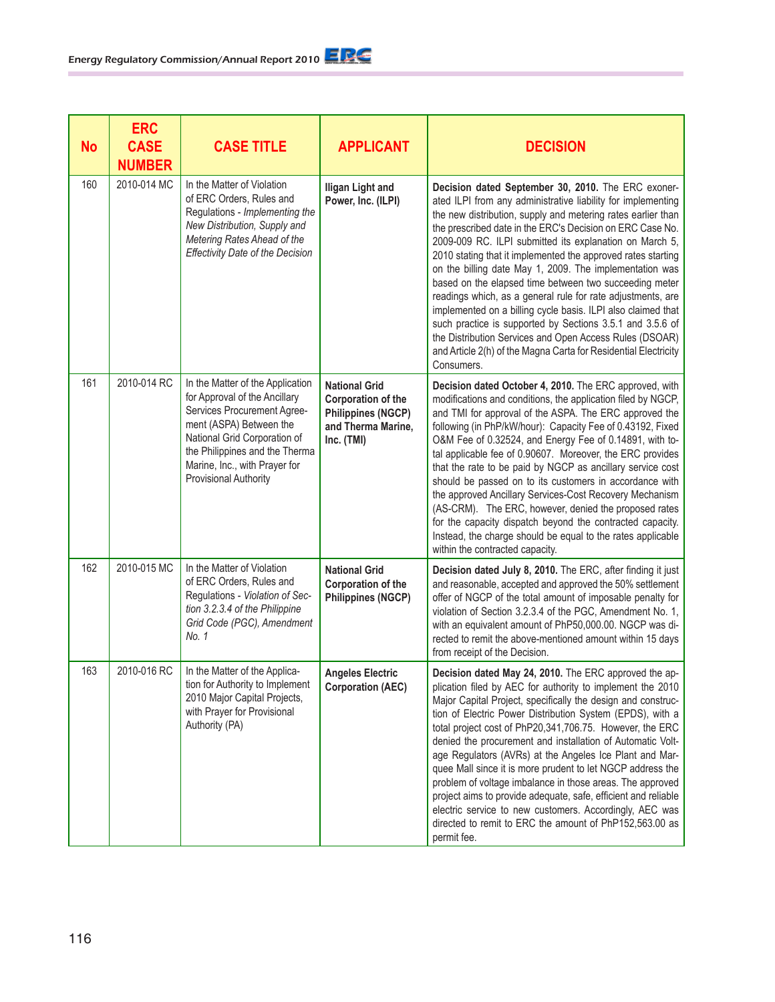| <b>No</b> | <b>ERC</b><br><b>CASE</b><br><b>NUMBER</b> | <b>CASE TITLE</b>                                                                                                                                                                                                                                       | <b>APPLICANT</b>                                                                                            | <b>DECISION</b>                                                                                                                                                                                                                                                                                                                                                                                                                                                                                                                                                                                                                                                                                                                                                                                                                         |
|-----------|--------------------------------------------|---------------------------------------------------------------------------------------------------------------------------------------------------------------------------------------------------------------------------------------------------------|-------------------------------------------------------------------------------------------------------------|-----------------------------------------------------------------------------------------------------------------------------------------------------------------------------------------------------------------------------------------------------------------------------------------------------------------------------------------------------------------------------------------------------------------------------------------------------------------------------------------------------------------------------------------------------------------------------------------------------------------------------------------------------------------------------------------------------------------------------------------------------------------------------------------------------------------------------------------|
| 160       | 2010-014 MC                                | In the Matter of Violation<br>of ERC Orders, Rules and<br>Regulations - Implementing the<br>New Distribution, Supply and<br>Metering Rates Ahead of the<br><b>Effectivity Date of the Decision</b>                                                      | <b>Iligan Light and</b><br>Power, Inc. (ILPI)                                                               | Decision dated September 30, 2010. The ERC exoner-<br>ated ILPI from any administrative liability for implementing<br>the new distribution, supply and metering rates earlier than<br>the prescribed date in the ERC's Decision on ERC Case No.<br>2009-009 RC. ILPI submitted its explanation on March 5,<br>2010 stating that it implemented the approved rates starting<br>on the billing date May 1, 2009. The implementation was<br>based on the elapsed time between two succeeding meter<br>readings which, as a general rule for rate adjustments, are<br>implemented on a billing cycle basis. ILPI also claimed that<br>such practice is supported by Sections 3.5.1 and 3.5.6 of<br>the Distribution Services and Open Access Rules (DSOAR)<br>and Article 2(h) of the Magna Carta for Residential Electricity<br>Consumers. |
| 161       | 2010-014 RC                                | In the Matter of the Application<br>for Approval of the Ancillary<br>Services Procurement Agree-<br>ment (ASPA) Between the<br>National Grid Corporation of<br>the Philippines and the Therma<br>Marine, Inc., with Prayer for<br>Provisional Authority | <b>National Grid</b><br>Corporation of the<br><b>Philippines (NGCP)</b><br>and Therma Marine,<br>Inc. (TMI) | Decision dated October 4, 2010. The ERC approved, with<br>modifications and conditions, the application filed by NGCP,<br>and TMI for approval of the ASPA. The ERC approved the<br>following (in PhP/kW/hour): Capacity Fee of 0.43192, Fixed<br>O&M Fee of 0.32524, and Energy Fee of 0.14891, with to-<br>tal applicable fee of 0.90607. Moreover, the ERC provides<br>that the rate to be paid by NGCP as ancillary service cost<br>should be passed on to its customers in accordance with<br>the approved Ancillary Services-Cost Recovery Mechanism<br>(AS-CRM). The ERC, however, denied the proposed rates<br>for the capacity dispatch beyond the contracted capacity.<br>Instead, the charge should be equal to the rates applicable<br>within the contracted capacity.                                                      |
| 162       | 2010-015 MC                                | In the Matter of Violation<br>of ERC Orders, Rules and<br>Regulations - Violation of Sec-<br>tion 3.2.3.4 of the Philippine<br>Grid Code (PGC), Amendment<br>No. 1                                                                                      | <b>National Grid</b><br>Corporation of the<br><b>Philippines (NGCP)</b>                                     | Decision dated July 8, 2010. The ERC, after finding it just<br>and reasonable, accepted and approved the 50% settlement<br>offer of NGCP of the total amount of imposable penalty for<br>violation of Section 3.2.3.4 of the PGC, Amendment No. 1,<br>with an equivalent amount of PhP50,000.00. NGCP was di-<br>rected to remit the above-mentioned amount within 15 days<br>from receipt of the Decision.                                                                                                                                                                                                                                                                                                                                                                                                                             |
| 163       | 2010-016 RC                                | In the Matter of the Applica-<br>tion for Authority to Implement<br>2010 Major Capital Projects,<br>with Prayer for Provisional<br>Authority (PA)                                                                                                       | <b>Angeles Electric</b><br><b>Corporation (AEC)</b>                                                         | Decision dated May 24, 2010. The ERC approved the ap-<br>plication filed by AEC for authority to implement the 2010<br>Major Capital Project, specifically the design and construc-<br>tion of Electric Power Distribution System (EPDS), with a<br>total project cost of PhP20,341,706.75. However, the ERC<br>denied the procurement and installation of Automatic Volt-<br>age Regulators (AVRs) at the Angeles Ice Plant and Mar-<br>quee Mall since it is more prudent to let NGCP address the<br>problem of voltage imbalance in those areas. The approved<br>project aims to provide adequate, safe, efficient and reliable<br>electric service to new customers. Accordingly, AEC was<br>directed to remit to ERC the amount of PhP152,563.00 as<br>permit fee.                                                                 |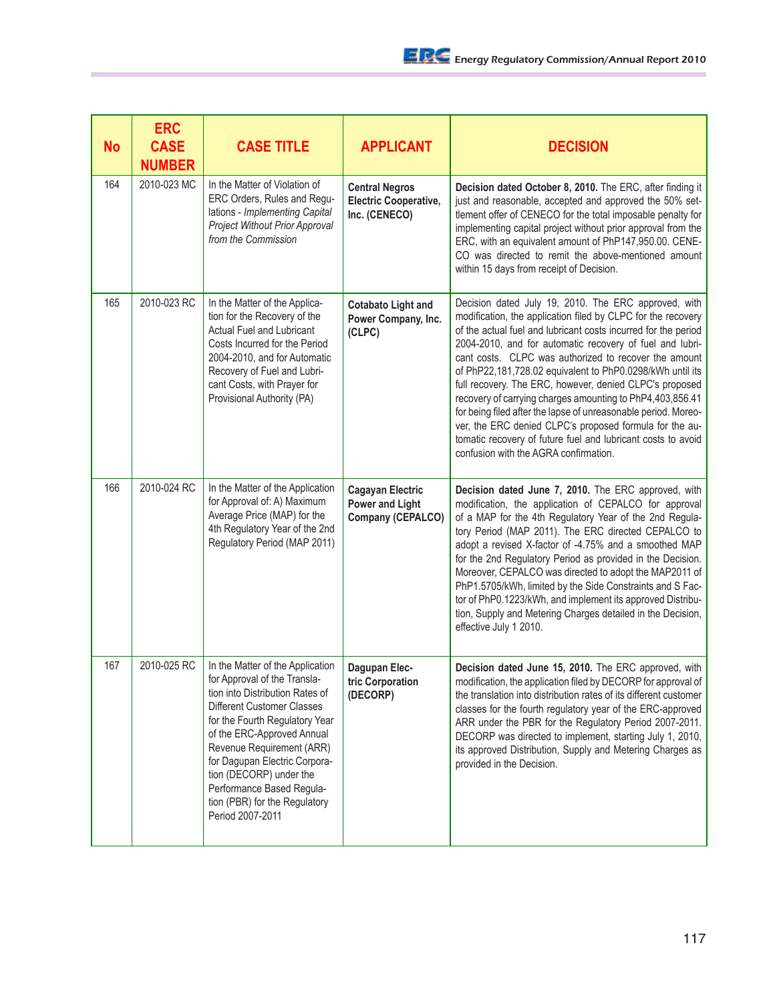| <b>No</b> | <b>ERC</b><br><b>CASE</b><br><b>NUMBER</b> | <b>CASE TITLE</b>                                                                                                                                                                                                                                                                                                                                                            | <b>APPLICANT</b>                                                       | <b>DECISION</b>                                                                                                                                                                                                                                                                                                                                                                                                                                                                                                                                                                                                                                                                                                                        |
|-----------|--------------------------------------------|------------------------------------------------------------------------------------------------------------------------------------------------------------------------------------------------------------------------------------------------------------------------------------------------------------------------------------------------------------------------------|------------------------------------------------------------------------|----------------------------------------------------------------------------------------------------------------------------------------------------------------------------------------------------------------------------------------------------------------------------------------------------------------------------------------------------------------------------------------------------------------------------------------------------------------------------------------------------------------------------------------------------------------------------------------------------------------------------------------------------------------------------------------------------------------------------------------|
| 164       | 2010-023 MC                                | In the Matter of Violation of<br>ERC Orders, Rules and Regu-<br>lations - Implementing Capital<br>Project Without Prior Approval<br>from the Commission                                                                                                                                                                                                                      | <b>Central Negros</b><br><b>Electric Cooperative,</b><br>Inc. (CENECO) | Decision dated October 8, 2010. The ERC, after finding it<br>just and reasonable, accepted and approved the 50% set-<br>tlement offer of CENECO for the total imposable penalty for<br>implementing capital project without prior approval from the<br>ERC, with an equivalent amount of PhP147,950.00. CENE-<br>CO was directed to remit the above-mentioned amount<br>within 15 days from receipt of Decision.                                                                                                                                                                                                                                                                                                                       |
| 165       | 2010-023 RC                                | In the Matter of the Applica-<br>tion for the Recovery of the<br>Actual Fuel and Lubricant<br>Costs Incurred for the Period<br>2004-2010, and for Automatic<br>Recovery of Fuel and Lubri-<br>cant Costs, with Prayer for<br>Provisional Authority (PA)                                                                                                                      | <b>Cotabato Light and</b><br>Power Company, Inc.<br>(CLPC)             | Decision dated July 19, 2010. The ERC approved, with<br>modification, the application filed by CLPC for the recovery<br>of the actual fuel and lubricant costs incurred for the period<br>2004-2010, and for automatic recovery of fuel and lubri-<br>cant costs. CLPC was authorized to recover the amount<br>of PhP22,181,728.02 equivalent to PhP0.0298/kWh until its<br>full recovery. The ERC, however, denied CLPC's proposed<br>recovery of carrying charges amounting to PhP4,403,856.41<br>for being filed after the lapse of unreasonable period. Moreo-<br>ver, the ERC denied CLPC's proposed formula for the au-<br>tomatic recovery of future fuel and lubricant costs to avoid<br>confusion with the AGRA confirmation. |
| 166       | 2010-024 RC                                | In the Matter of the Application<br>for Approval of: A) Maximum<br>Average Price (MAP) for the<br>4th Regulatory Year of the 2nd<br>Regulatory Period (MAP 2011)                                                                                                                                                                                                             | <b>Cagayan Electric</b><br><b>Power and Light</b><br>Company (CEPALCO) | Decision dated June 7, 2010. The ERC approved, with<br>modification, the application of CEPALCO for approval<br>of a MAP for the 4th Regulatory Year of the 2nd Regula-<br>tory Period (MAP 2011). The ERC directed CEPALCO to<br>adopt a revised X-factor of -4.75% and a smoothed MAP<br>for the 2nd Regulatory Period as provided in the Decision.<br>Moreover, CEPALCO was directed to adopt the MAP2011 of<br>PhP1.5705/kWh, limited by the Side Constraints and S Fac-<br>tor of PhP0.1223/kWh, and implement its approved Distribu-<br>tion, Supply and Metering Charges detailed in the Decision,<br>effective July 1 2010.                                                                                                    |
| 167       | 2010-025 RC                                | In the Matter of the Application<br>for Approval of the Transla-<br>tion into Distribution Rates of<br>Different Customer Classes<br>for the Fourth Regulatory Year<br>of the ERC-Approved Annual<br>Revenue Requirement (ARR)<br>for Dagupan Electric Corpora-<br>tion (DECORP) under the<br>Performance Based Regula-<br>tion (PBR) for the Regulatory<br>Period 2007-2011 | Dagupan Elec-<br>tric Corporation<br>(DECORP)                          | Decision dated June 15, 2010. The ERC approved, with<br>modification, the application filed by DECORP for approval of<br>the translation into distribution rates of its different customer<br>classes for the fourth regulatory year of the ERC-approved<br>ARR under the PBR for the Regulatory Period 2007-2011.<br>DECORP was directed to implement, starting July 1, 2010,<br>its approved Distribution, Supply and Metering Charges as<br>provided in the Decision.                                                                                                                                                                                                                                                               |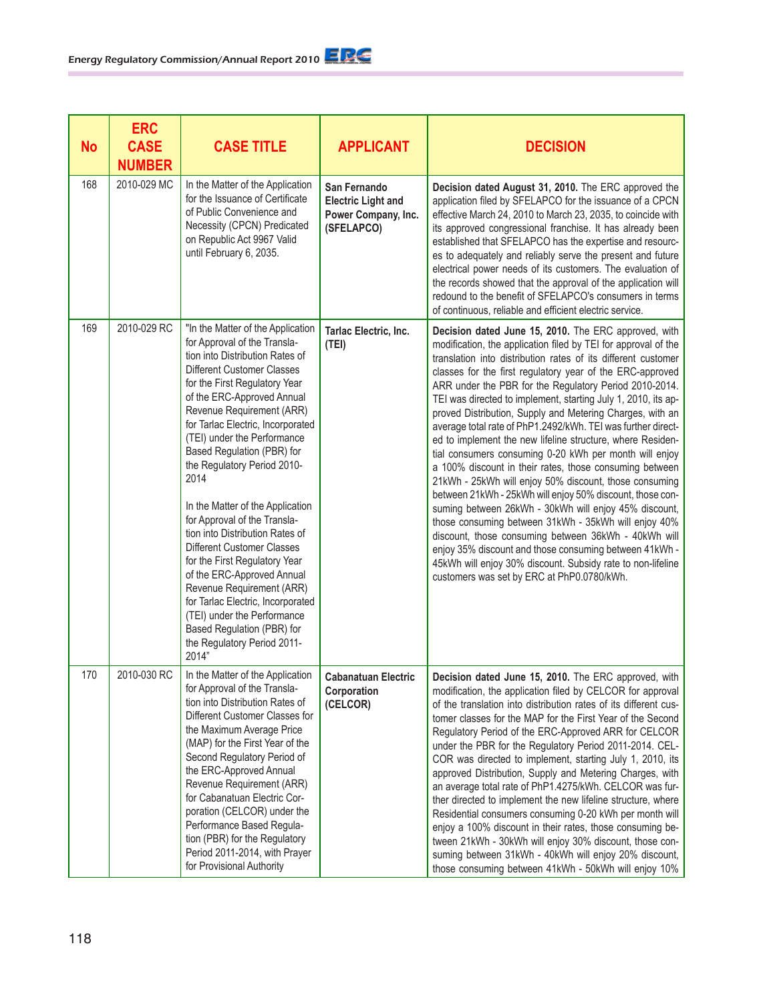| <b>No</b> | <b>ERC</b><br><b>CASE</b><br><b>NUMBER</b> | <b>CASE TITLE</b>                                                                                                                                                                                                                                                                                                                                                                                                                                                                                                                                                                                                                                                                                                                                                | <b>APPLICANT</b>                                                               | <b>DECISION</b>                                                                                                                                                                                                                                                                                                                                                                                                                                                                                                                                                                                                                                                                                                                                                                                                                                                                                                                                                                                                                                                                                                                                                        |
|-----------|--------------------------------------------|------------------------------------------------------------------------------------------------------------------------------------------------------------------------------------------------------------------------------------------------------------------------------------------------------------------------------------------------------------------------------------------------------------------------------------------------------------------------------------------------------------------------------------------------------------------------------------------------------------------------------------------------------------------------------------------------------------------------------------------------------------------|--------------------------------------------------------------------------------|------------------------------------------------------------------------------------------------------------------------------------------------------------------------------------------------------------------------------------------------------------------------------------------------------------------------------------------------------------------------------------------------------------------------------------------------------------------------------------------------------------------------------------------------------------------------------------------------------------------------------------------------------------------------------------------------------------------------------------------------------------------------------------------------------------------------------------------------------------------------------------------------------------------------------------------------------------------------------------------------------------------------------------------------------------------------------------------------------------------------------------------------------------------------|
| 168       | 2010-029 MC                                | In the Matter of the Application<br>for the Issuance of Certificate<br>of Public Convenience and<br>Necessity (CPCN) Predicated<br>on Republic Act 9967 Valid<br>until February 6, 2035.                                                                                                                                                                                                                                                                                                                                                                                                                                                                                                                                                                         | San Fernando<br><b>Electric Light and</b><br>Power Company, Inc.<br>(SFELAPCO) | Decision dated August 31, 2010. The ERC approved the<br>application filed by SFELAPCO for the issuance of a CPCN<br>effective March 24, 2010 to March 23, 2035, to coincide with<br>its approved congressional franchise. It has already been<br>established that SFELAPCO has the expertise and resourc-<br>es to adequately and reliably serve the present and future<br>electrical power needs of its customers. The evaluation of<br>the records showed that the approval of the application will<br>redound to the benefit of SFELAPCO's consumers in terms<br>of continuous, reliable and efficient electric service.                                                                                                                                                                                                                                                                                                                                                                                                                                                                                                                                            |
| 169       | 2010-029 RC                                | "In the Matter of the Application<br>for Approval of the Transla-<br>tion into Distribution Rates of<br><b>Different Customer Classes</b><br>for the First Regulatory Year<br>of the ERC-Approved Annual<br>Revenue Requirement (ARR)<br>for Tarlac Electric, Incorporated<br>(TEI) under the Performance<br>Based Regulation (PBR) for<br>the Regulatory Period 2010-<br>2014<br>In the Matter of the Application<br>for Approval of the Transla-<br>tion into Distribution Rates of<br><b>Different Customer Classes</b><br>for the First Regulatory Year<br>of the ERC-Approved Annual<br>Revenue Requirement (ARR)<br>for Tarlac Electric, Incorporated<br>(TEI) under the Performance<br>Based Regulation (PBR) for<br>the Regulatory Period 2011-<br>2014" | Tarlac Electric, Inc.<br>(TEI)                                                 | Decision dated June 15, 2010. The ERC approved, with<br>modification, the application filed by TEI for approval of the<br>translation into distribution rates of its different customer<br>classes for the first regulatory year of the ERC-approved<br>ARR under the PBR for the Regulatory Period 2010-2014.<br>TEI was directed to implement, starting July 1, 2010, its ap-<br>proved Distribution, Supply and Metering Charges, with an<br>average total rate of PhP1.2492/kWh. TEI was further direct-<br>ed to implement the new lifeline structure, where Residen-<br>tial consumers consuming 0-20 kWh per month will enjoy<br>a 100% discount in their rates, those consuming between<br>21kWh - 25kWh will enjoy 50% discount, those consuming<br>between 21kWh - 25kWh will enjoy 50% discount, those con-<br>suming between 26kWh - 30kWh will enjoy 45% discount,<br>those consuming between 31kWh - 35kWh will enjoy 40%<br>discount, those consuming between 36kWh - 40kWh will<br>enjoy 35% discount and those consuming between 41kWh -<br>45kWh will enjoy 30% discount. Subsidy rate to non-lifeline<br>customers was set by ERC at PhP0.0780/kWh. |
| 170       | 2010-030 RC                                | In the Matter of the Application<br>for Approval of the Transla-<br>tion into Distribution Rates of<br>Different Customer Classes for<br>the Maximum Average Price<br>(MAP) for the First Year of the<br>Second Regulatory Period of<br>the ERC-Approved Annual<br>Revenue Requirement (ARR)<br>for Cabanatuan Electric Cor-<br>poration (CELCOR) under the<br>Performance Based Regula-<br>tion (PBR) for the Regulatory<br>Period 2011-2014, with Prayer<br>for Provisional Authority                                                                                                                                                                                                                                                                          | <b>Cabanatuan Electric</b><br>Corporation<br>(CELCOR)                          | Decision dated June 15, 2010. The ERC approved, with<br>modification, the application filed by CELCOR for approval<br>of the translation into distribution rates of its different cus-<br>tomer classes for the MAP for the First Year of the Second<br>Regulatory Period of the ERC-Approved ARR for CELCOR<br>under the PBR for the Regulatory Period 2011-2014. CEL-<br>COR was directed to implement, starting July 1, 2010, its<br>approved Distribution, Supply and Metering Charges, with<br>an average total rate of PhP1.4275/kWh. CELCOR was fur-<br>ther directed to implement the new lifeline structure, where<br>Residential consumers consuming 0-20 kWh per month will<br>enjoy a 100% discount in their rates, those consuming be-<br>tween 21kWh - 30kWh will enjoy 30% discount, those con-<br>suming between 31kWh - 40kWh will enjoy 20% discount,<br>those consuming between 41kWh - 50kWh will enjoy 10%                                                                                                                                                                                                                                        |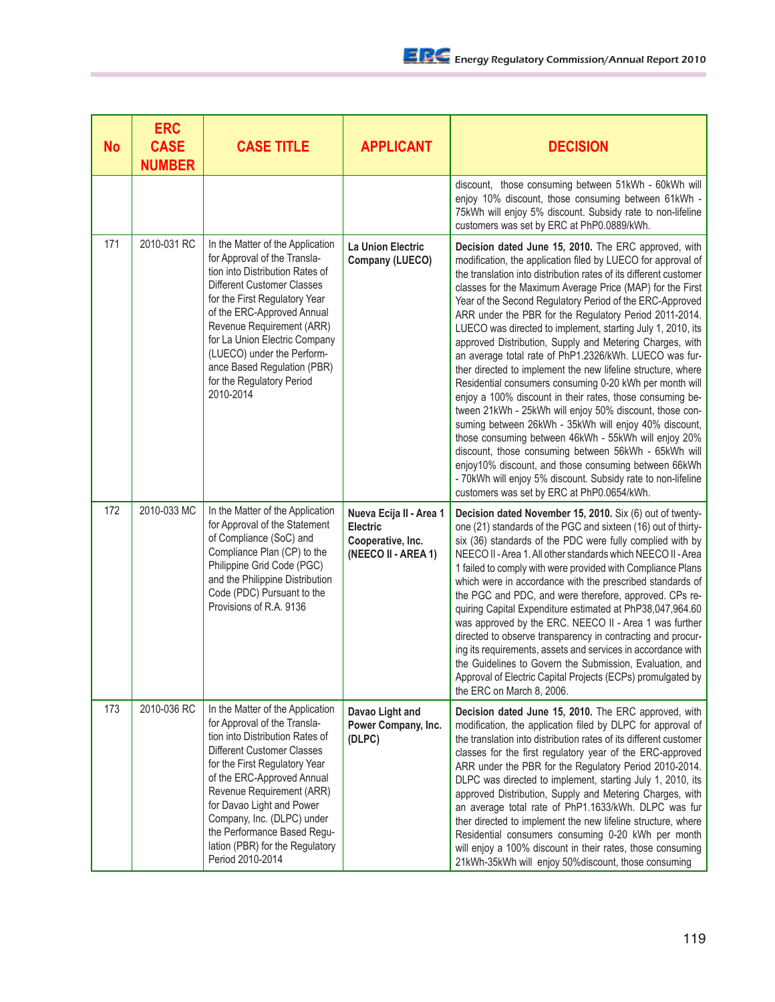| <b>No</b> | <b>ERC</b><br><b>CASE</b><br><b>NUMBER</b> | <b>CASE TITLE</b>                                                                                                                                                                                                                                                                                                                                                              | <b>APPLICANT</b>                                                                       | <b>DECISION</b>                                                                                                                                                                                                                                                                                                                                                                                                                                                                                                                                                                                                                                                                                                                                                                                                                                                                                                                                                                                                                                                                                                                                                     |
|-----------|--------------------------------------------|--------------------------------------------------------------------------------------------------------------------------------------------------------------------------------------------------------------------------------------------------------------------------------------------------------------------------------------------------------------------------------|----------------------------------------------------------------------------------------|---------------------------------------------------------------------------------------------------------------------------------------------------------------------------------------------------------------------------------------------------------------------------------------------------------------------------------------------------------------------------------------------------------------------------------------------------------------------------------------------------------------------------------------------------------------------------------------------------------------------------------------------------------------------------------------------------------------------------------------------------------------------------------------------------------------------------------------------------------------------------------------------------------------------------------------------------------------------------------------------------------------------------------------------------------------------------------------------------------------------------------------------------------------------|
|           |                                            |                                                                                                                                                                                                                                                                                                                                                                                |                                                                                        | discount, those consuming between 51kWh - 60kWh will<br>enjoy 10% discount, those consuming between 61kWh -<br>75kWh will enjoy 5% discount. Subsidy rate to non-lifeline<br>customers was set by ERC at PhP0.0889/kWh.                                                                                                                                                                                                                                                                                                                                                                                                                                                                                                                                                                                                                                                                                                                                                                                                                                                                                                                                             |
| 171       | 2010-031 RC                                | In the Matter of the Application<br>for Approval of the Transla-<br>tion into Distribution Rates of<br>Different Customer Classes<br>for the First Regulatory Year<br>of the ERC-Approved Annual<br>Revenue Requirement (ARR)<br>for La Union Electric Company<br>(LUECO) under the Perform-<br>ance Based Regulation (PBR)<br>for the Regulatory Period<br>2010-2014          | La Union Electric<br>Company (LUECO)                                                   | Decision dated June 15, 2010. The ERC approved, with<br>modification, the application filed by LUECO for approval of<br>the translation into distribution rates of its different customer<br>classes for the Maximum Average Price (MAP) for the First<br>Year of the Second Regulatory Period of the ERC-Approved<br>ARR under the PBR for the Regulatory Period 2011-2014.<br>LUECO was directed to implement, starting July 1, 2010, its<br>approved Distribution, Supply and Metering Charges, with<br>an average total rate of PhP1.2326/kWh. LUECO was fur-<br>ther directed to implement the new lifeline structure, where<br>Residential consumers consuming 0-20 kWh per month will<br>enjoy a 100% discount in their rates, those consuming be-<br>tween 21kWh - 25kWh will enjoy 50% discount, those con-<br>suming between 26kWh - 35kWh will enjoy 40% discount,<br>those consuming between 46kWh - 55kWh will enjoy 20%<br>discount, those consuming between 56kWh - 65kWh will<br>enjoy10% discount, and those consuming between 66kWh<br>- 70kWh will enjoy 5% discount. Subsidy rate to non-lifeline<br>customers was set by ERC at PhP0.0654/kWh. |
| 172       | 2010-033 MC                                | In the Matter of the Application<br>for Approval of the Statement<br>of Compliance (SoC) and<br>Compliance Plan (CP) to the<br>Philippine Grid Code (PGC)<br>and the Philippine Distribution<br>Code (PDC) Pursuant to the<br>Provisions of R.A. 9136                                                                                                                          | Nueva Ecija II - Area 1<br><b>Electric</b><br>Cooperative, Inc.<br>(NEECO II - AREA 1) | Decision dated November 15, 2010. Six (6) out of twenty-<br>one (21) standards of the PGC and sixteen (16) out of thirty-<br>six (36) standards of the PDC were fully complied with by<br>NEECO II - Area 1. All other standards which NEECO II - Area<br>1 failed to comply with were provided with Compliance Plans<br>which were in accordance with the prescribed standards of<br>the PGC and PDC, and were therefore, approved. CPs re-<br>quiring Capital Expenditure estimated at PhP38,047,964.60<br>was approved by the ERC. NEECO II - Area 1 was further<br>directed to observe transparency in contracting and procur-<br>ing its requirements, assets and services in accordance with<br>the Guidelines to Govern the Submission, Evaluation, and<br>Approval of Electric Capital Projects (ECPs) promulgated by<br>the ERC on March 8, 2006.                                                                                                                                                                                                                                                                                                          |
| 173       | 2010-036 RC                                | In the Matter of the Application<br>for Approval of the Transla-<br>tion into Distribution Rates of<br>Different Customer Classes<br>for the First Regulatory Year<br>of the ERC-Approved Annual<br>Revenue Requirement (ARR)<br>for Davao Light and Power<br>Company, Inc. (DLPC) under<br>the Performance Based Regu-<br>lation (PBR) for the Regulatory<br>Period 2010-2014 | Davao Light and<br>Power Company, Inc.<br>(DLPC)                                       | Decision dated June 15, 2010. The ERC approved, with<br>modification, the application filed by DLPC for approval of<br>the translation into distribution rates of its different customer<br>classes for the first regulatory year of the ERC-approved<br>ARR under the PBR for the Regulatory Period 2010-2014.<br>DLPC was directed to implement, starting July 1, 2010, its<br>approved Distribution, Supply and Metering Charges, with<br>an average total rate of PhP1.1633/kWh. DLPC was fur<br>ther directed to implement the new lifeline structure, where<br>Residential consumers consuming 0-20 kWh per month<br>will enjoy a 100% discount in their rates, those consuming<br>21kWh-35kWh will enjoy 50%discount, those consuming                                                                                                                                                                                                                                                                                                                                                                                                                        |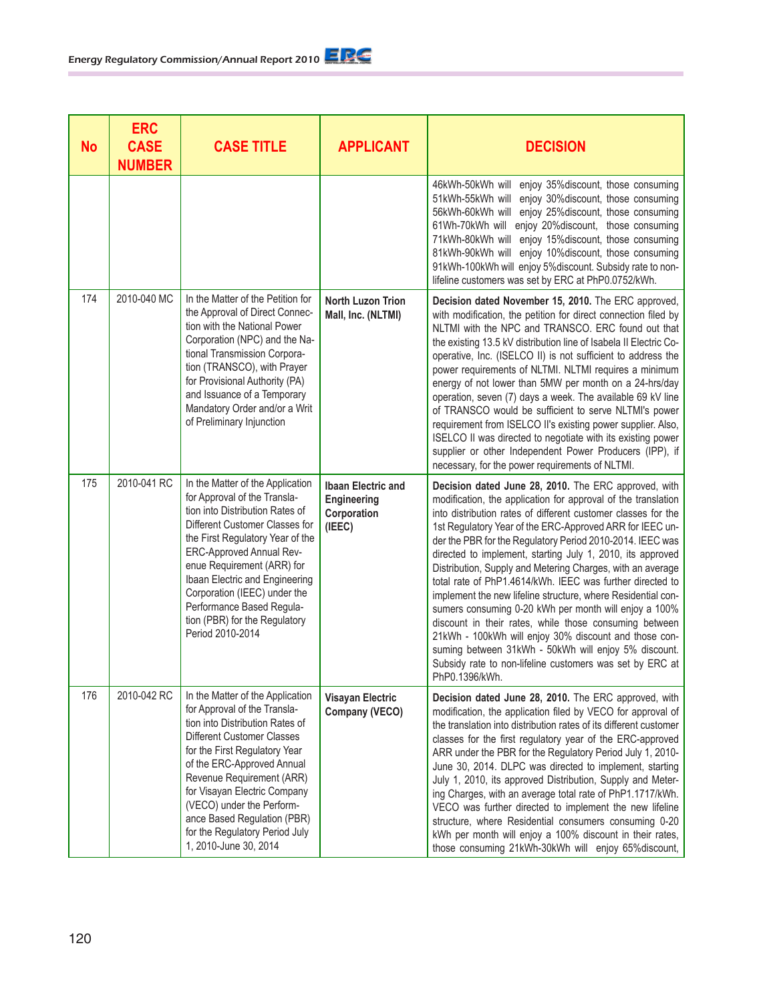| No  | <b>ERC</b><br><b>CASE</b><br><b>NUMBER</b> | <b>CASE TITLE</b>                                                                                                                                                                                                                                                                                                                                                                           | <b>APPLICANT</b>                                                  | <b>DECISION</b>                                                                                                                                                                                                                                                                                                                                                                                                                                                                                                                                                                                                                                                                                                                                                                                                                                                                            |
|-----|--------------------------------------------|---------------------------------------------------------------------------------------------------------------------------------------------------------------------------------------------------------------------------------------------------------------------------------------------------------------------------------------------------------------------------------------------|-------------------------------------------------------------------|--------------------------------------------------------------------------------------------------------------------------------------------------------------------------------------------------------------------------------------------------------------------------------------------------------------------------------------------------------------------------------------------------------------------------------------------------------------------------------------------------------------------------------------------------------------------------------------------------------------------------------------------------------------------------------------------------------------------------------------------------------------------------------------------------------------------------------------------------------------------------------------------|
|     |                                            |                                                                                                                                                                                                                                                                                                                                                                                             |                                                                   | 46kWh-50kWh will enjoy 35%discount, those consuming<br>51kWh-55kWh will enjoy 30% discount, those consuming<br>56kWh-60kWh will enjoy 25% discount, those consuming<br>61Wh-70kWh will enjoy 20%discount, those consuming<br>71kWh-80kWh will enjoy 15%discount, those consuming<br>81kWh-90kWh will enjoy 10% discount, those consuming<br>91kWh-100kWh will enjoy 5% discount. Subsidy rate to non-<br>lifeline customers was set by ERC at PhP0.0752/kWh.                                                                                                                                                                                                                                                                                                                                                                                                                               |
| 174 | 2010-040 MC                                | In the Matter of the Petition for<br>the Approval of Direct Connec-<br>tion with the National Power<br>Corporation (NPC) and the Na-<br>tional Transmission Corpora-<br>tion (TRANSCO), with Prayer<br>for Provisional Authority (PA)<br>and Issuance of a Temporary<br>Mandatory Order and/or a Writ<br>of Preliminary Injunction                                                          | <b>North Luzon Trion</b><br>Mall, Inc. (NLTMI)                    | Decision dated November 15, 2010. The ERC approved,<br>with modification, the petition for direct connection filed by<br>NLTMI with the NPC and TRANSCO. ERC found out that<br>the existing 13.5 kV distribution line of Isabela II Electric Co-<br>operative, Inc. (ISELCO II) is not sufficient to address the<br>power requirements of NLTMI. NLTMI requires a minimum<br>energy of not lower than 5MW per month on a 24-hrs/day<br>operation, seven (7) days a week. The available 69 kV line<br>of TRANSCO would be sufficient to serve NLTMI's power<br>requirement from ISELCO II's existing power supplier. Also,<br>ISELCO II was directed to negotiate with its existing power<br>supplier or other Independent Power Producers (IPP), if<br>necessary, for the power requirements of NLTMI.                                                                                     |
| 175 | 2010-041 RC                                | In the Matter of the Application<br>for Approval of the Transla-<br>tion into Distribution Rates of<br>Different Customer Classes for<br>the First Regulatory Year of the<br>ERC-Approved Annual Rev-<br>enue Requirement (ARR) for<br>Ibaan Electric and Engineering<br>Corporation (IEEC) under the<br>Performance Based Regula-<br>tion (PBR) for the Regulatory<br>Period 2010-2014     | <b>Ibaan Electric and</b><br>Engineering<br>Corporation<br>(IEEE) | Decision dated June 28, 2010. The ERC approved, with<br>modification, the application for approval of the translation<br>into distribution rates of different customer classes for the<br>1st Regulatory Year of the ERC-Approved ARR for IEEC un-<br>der the PBR for the Regulatory Period 2010-2014. IEEC was<br>directed to implement, starting July 1, 2010, its approved<br>Distribution, Supply and Metering Charges, with an average<br>total rate of PhP1.4614/kWh. IEEC was further directed to<br>implement the new lifeline structure, where Residential con-<br>sumers consuming 0-20 kWh per month will enjoy a 100%<br>discount in their rates, while those consuming between<br>21kWh - 100kWh will enjoy 30% discount and those con-<br>suming between 31kWh - 50kWh will enjoy 5% discount.<br>Subsidy rate to non-lifeline customers was set by ERC at<br>PhP0.1396/kWh. |
| 176 | 2010-042 RC                                | In the Matter of the Application<br>for Approval of the Transla-<br>tion into Distribution Rates of<br><b>Different Customer Classes</b><br>for the First Regulatory Year<br>of the ERC-Approved Annual<br>Revenue Requirement (ARR)<br>for Visayan Electric Company<br>(VECO) under the Perform-<br>ance Based Regulation (PBR)<br>for the Regulatory Period July<br>1, 2010-June 30, 2014 | <b>Visayan Electric</b><br>Company (VECO)                         | Decision dated June 28, 2010. The ERC approved, with<br>modification, the application filed by VECO for approval of<br>the translation into distribution rates of its different customer<br>classes for the first regulatory year of the ERC-approved<br>ARR under the PBR for the Regulatory Period July 1, 2010-<br>June 30, 2014. DLPC was directed to implement, starting<br>July 1, 2010, its approved Distribution, Supply and Meter-<br>ing Charges, with an average total rate of PhP1.1717/kWh.<br>VECO was further directed to implement the new lifeline<br>structure, where Residential consumers consuming 0-20<br>kWh per month will enjoy a 100% discount in their rates,<br>those consuming 21kWh-30kWh will enjoy 65%discount,                                                                                                                                            |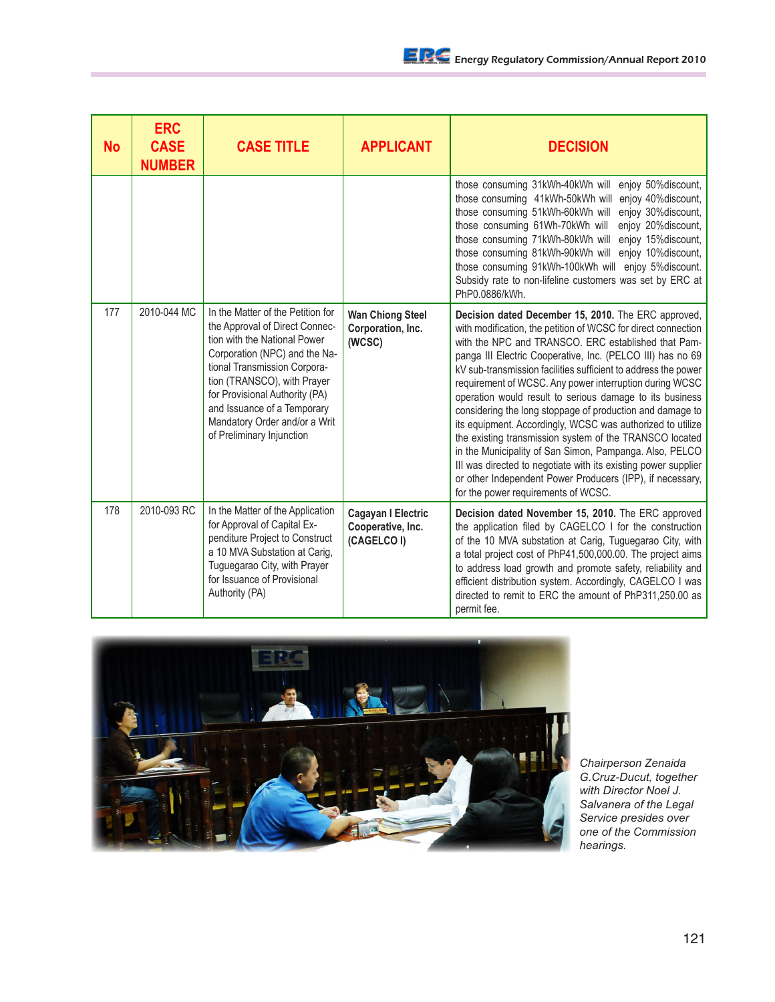| No  | <b>ERC</b><br><b>CASE</b><br><b>NUMBER</b> | <b>CASE TITLE</b>                                                                                                                                                                                                                                                                                                                  | <b>APPLICANT</b>                                       | <b>DECISION</b>                                                                                                                                                                                                                                                                                                                                                                                                                                                                                                                                                                                                                                                                                                                                                                                                                                           |
|-----|--------------------------------------------|------------------------------------------------------------------------------------------------------------------------------------------------------------------------------------------------------------------------------------------------------------------------------------------------------------------------------------|--------------------------------------------------------|-----------------------------------------------------------------------------------------------------------------------------------------------------------------------------------------------------------------------------------------------------------------------------------------------------------------------------------------------------------------------------------------------------------------------------------------------------------------------------------------------------------------------------------------------------------------------------------------------------------------------------------------------------------------------------------------------------------------------------------------------------------------------------------------------------------------------------------------------------------|
|     |                                            |                                                                                                                                                                                                                                                                                                                                    |                                                        | enjoy 50% discount,<br>those consuming 31kWh-40kWh will<br>enjoy 40% discount,<br>those consuming 41kWh-50kWh will<br>enjoy 30% discount,<br>those consuming 51kWh-60kWh will<br>those consuming 61Wh-70kWh will<br>enjoy 20% discount,<br>those consuming 71kWh-80kWh will<br>enjoy 15% discount,<br>enjoy 10% discount,<br>those consuming 81kWh-90kWh will<br>those consuming 91kWh-100kWh will<br>enjoy 5% discount.<br>Subsidy rate to non-lifeline customers was set by ERC at<br>PhP0.0886/kWh.                                                                                                                                                                                                                                                                                                                                                    |
| 177 | 2010-044 MC                                | In the Matter of the Petition for<br>the Approval of Direct Connec-<br>tion with the National Power<br>Corporation (NPC) and the Na-<br>tional Transmission Corpora-<br>tion (TRANSCO), with Prayer<br>for Provisional Authority (PA)<br>and Issuance of a Temporary<br>Mandatory Order and/or a Writ<br>of Preliminary Injunction | <b>Wan Chiong Steel</b><br>Corporation, Inc.<br>(WCSC) | Decision dated December 15, 2010. The ERC approved,<br>with modification, the petition of WCSC for direct connection<br>with the NPC and TRANSCO. ERC established that Pam-<br>panga III Electric Cooperative, Inc. (PELCO III) has no 69<br>kV sub-transmission facilities sufficient to address the power<br>requirement of WCSC. Any power interruption during WCSC<br>operation would result to serious damage to its business<br>considering the long stoppage of production and damage to<br>its equipment. Accordingly, WCSC was authorized to utilize<br>the existing transmission system of the TRANSCO located<br>in the Municipality of San Simon, Pampanga. Also, PELCO<br>III was directed to negotiate with its existing power supplier<br>or other Independent Power Producers (IPP), if necessary,<br>for the power requirements of WCSC. |
| 178 | 2010-093 RC                                | In the Matter of the Application<br>for Approval of Capital Ex-<br>penditure Project to Construct<br>a 10 MVA Substation at Carig,<br>Tuguegarao City, with Prayer<br>for Issuance of Provisional<br>Authority (PA)                                                                                                                | Cagayan I Electric<br>Cooperative, Inc.<br>(CAGELCO I) | Decision dated November 15, 2010. The ERC approved<br>the application filed by CAGELCO I for the construction<br>of the 10 MVA substation at Carig, Tuguegarao City, with<br>a total project cost of PhP41,500,000.00. The project aims<br>to address load growth and promote safety, reliability and<br>efficient distribution system. Accordingly, CAGELCO I was<br>directed to remit to ERC the amount of PhP311,250,00 as<br>permit fee.                                                                                                                                                                                                                                                                                                                                                                                                              |



*Chairperson Zenaida G.Cruz-Ducut, together with Director Noel J. Salvanera of the Legal Service presides over one of the Commission hearings.*